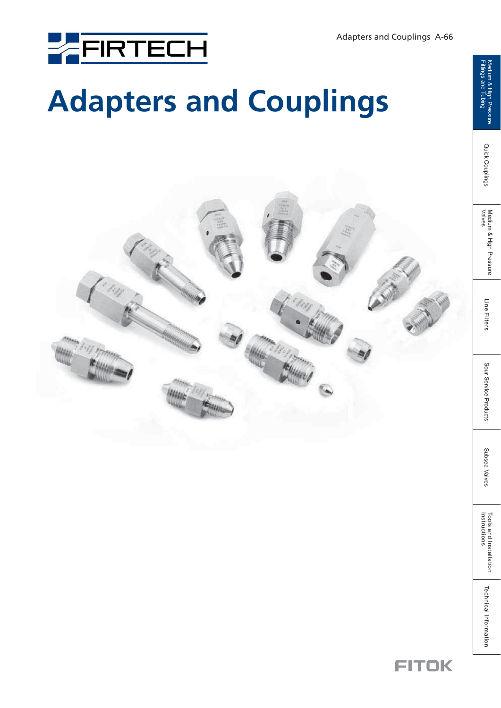

# **Adapters and Couplings**

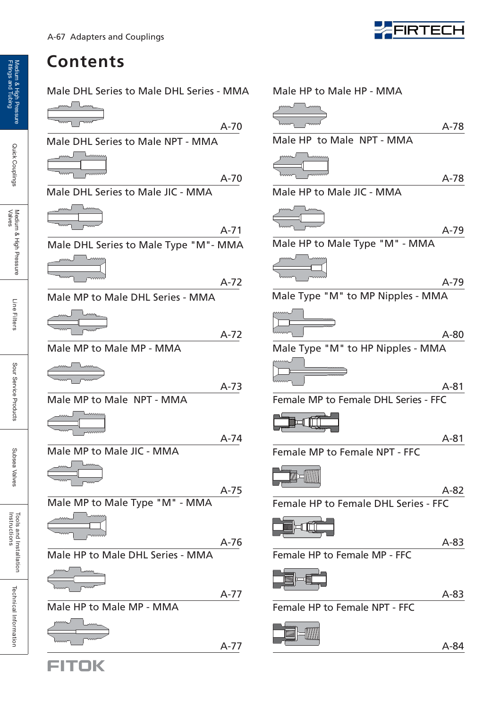### **Contents**

Male DHL Series to Male DHL Series - MMA

A-70

A-70

A-71

A-72

A-72

A-74

A-75

| mu               | LMM        |  |  |
|------------------|------------|--|--|
| www <sup>-</sup> | $\sqrt{2}$ |  |  |
|                  |            |  |  |

Male DHL Series to Male NPT - MMA

Male DHL Series to Male JIC - MMA



Male DHL Series to Male Type "M"- MMA

$$
\underbrace{\hspace{2.5cm}}_{\hspace{2.5cm}\text{num}}
$$

Male MP to Male DHL Series - MMA

Male MMA MP Male MP - to

A-73

Male MP to Male NPT - MMA

Male MP to Male JIC - MMA



Male MP to Male Type "M" - MMA

Male HP to Male DHL Series - MMA A-76

$$
\underbrace{\begin{array}{c}\text{form} \\ \text{form} \\ \text{form} \end{array}}
$$

A-77

Male HP to Male MP - MMA

$$
A-77
$$

FITOK



| Male HP to Male HP - MMA             |        |
|--------------------------------------|--------|
|                                      | A-78   |
| Male HP to Male NPT - MMA            |        |
|                                      | $A-78$ |
| Male HP to Male JIC - MMA            |        |
|                                      | A-79   |
| Male HP to Male Type "M" - MMA       |        |
|                                      | $A-79$ |
| Male Type "M" to MP Nipples - MMA    |        |
|                                      | $A-80$ |
| Male Type "M" to HP Nipples - MMA    |        |
|                                      |        |
|                                      |        |
| Female MP to Female DHL Series - FFC | $A-81$ |
|                                      |        |
|                                      | A-81   |
| Female MP to Female NPT - FFC        |        |
|                                      |        |
|                                      | A-82   |
| Female HP to Female DHL Series - FFC |        |
|                                      | $A-83$ |
| Female HP to Female MP - FFC         |        |
|                                      |        |
|                                      |        |
|                                      | A-83   |
| Female HP to Female NPT - FFC        |        |
|                                      |        |

Quick Couplings

Subsea Valves

Subsea Valves

Tools and Installation<br>Instructions

Technical Information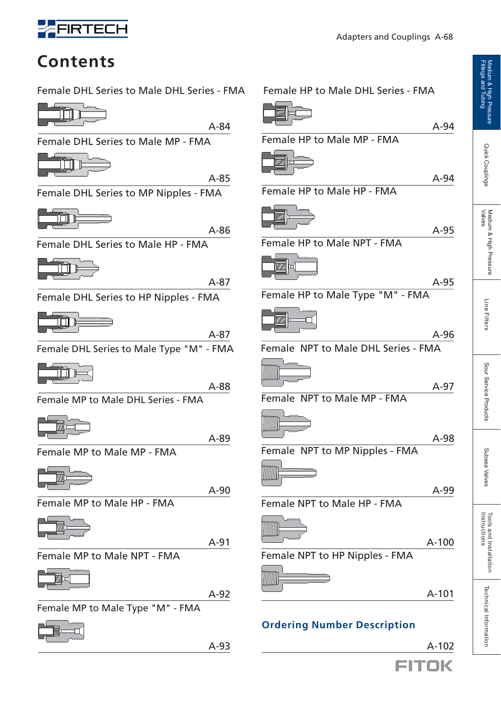

Adapters and Couplings A-68



**Contents**

Female DHL Series to Male DHL Series - FMA F



A-84

Female DHL Series to Male MP - FMA

A-85

Female DHL Series to MP Nipples - FMA



A-86

Female DHL Series to Male HP - FMA

A-87

Female DHL Series to HP Nipples - FMA



A-87

Female DHL Series to Male Type "M" - FMA

ÌÌ

A-88

Female MP to Male DHL Series - FMA

A-89

Female MP to Male MP - FMA



A-90

Female MP to Male HP - FMA



A-91

Female MP to Male NPT - FMA



A-92

Female MP to Male Type "M" - FMA



A-93

| Female HP to Male DHL Series - FMA  |         |
|-------------------------------------|---------|
|                                     | A-94    |
| Female HP to Male MP - FMA          |         |
|                                     |         |
| Female HP to Male HP - FMA          | $A-94$  |
|                                     |         |
| Female HP to Male NPT - FMA         | A-95    |
|                                     |         |
| Female HP to Male Type "M" - FMA    | $A-95$  |
|                                     |         |
|                                     | $A-96$  |
| Female NPT to Male DHL Series - FMA |         |
|                                     |         |
| Female NPT to Male MP - FMA         | A-97    |
|                                     |         |
|                                     | A-98    |
| Female NPT to MP Nipples - FMA      |         |
|                                     |         |
|                                     | A-99    |
| Female NPT to Male HP - FMA         |         |
|                                     |         |
|                                     | $A-100$ |
| Female NPT to HP Nipples - FMA      |         |
|                                     |         |
|                                     | A-101   |

### **Ordering Number Description**

 A-102 FITOK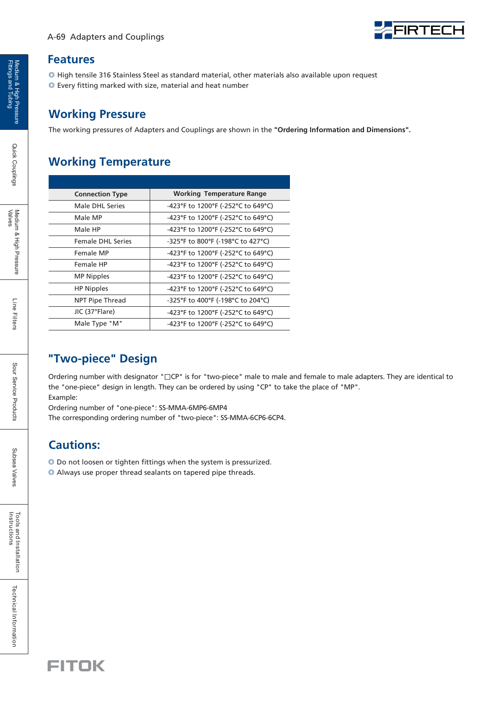

#### **Features**

 $\circledcirc$  High tensile 316 Stainless Steel as standard material, other materials also available upon request Every fitting marked with size, material and heat number ◎

### **Working Pressure**

The working pressures of Adapters and Couplings are shown in the **"Ordering Information and Dimensions".**

### **Working Temperature**

| <b>Connection Type</b>   | <b>Working Temperature Range</b>   |
|--------------------------|------------------------------------|
| Male DHL Series          | -423°F to 1200°F (-252°C to 649°C) |
| Male MP                  | -423°F to 1200°F (-252°C to 649°C) |
| Male HP                  | -423°F to 1200°F (-252°C to 649°C) |
| <b>Female DHI Series</b> | -325°F to 800°F (-198°C to 427°C)  |
| Female MP                | -423°F to 1200°F (-252°C to 649°C) |
| Female HP                | -423°F to 1200°F (-252°C to 649°C) |
| <b>MP Nipples</b>        | -423°F to 1200°F (-252°C to 649°C) |
| <b>HP Nipples</b>        | -423°F to 1200°F (-252°C to 649°C) |
| NPT Pipe Thread          | -325°F to 400°F (-198°C to 204°C)  |
| JIC (37°Flare)           | -423°F to 1200°F (-252°C to 649°C) |
| Male Type "M"            | -423°F to 1200°F (-252°C to 649°C) |

### **"Two-piece" Design**

Ordering number with designator "**□**CP" is for "two-piece" male to male and female to male adapters. They are identical to the "one-piece" design in length. They can be ordered by using "CP" to take the place of "MP". Example:

Ordering number of "one-piece": SS-MMA-6MP6-6MP4

The corresponding ordering number of "two-piece": SS-MMA-6CP6-6CP4.

### **Cautions:**

- ◎ Do not loosen or tighten fittings when the system is pressurized.
- ◎ Always use proper thread sealants on tapered pipe threads.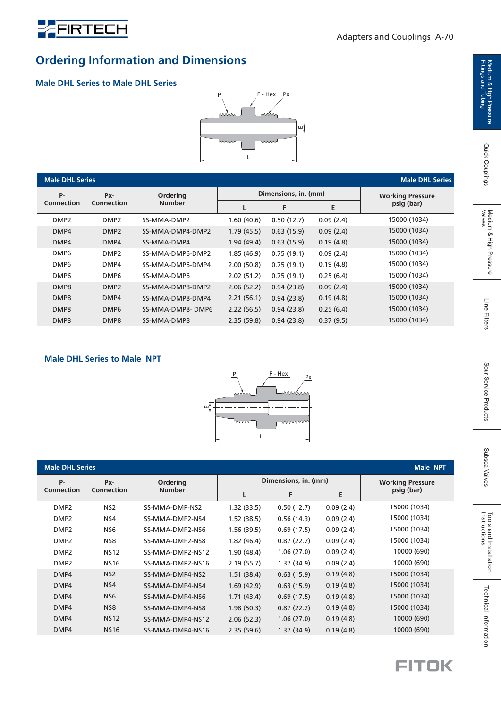

### **Ordering Information and Dimensions**

#### **Male DHL Series to Male DHL Series**



| <b>Male DHL Series</b><br><b>Male DHL Series</b> |                  |                  |            |                      |           |                         |
|--------------------------------------------------|------------------|------------------|------------|----------------------|-----------|-------------------------|
| P-                                               | Px-              | Ordering         |            | Dimensions, in. (mm) |           | <b>Working Pressure</b> |
| Connection                                       | Connection       | <b>Number</b>    | L          | F                    | Е         | psig (bar)              |
| DMP <sub>2</sub>                                 | DMP <sub>2</sub> | SS-MMA-DMP2      | 1.60(40.6) | 0.50(12.7)           | 0.09(2.4) | 15000 (1034)            |
| DMP4                                             | DMP <sub>2</sub> | SS-MMA-DMP4-DMP2 | 1.79(45.5) | 0.63(15.9)           | 0.09(2.4) | 15000 (1034)            |
| DMP4                                             | DMP4             | SS-MMA-DMP4      | 1.94(49.4) | 0.63(15.9)           | 0.19(4.8) | 15000 (1034)            |
| DMP <sub>6</sub>                                 | DMP <sub>2</sub> | SS-MMA-DMP6-DMP2 | 1.85(46.9) | 0.75(19.1)           | 0.09(2.4) | 15000 (1034)            |
| DMP <sub>6</sub>                                 | DMP4             | SS-MMA-DMP6-DMP4 | 2.00(50.8) | 0.75(19.1)           | 0.19(4.8) | 15000 (1034)            |
| DMP <sub>6</sub>                                 | DMP <sub>6</sub> | SS-MMA-DMP6      | 2.02(51.2) | 0.75(19.1)           | 0.25(6.4) | 15000 (1034)            |
| DMP8                                             | DMP <sub>2</sub> | SS-MMA-DMP8-DMP2 | 2.06(52.2) | 0.94(23.8)           | 0.09(2.4) | 15000 (1034)            |
| DMP8                                             | DMP4             | SS-MMA-DMP8-DMP4 | 2.21(56.1) | 0.94(23.8)           | 0.19(4.8) | 15000 (1034)            |
| DMP8                                             | DMP <sub>6</sub> | SS-MMA-DMP8-DMP6 | 2.22(56.5) | 0.94(23.8)           | 0.25(6.4) | 15000 (1034)            |
| DMP8                                             | DMP8             | SS-MMA-DMP8      | 2.35(59.8) | 0.94(23.8)           | 0.37(9.5) | 15000 (1034)            |

#### **Male DHL Series to Male NPT**



| <b>Male DHL Series</b><br><b>Male NPT</b> |                        |                  |            |                      |           |                         |
|-------------------------------------------|------------------------|------------------|------------|----------------------|-----------|-------------------------|
| P-                                        | <b>Ordering</b><br>Px- |                  |            | Dimensions, in. (mm) |           | <b>Working Pressure</b> |
| <b>Connection</b>                         | <b>Connection</b>      | <b>Number</b>    |            | F                    | E         | psig (bar)              |
| DMP <sub>2</sub>                          | NS <sub>2</sub>        | SS-MMA-DMP-NS2   | 1.32(33.5) | 0.50(12.7)           | 0.09(2.4) | 15000 (1034)            |
| DMP <sub>2</sub>                          | NS4                    | SS-MMA-DMP2-NS4  | 1.52(38.5) | 0.56(14.3)           | 0.09(2.4) | 15000 (1034)            |
| DMP <sub>2</sub>                          | NS <sub>6</sub>        | SS-MMA-DMP2-NS6  | 1.56(39.5) | 0.69(17.5)           | 0.09(2.4) | 15000 (1034)            |
| DMP <sub>2</sub>                          | NS8                    | SS-MMA-DMP2-NS8  | 1.82(46.4) | 0.87(22.2)           | 0.09(2.4) | 15000 (1034)            |
| DMP <sub>2</sub>                          | <b>NS12</b>            | SS-MMA-DMP2-NS12 | 1.90(48.4) | 1.06(27.0)           | 0.09(2.4) | 10000 (690)             |
| DMP <sub>2</sub>                          | <b>NS16</b>            | SS-MMA-DMP2-NS16 | 2.19(55.7) | 1.37(34.9)           | 0.09(2.4) | 10000 (690)             |
| DMP4                                      | NS <sub>2</sub>        | SS-MMA-DMP4-NS2  | 1.51(38.4) | 0.63(15.9)           | 0.19(4.8) | 15000 (1034)            |
| DMP4                                      | NS4                    | SS-MMA-DMP4-NS4  | 1.69(42.9) | 0.63(15.9)           | 0.19(4.8) | 15000 (1034)            |
| DMP4                                      | NS <sub>6</sub>        | SS-MMA-DMP4-NS6  | 1.71(43.4) | 0.69(17.5)           | 0.19(4.8) | 15000 (1034)            |
| DMP4                                      | NS8                    | SS-MMA-DMP4-NS8  | 1.98(50.3) | 0.87(22.2)           | 0.19(4.8) | 15000 (1034)            |
| DMP4                                      | <b>NS12</b>            | SS-MMA-DMP4-NS12 | 2.06(52.3) | 1.06(27.0)           | 0.19(4.8) | 10000 (690)             |
| DMP4                                      | <b>NS16</b>            | SS-MMA-DMP4-NS16 | 2.35(59.6) | 1.37(34.9)           | 0.19(4.8) | 10000 (690)             |



Technical Information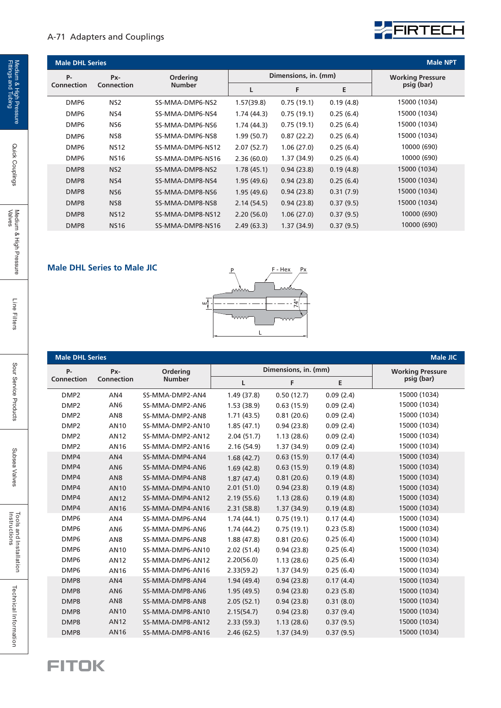#### A-71 Adapters and Couplings



| <b>Male DHL Series</b> |                 |                  |                      |            |           | <b>Male NPT</b>         |
|------------------------|-----------------|------------------|----------------------|------------|-----------|-------------------------|
| <b>P-</b>              | Px-             | Ordering         | Dimensions, in. (mm) |            |           | <b>Working Pressure</b> |
| Connection             | Connection      | <b>Number</b>    |                      | F          | E         | psig (bar)              |
| DMP <sub>6</sub>       | NS <sub>2</sub> | SS-MMA-DMP6-NS2  | 1.57(39.8)           | 0.75(19.1) | 0.19(4.8) | 15000 (1034)            |
| DMP <sub>6</sub>       | NS4             | SS-MMA-DMP6-NS4  | 1.74(44.3)           | 0.75(19.1) | 0.25(6.4) | 15000 (1034)            |
| DMP <sub>6</sub>       | NS <sub>6</sub> | SS-MMA-DMP6-NS6  | 1.74(44.3)           | 0.75(19.1) | 0.25(6.4) | 15000 (1034)            |
| DMP <sub>6</sub>       | NS8             | SS-MMA-DMP6-NS8  | 1.99(50.7)           | 0.87(22.2) | 0.25(6.4) | 15000 (1034)            |
| DMP <sub>6</sub>       | <b>NS12</b>     | SS-MMA-DMP6-NS12 | 2.07(52.7)           | 1.06(27.0) | 0.25(6.4) | 10000 (690)             |
| DMP <sub>6</sub>       | <b>NS16</b>     | SS-MMA-DMP6-NS16 | 2.36(60.0)           | 1.37(34.9) | 0.25(6.4) | 10000 (690)             |
| DMP8                   | NS <sub>2</sub> | SS-MMA-DMP8-NS2  | 1.78(45.1)           | 0.94(23.8) | 0.19(4.8) | 15000 (1034)            |
| DMP8                   | NS4             | SS-MMA-DMP8-NS4  | 1.95(49.6)           | 0.94(23.8) | 0.25(6.4) | 15000 (1034)            |
| DMP8                   | NS <sub>6</sub> | SS-MMA-DMP8-NS6  | 1.95(49.6)           | 0.94(23.8) | 0.31(7.9) | 15000 (1034)            |
| DMP8                   | NS <sub>8</sub> | SS-MMA-DMP8-NS8  | 2.14(54.5)           | 0.94(23.8) | 0.37(9.5) | 15000 (1034)            |
| DMP8                   | <b>NS12</b>     | SS-MMA-DMP8-NS12 | 2.20(56.0)           | 1.06(27.0) | 0.37(9.5) | 10000 (690)             |
| DMP8                   | <b>NS16</b>     | SS-MMA-DMP8-NS16 | 2.49(63.3)           | 1.37(34.9) | 0.37(9.5) | 10000 (690)             |

#### **Male DHL Series to Male JIC**



| <b>Male DHL Series</b> |                   |                  |             |                      |           | <b>Male JIC</b>         |
|------------------------|-------------------|------------------|-------------|----------------------|-----------|-------------------------|
| <b>P-</b>              | Px-               | Ordering         |             | Dimensions, in. (mm) |           | <b>Working Pressure</b> |
| Connection             | <b>Connection</b> | <b>Number</b>    | L           | F<br>E               |           | psig (bar)              |
| DMP <sub>2</sub>       | AN4               | SS-MMA-DMP2-AN4  | 1.49(37.8)  | 0.50(12.7)           | 0.09(2.4) | 15000 (1034)            |
| DMP <sub>2</sub>       | AN <sub>6</sub>   | SS-MMA-DMP2-AN6  | 1.53(38.9)  | 0.63(15.9)           | 0.09(2.4) | 15000 (1034)            |
| DMP <sub>2</sub>       | AN <sub>8</sub>   | SS-MMA-DMP2-AN8  | 1.71(43.5)  | 0.81(20.6)           | 0.09(2.4) | 15000 (1034)            |
| DMP <sub>2</sub>       | AN10              | SS-MMA-DMP2-AN10 | 1.85(47.1)  | 0.94(23.8)           | 0.09(2.4) | 15000 (1034)            |
| DMP <sub>2</sub>       | <b>AN12</b>       | SS-MMA-DMP2-AN12 | 2.04(51.7)  | 1.13(28.6)           | 0.09(2.4) | 15000 (1034)            |
| DMP <sub>2</sub>       | AN16              | SS-MMA-DMP2-AN16 | 2.16(54.9)  | 1.37(34.9)           | 0.09(2.4) | 15000 (1034)            |
| DMP4                   | AN4               | SS-MMA-DMP4-AN4  | 1.68(42.7)  | 0.63(15.9)           | 0.17(4.4) | 15000 (1034)            |
| DMP4                   | AN <sub>6</sub>   | SS-MMA-DMP4-AN6  | 1.69(42.8)  | 0.63(15.9)           | 0.19(4.8) | 15000 (1034)            |
| DMP4                   | AN <sub>8</sub>   | SS-MMA-DMP4-AN8  | 1.87(47.4)  | 0.81(20.6)           | 0.19(4.8) | 15000 (1034)            |
| DMP4                   | <b>AN10</b>       | SS-MMA-DMP4-AN10 | 2.01(51.0)  | 0.94(23.8)           | 0.19(4.8) | 15000 (1034)            |
| DMP4                   | <b>AN12</b>       | SS-MMA-DMP4-AN12 | 2.19(55.6)  | 1.13(28.6)           | 0.19(4.8) | 15000 (1034)            |
| DMP4                   | <b>AN16</b>       | SS-MMA-DMP4-AN16 | 2.31(58.8)  | 1.37(34.9)           | 0.19(4.8) | 15000 (1034)            |
| DMP6                   | AN4               | SS-MMA-DMP6-AN4  | 1.74(44.1)  | 0.75(19.1)           | 0.17(4.4) | 15000 (1034)            |
| DMP <sub>6</sub>       | AN <sub>6</sub>   | SS-MMA-DMP6-AN6  | 1.74 (44.2) | 0.75(19.1)           | 0.23(5.8) | 15000 (1034)            |
| DMP6                   | AN <sub>8</sub>   | SS-MMA-DMP6-AN8  | 1.88(47.8)  | 0.81(20.6)           | 0.25(6.4) | 15000 (1034)            |
| DMP <sub>6</sub>       | AN10              | SS-MMA-DMP6-AN10 | 2.02(51.4)  | 0.94(23.8)           | 0.25(6.4) | 15000 (1034)            |
| DMP <sub>6</sub>       | <b>AN12</b>       | SS-MMA-DMP6-AN12 | 2.20(56.0)  | 1.13(28.6)           | 0.25(6.4) | 15000 (1034)            |
| DMP <sub>6</sub>       | AN16              | SS-MMA-DMP6-AN16 | 2.33(59.2)  | 1.37(34.9)           | 0.25(6.4) | 15000 (1034)            |
| DMP8                   | AN4               | SS-MMA-DMP8-AN4  | 1.94(49.4)  | 0.94(23.8)           | 0.17(4.4) | 15000 (1034)            |
| DMP8                   | AN <sub>6</sub>   | SS-MMA-DMP8-AN6  | 1.95(49.5)  | 0.94(23.8)           | 0.23(5.8) | 15000 (1034)            |
| DMP8                   | AN <sub>8</sub>   | SS-MMA-DMP8-AN8  | 2.05(52.1)  | 0.94(23.8)           | 0.31(8.0) | 15000 (1034)            |
| DMP8                   | <b>AN10</b>       | SS-MMA-DMP8-AN10 | 2.15(54.7)  | 0.94(23.8)           | 0.37(9.4) | 15000 (1034)            |
| DMP8                   | <b>AN12</b>       | SS-MMA-DMP8-AN12 | 2.33(59.3)  | 1.13(28.6)           | 0.37(9.5) | 15000 (1034)            |
| DMP8                   | AN16              | SS-MMA-DMP8-AN16 | 2.46(62.5)  | 1.37(34.9)           | 0.37(9.5) | 15000 (1034)            |

## **FITOK**

Quick Couplings

Line Filters

Technical Information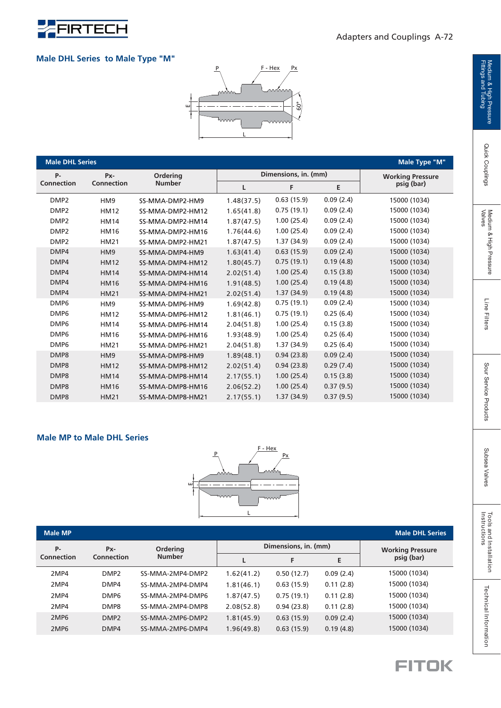

#### **Male DHL Series to Male Type "M"**



| <b>Male DHL Series</b> |                   |                  |            |                      |           | Male Type "M"           |
|------------------------|-------------------|------------------|------------|----------------------|-----------|-------------------------|
| P-                     | Px-               | Ordering         |            | Dimensions, in. (mm) |           | <b>Working Pressure</b> |
| <b>Connection</b>      | <b>Connection</b> | <b>Number</b>    | L          | F                    | Е         | psig (bar)              |
| DMP <sub>2</sub>       | HM <sub>9</sub>   | SS-MMA-DMP2-HM9  | 1.48(37.5) | 0.63(15.9)           | 0.09(2.4) | 15000 (1034)            |
| DMP <sub>2</sub>       | <b>HM12</b>       | SS-MMA-DMP2-HM12 | 1.65(41.8) | 0.75(19.1)           | 0.09(2.4) | 15000 (1034)            |
| DMP <sub>2</sub>       | <b>HM14</b>       | SS-MMA-DMP2-HM14 | 1.87(47.5) | 1.00(25.4)           | 0.09(2.4) | 15000 (1034)            |
| DMP <sub>2</sub>       | <b>HM16</b>       | SS-MMA-DMP2-HM16 | 1.76(44.6) | 1.00(25.4)           | 0.09(2.4) | 15000 (1034)            |
| DMP <sub>2</sub>       | <b>HM21</b>       | SS-MMA-DMP2-HM21 | 1.87(47.5) | 1.37(34.9)           | 0.09(2.4) | 15000 (1034)            |
| DMP4                   | HM <sub>9</sub>   | SS-MMA-DMP4-HM9  | 1.63(41.4) | 0.63(15.9)           | 0.09(2.4) | 15000 (1034)            |
| DMP4                   | <b>HM12</b>       | SS-MMA-DMP4-HM12 | 1.80(45.7) | 0.75(19.1)           | 0.19(4.8) | 15000 (1034)            |
| DMP4                   | <b>HM14</b>       | SS-MMA-DMP4-HM14 | 2.02(51.4) | 1.00(25.4)           | 0.15(3.8) | 15000 (1034)            |
| DMP4                   | <b>HM16</b>       | SS-MMA-DMP4-HM16 | 1.91(48.5) | 1.00(25.4)           | 0.19(4.8) | 15000 (1034)            |
| DMP4                   | <b>HM21</b>       | SS-MMA-DMP4-HM21 | 2.02(51.4) | 1.37(34.9)           | 0.19(4.8) | 15000 (1034)            |
| DMP <sub>6</sub>       | HM <sub>9</sub>   | SS-MMA-DMP6-HM9  | 1.69(42.8) | 0.75(19.1)           | 0.09(2.4) | 15000 (1034)            |
| DMP <sub>6</sub>       | <b>HM12</b>       | SS-MMA-DMP6-HM12 | 1.81(46.1) | 0.75(19.1)           | 0.25(6.4) | 15000 (1034)            |
| DMP <sub>6</sub>       | <b>HM14</b>       | SS-MMA-DMP6-HM14 | 2.04(51.8) | 1.00(25.4)           | 0.15(3.8) | 15000 (1034)            |
| DMP <sub>6</sub>       | <b>HM16</b>       | SS-MMA-DMP6-HM16 | 1.93(48.9) | 1.00(25.4)           | 0.25(6.4) | 15000 (1034)            |
| DMP <sub>6</sub>       | <b>HM21</b>       | SS-MMA-DMP6-HM21 | 2.04(51.8) | 1.37(34.9)           | 0.25(6.4) | 15000 (1034)            |
| DMP8                   | HM <sub>9</sub>   | SS-MMA-DMP8-HM9  | 1.89(48.1) | 0.94(23.8)           | 0.09(2.4) | 15000 (1034)            |
| DMP8                   | <b>HM12</b>       | SS-MMA-DMP8-HM12 | 2.02(51.4) | 0.94(23.8)           | 0.29(7.4) | 15000 (1034)            |
| DMP8                   | <b>HM14</b>       | SS-MMA-DMP8-HM14 | 2.17(55.1) | 1.00(25.4)           | 0.15(3.8) | 15000 (1034)            |
| DMP8                   | <b>HM16</b>       | SS-MMA-DMP8-HM16 | 2.06(52.2) | 1.00(25.4)           | 0.37(9.5) | 15000 (1034)            |
| DMP8                   | <b>HM21</b>       | SS-MMA-DMP8-HM21 | 2.17(55.1) | 1.37(34.9)           | 0.37(9.5) | 15000 (1034)            |

#### **Male MP to Male DHL Series**



| <b>Male MP</b>   |                  |                  |            |                      |           | <b>Male DHL Series</b>  |
|------------------|------------------|------------------|------------|----------------------|-----------|-------------------------|
| P-               | Px-              | <b>Ordering</b>  |            | Dimensions, in. (mm) |           | <b>Working Pressure</b> |
| Connection       | Connection       | <b>Number</b>    |            | F                    | Е         | psig (bar)              |
| 2MP4             | DMP <sub>2</sub> | SS-MMA-2MP4-DMP2 | 1.62(41.2) | 0.50(12.7)           | 0.09(2.4) | 15000 (1034)            |
| 2MP4             | DMP4             | SS-MMA-2MP4-DMP4 | 1.81(46.1) | 0.63(15.9)           | 0.11(2.8) | 15000 (1034)            |
| 2MP4             | DMP <sub>6</sub> | SS-MMA-2MP4-DMP6 | 1.87(47.5) | 0.75(19.1)           | 0.11(2.8) | 15000 (1034)            |
| 2MP4             | DMP8             | SS-MMA-2MP4-DMP8 | 2.08(52.8) | 0.94(23.8)           | 0.11(2.8) | 15000 (1034)            |
| 2MP <sub>6</sub> | DMP <sub>2</sub> | SS-MMA-2MP6-DMP2 | 1.81(45.9) | 0.63(15.9)           | 0.09(2.4) | 15000 (1034)            |
| 2MP <sub>6</sub> | DMP4             | SS-MMA-2MP6-DMP4 | 1.96(49.8) | 0.63(15.9)           | 0.19(4.8) | 15000 (1034)            |

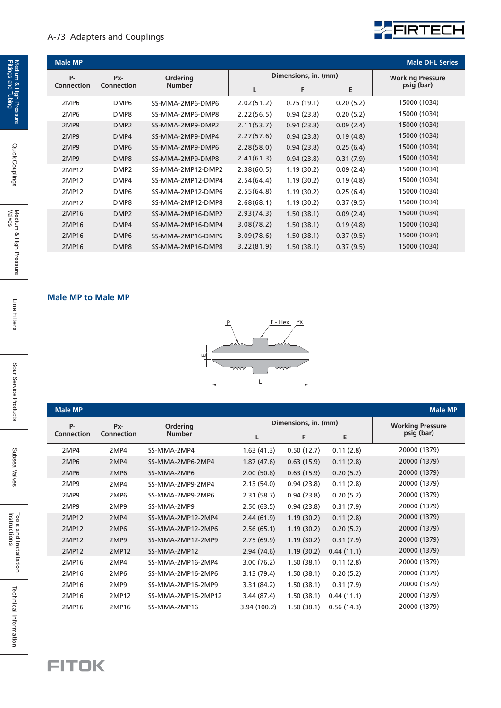#### A-73 Adapters and Couplings



| <b>Male MP</b>   |                        |                   |            |                      |           | <b>Male DHL Series</b>  |
|------------------|------------------------|-------------------|------------|----------------------|-----------|-------------------------|
| <b>P-</b>        | Px-<br><b>Ordering</b> |                   |            | Dimensions, in. (mm) |           | <b>Working Pressure</b> |
| Connection       | <b>Connection</b>      | <b>Number</b>     |            | F                    | Е         | psig (bar)              |
| 2MP6             | DMP <sub>6</sub>       | SS-MMA-2MP6-DMP6  | 2.02(51.2) | 0.75(19.1)           | 0.20(5.2) | 15000 (1034)            |
| 2MP <sub>6</sub> | DMP8                   | SS-MMA-2MP6-DMP8  | 2.22(56.5) | 0.94(23.8)           | 0.20(5.2) | 15000 (1034)            |
| 2MP9             | DMP <sub>2</sub>       | SS-MMA-2MP9-DMP2  | 2.11(53.7) | 0.94(23.8)           | 0.09(2.4) | 15000 (1034)            |
| 2MP9             | DMP4                   | SS-MMA-2MP9-DMP4  | 2.27(57.6) | 0.94(23.8)           | 0.19(4.8) | 15000 (1034)            |
| 2MP9             | DMP <sub>6</sub>       | SS-MMA-2MP9-DMP6  | 2.28(58.0) | 0.94(23.8)           | 0.25(6.4) | 15000 (1034)            |
| 2MP9             | DMP8                   | SS-MMA-2MP9-DMP8  | 2.41(61.3) | 0.94(23.8)           | 0.31(7.9) | 15000 (1034)            |
| 2MP12            | DMP <sub>2</sub>       | SS-MMA-2MP12-DMP2 | 2.38(60.5) | 1.19(30.2)           | 0.09(2.4) | 15000 (1034)            |
| 2MP12            | DMP4                   | SS-MMA-2MP12-DMP4 | 2.54(64.4) | 1.19(30.2)           | 0.19(4.8) | 15000 (1034)            |
| 2MP12            | DMP <sub>6</sub>       | SS-MMA-2MP12-DMP6 | 2.55(64.8) | 1.19(30.2)           | 0.25(6.4) | 15000 (1034)            |
| 2MP12            | DMP8                   | SS-MMA-2MP12-DMP8 | 2.68(68.1) | 1.19(30.2)           | 0.37(9.5) | 15000 (1034)            |
| 2MP16            | DMP <sub>2</sub>       | SS-MMA-2MP16-DMP2 | 2.93(74.3) | 1.50(38.1)           | 0.09(2.4) | 15000 (1034)            |
| 2MP16            | DMP4                   | SS-MMA-2MP16-DMP4 | 3.08(78.2) | 1.50(38.1)           | 0.19(4.8) | 15000 (1034)            |
| 2MP16            | DMP <sub>6</sub>       | SS-MMA-2MP16-DMP6 | 3.09(78.6) | 1.50(38.1)           | 0.37(9.5) | 15000 (1034)            |
| 2MP16            | DMP8                   | SS-MMA-2MP16-DMP8 | 3.22(81.9) | 1.50(38.1)           | 0.37(9.5) | 15000 (1034)            |

#### **Male MP to Male MP**



| <b>Male MP</b>    |                   |                    |              |                      |            | <b>Male MP</b>          |
|-------------------|-------------------|--------------------|--------------|----------------------|------------|-------------------------|
| <b>P-</b>         | Px-               | Ordering           |              | Dimensions, in. (mm) |            | <b>Working Pressure</b> |
| <b>Connection</b> | <b>Connection</b> | <b>Number</b>      | L            | F                    | E.         | psig (bar)              |
| 2MP4              | 2MP4              | SS-MMA-2MP4        | 1.63(41.3)   | 0.50(12.7)           | 0.11(2.8)  | 20000 (1379)            |
| 2MP6              | 2MP4              | SS-MMA-2MP6-2MP4   | 1.87(47.6)   | 0.63(15.9)           | 0.11(2.8)  | 20000 (1379)            |
| 2MP6              | 2MP6              | SS-MMA-2MP6        | 2.00(50.8)   | 0.63(15.9)           | 0.20(5.2)  | 20000 (1379)            |
| 2MP9              | 2MP4              | SS-MMA-2MP9-2MP4   | 2.13(54.0)   | 0.94(23.8)           | 0.11(2.8)  | 20000 (1379)            |
| 2MP9              | 2MP6              | SS-MMA-2MP9-2MP6   | 2.31(58.7)   | 0.94(23.8)           | 0.20(5.2)  | 20000 (1379)            |
| 2MP9              | 2MP9              | SS-MMA-2MP9        | 2.50(63.5)   | 0.94(23.8)           | 0.31(7.9)  | 20000 (1379)            |
| 2MP12             | 2MP4              | SS-MMA-2MP12-2MP4  | 2.44(61.9)   | 1.19(30.2)           | 0.11(2.8)  | 20000 (1379)            |
| 2MP12             | 2MP6              | SS-MMA-2MP12-2MP6  | 2.56(65.1)   | 1.19(30.2)           | 0.20(5.2)  | 20000 (1379)            |
| 2MP12             | 2MP9              | SS-MMA-2MP12-2MP9  | 2.75(69.9)   | 1.19(30.2)           | 0.31(7.9)  | 20000 (1379)            |
| 2MP12             | 2MP12             | SS-MMA-2MP12       | 2.94(74.6)   | 1.19(30.2)           | 0.44(11.1) | 20000 (1379)            |
| 2MP16             | 2MP4              | SS-MMA-2MP16-2MP4  | 3.00 (76.2)  | 1.50(38.1)           | 0.11(2.8)  | 20000 (1379)            |
| 2MP16             | 2MP <sub>6</sub>  | SS-MMA-2MP16-2MP6  | 3.13 (79.4)  | 1.50(38.1)           | 0.20(5.2)  | 20000 (1379)            |
| 2MP16             | 2MP9              | SS-MMA-2MP16-2MP9  | 3.31 (84.2)  | 1.50(38.1)           | 0.31(7.9)  | 20000 (1379)            |
| 2MP16             | 2MP12             | SS-MMA-2MP16-2MP12 | 3.44 (87.4)  | 1.50(38.1)           | 0.44(11.1) | 20000 (1379)            |
| 2MP16             | 2MP16             | SS-MMA-2MP16       | 3.94 (100.2) | 1.50(38.1)           | 0.56(14.3) | 20000 (1379)            |

**FITOK** 

Quick Couplings

Subsea Valves

Subsea Valves

Technical Information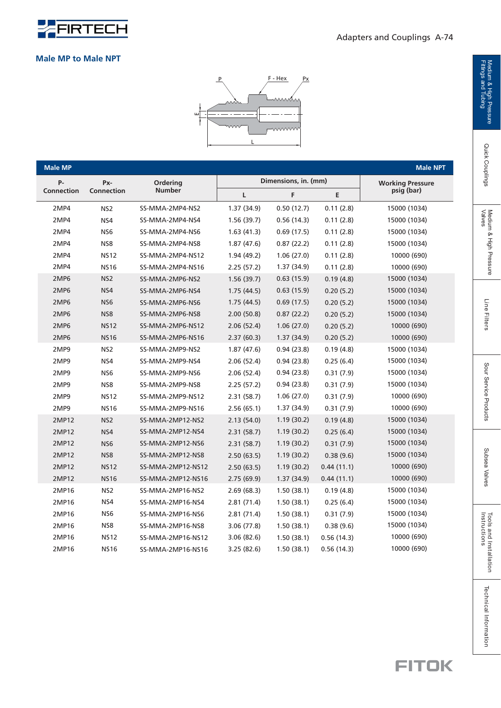

#### **Male MP to Male NPT**



| <b>Male MP</b> |                   |                   |             |                      |            | <b>Male NPT</b>         |
|----------------|-------------------|-------------------|-------------|----------------------|------------|-------------------------|
| P-             | Px-               | Ordering          |             | Dimensions, in. (mm) |            | <b>Working Pressure</b> |
| Connection     | <b>Connection</b> | <b>Number</b>     | L           | F                    | E          | psig (bar)              |
| 2MP4           | NS <sub>2</sub>   | SS-MMA-2MP4-NS2   | 1.37 (34.9) | 0.50(12.7)           | 0.11(2.8)  | 15000 (1034)            |
| 2MP4           | NS4               | SS-MMA-2MP4-NS4   | 1.56(39.7)  | 0.56(14.3)           | 0.11(2.8)  | 15000 (1034)            |
| 2MP4           | NS <sub>6</sub>   | SS-MMA-2MP4-NS6   | 1.63(41.3)  | 0.69(17.5)           | 0.11(2.8)  | 15000 (1034)            |
| 2MP4           | NS8               | SS-MMA-2MP4-NS8   | 1.87(47.6)  | 0.87(22.2)           | 0.11(2.8)  | 15000 (1034)            |
| 2MP4           | <b>NS12</b>       | SS-MMA-2MP4-NS12  | 1.94(49.2)  | 1.06(27.0)           | 0.11(2.8)  | 10000 (690)             |
| 2MP4           | <b>NS16</b>       | SS-MMA-2MP4-NS16  | 2.25(57.2)  | 1.37 (34.9)          | 0.11(2.8)  | 10000 (690)             |
| 2MP6           | NS <sub>2</sub>   | SS-MMA-2MP6-NS2   | 1.56(39.7)  | 0.63(15.9)           | 0.19(4.8)  | 15000 (1034)            |
| 2MP6           | NS4               | SS-MMA-2MP6-NS4   | 1.75(44.5)  | 0.63(15.9)           | 0.20(5.2)  | 15000 (1034)            |
| 2MP6           | NS <sub>6</sub>   | SS-MMA-2MP6-NS6   | 1.75(44.5)  | 0.69(17.5)           | 0.20(5.2)  | 15000 (1034)            |
| 2MP6           | NS8               | SS-MMA-2MP6-NS8   | 2.00(50.8)  | 0.87(22.2)           | 0.20(5.2)  | 15000 (1034)            |
| 2MP6           | <b>NS12</b>       | SS-MMA-2MP6-NS12  | 2.06(52.4)  | 1.06(27.0)           | 0.20(5.2)  | 10000 (690)             |
| 2MP6           | <b>NS16</b>       | SS-MMA-2MP6-NS16  | 2.37(60.3)  | 1.37(34.9)           | 0.20(5.2)  | 10000 (690)             |
| 2MP9           | NS <sub>2</sub>   | SS-MMA-2MP9-NS2   | 1.87(47.6)  | 0.94(23.8)           | 0.19(4.8)  | 15000 (1034)            |
| 2MP9           | NS4               | SS-MMA-2MP9-NS4   | 2.06(52.4)  | 0.94(23.8)           | 0.25(6.4)  | 15000 (1034)            |
| 2MP9           | NS <sub>6</sub>   | SS-MMA-2MP9-NS6   | 2.06(52.4)  | 0.94(23.8)           | 0.31(7.9)  | 15000 (1034)            |
| 2MP9           | NS8               | SS-MMA-2MP9-NS8   | 2.25(57.2)  | 0.94(23.8)           | 0.31(7.9)  | 15000 (1034)            |
| 2MP9           | <b>NS12</b>       | SS-MMA-2MP9-NS12  | 2.31(58.7)  | 1.06(27.0)           | 0.31(7.9)  | 10000 (690)             |
| 2MP9           | <b>NS16</b>       | SS-MMA-2MP9-NS16  | 2.56(65.1)  | 1.37 (34.9)          | 0.31(7.9)  | 10000 (690)             |
| 2MP12          | NS <sub>2</sub>   | SS-MMA-2MP12-NS2  | 2.13(54.0)  | 1.19(30.2)           | 0.19(4.8)  | 15000 (1034)            |
| 2MP12          | NS4               | SS-MMA-2MP12-NS4  | 2.31(58.7)  | 1.19(30.2)           | 0.25(6.4)  | 15000 (1034)            |
| 2MP12          | NS6               | SS-MMA-2MP12-NS6  | 2.31(58.7)  | 1.19(30.2)           | 0.31(7.9)  | 15000 (1034)            |
| 2MP12          | NS8               | SS-MMA-2MP12-NS8  | 2.50(63.5)  | 1.19(30.2)           | 0.38(9.6)  | 15000 (1034)            |
| 2MP12          | <b>NS12</b>       | SS-MMA-2MP12-NS12 | 2.50(63.5)  | 1.19(30.2)           | 0.44(11.1) | 10000 (690)             |
| 2MP12          | <b>NS16</b>       | SS-MMA-2MP12-NS16 | 2.75(69.9)  | 1.37(34.9)           | 0.44(11.1) | 10000 (690)             |
| 2MP16          | NS <sub>2</sub>   | SS-MMA-2MP16-NS2  | 2.69(68.3)  | 1.50(38.1)           | 0.19(4.8)  | 15000 (1034)            |
| 2MP16          | NS4               | SS-MMA-2MP16-NS4  | 2.81(71.4)  | 1.50(38.1)           | 0.25(6.4)  | 15000 (1034)            |
| 2MP16          | NS <sub>6</sub>   | SS-MMA-2MP16-NS6  | 2.81(71.4)  | 1.50(38.1)           | 0.31(7.9)  | 15000 (1034)            |
| 2MP16          | NS8               | SS-MMA-2MP16-NS8  | 3.06(77.8)  | 1.50(38.1)           | 0.38(9.6)  | 15000 (1034)            |
| 2MP16          | <b>NS12</b>       | SS-MMA-2MP16-NS12 | 3.06(82.6)  | 1.50(38.1)           | 0.56(14.3) | 10000 (690)             |
| 2MP16          | <b>NS16</b>       | SS-MMA-2MP16-NS16 | 3.25(82.6)  | 1.50(38.1)           | 0.56(14.3) | 10000 (690)             |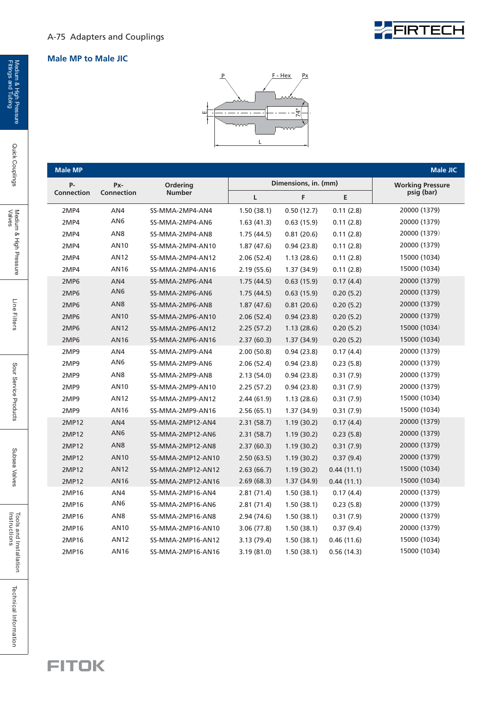

#### **Male MP to Male JIC**



| <b>Male MP</b>    |                 |                   |             |                      |            | <b>Male JIC</b>         |
|-------------------|-----------------|-------------------|-------------|----------------------|------------|-------------------------|
| <b>P-</b>         | Px-             | Ordering          |             | Dimensions, in. (mm) |            | <b>Working Pressure</b> |
| <b>Connection</b> | Connection      | <b>Number</b>     | Г           | F                    | E          | psig (bar)              |
| 2MP4              | AN4             | SS-MMA-2MP4-AN4   | 1.50(38.1)  | 0.50(12.7)           | 0.11(2.8)  | 20000 (1379)            |
| 2MP4              | AN <sub>6</sub> | SS-MMA-2MP4-AN6   | 1.63(41.3)  | 0.63(15.9)           | 0.11(2.8)  | 20000 (1379)            |
| 2MP4              | AN8             | SS-MMA-2MP4-AN8   | 1.75(44.5)  | 0.81(20.6)           | 0.11(2.8)  | 20000 (1379)            |
| 2MP4              | AN10            | SS-MMA-2MP4-AN10  | 1.87(47.6)  | 0.94(23.8)           | 0.11(2.8)  | 20000 (1379)            |
| 2MP4              | AN12            | SS-MMA-2MP4-AN12  | 2.06(52.4)  | 1.13(28.6)           | 0.11(2.8)  | 15000 (1034)            |
| 2MP4              | AN16            | SS-MMA-2MP4-AN16  | 2.19(55.6)  | 1.37 (34.9)          | 0.11(2.8)  | 15000 (1034)            |
| 2MP6              | AN4             | SS-MMA-2MP6-AN4   | 1.75(44.5)  | 0.63(15.9)           | 0.17(4.4)  | 20000 (1379)            |
| 2MP6              | AN6             | SS-MMA-2MP6-AN6   | 1.75(44.5)  | 0.63(15.9)           | 0.20(5.2)  | 20000 (1379)            |
| 2MP6              | AN <sub>8</sub> | SS-MMA-2MP6-AN8   | 1.87(47.6)  | 0.81(20.6)           | 0.20(5.2)  | 20000 (1379)            |
| 2MP6              | <b>AN10</b>     | SS-MMA-2MP6-AN10  | 2.06(52.4)  | 0.94(23.8)           | 0.20(5.2)  | 20000 (1379)            |
| 2MP6              | <b>AN12</b>     | SS-MMA-2MP6-AN12  | 2.25(57.2)  | 1.13(28.6)           | 0.20(5.2)  | 15000 (1034)            |
| 2MP6              | <b>AN16</b>     | SS-MMA-2MP6-AN16  | 2.37(60.3)  | 1.37(34.9)           | 0.20(5.2)  | 15000 (1034)            |
| 2MP9              | AN4             | SS-MMA-2MP9-AN4   | 2.00(50.8)  | 0.94(23.8)           | 0.17(4.4)  | 20000 (1379)            |
| 2MP9              | AN6             | SS-MMA-2MP9-AN6   | 2.06(52.4)  | 0.94(23.8)           | 0.23(5.8)  | 20000 (1379)            |
| 2MP9              | AN8             | SS-MMA-2MP9-AN8   | 2.13(54.0)  | 0.94(23.8)           | 0.31(7.9)  | 20000 (1379)            |
| 2MP9              | AN10            | SS-MMA-2MP9-AN10  | 2.25(57.2)  | 0.94(23.8)           | 0.31(7.9)  | 20000 (1379)            |
| 2MP9              | AN12            | SS-MMA-2MP9-AN12  | 2.44(61.9)  | 1.13(28.6)           | 0.31(7.9)  | 15000 (1034)            |
| 2MP9              | <b>AN16</b>     | SS-MMA-2MP9-AN16  | 2.56(65.1)  | 1.37(34.9)           | 0.31(7.9)  | 15000 (1034)            |
| 2MP12             | AN4             | SS-MMA-2MP12-AN4  | 2.31(58.7)  | 1.19(30.2)           | 0.17(4.4)  | 20000 (1379)            |
| 2MP12             | AN6             | SS-MMA-2MP12-AN6  | 2.31(58.7)  | 1.19(30.2)           | 0.23(5.8)  | 20000 (1379)            |
| 2MP12             | AN <sub>8</sub> | SS-MMA-2MP12-AN8  | 2.37(60.3)  | 1.19(30.2)           | 0.31(7.9)  | 20000 (1379)            |
| 2MP12             | AN10            | SS-MMA-2MP12-AN10 | 2.50(63.5)  | 1.19(30.2)           | 0.37(9.4)  | 20000 (1379)            |
| 2MP12             | <b>AN12</b>     | SS-MMA-2MP12-AN12 | 2.63(66.7)  | 1.19(30.2)           | 0.44(11.1) | 15000 (1034)            |
| 2MP12             | AN16            | SS-MMA-2MP12-AN16 | 2.69(68.3)  | 1.37(34.9)           | 0.44(11.1) | 15000 (1034)            |
| 2MP16             | AN4             | SS-MMA-2MP16-AN4  | 2.81(71.4)  | 1.50(38.1)           | 0.17(4.4)  | 20000 (1379)            |
| 2MP16             | AN6             | SS-MMA-2MP16-AN6  | 2.81(71.4)  | 1.50(38.1)           | 0.23(5.8)  | 20000 (1379)            |
| 2MP16             | AN <sub>8</sub> | SS-MMA-2MP16-AN8  | 2.94 (74.6) | 1.50(38.1)           | 0.31(7.9)  | 20000 (1379)            |
| 2MP16             | AN10            | SS-MMA-2MP16-AN10 | 3.06 (77.8) | 1.50(38.1)           | 0.37(9.4)  | 20000 (1379)            |
| 2MP16             | AN12            | SS-MMA-2MP16-AN12 | 3.13 (79.4) | 1.50(38.1)           | 0.46(11.6) | 15000 (1034)            |
| 2MP16             | AN16            | SS-MMA-2MP16-AN16 | 3.19(81.0)  | 1.50(38.1)           | 0.56(14.3) | 15000 (1034)            |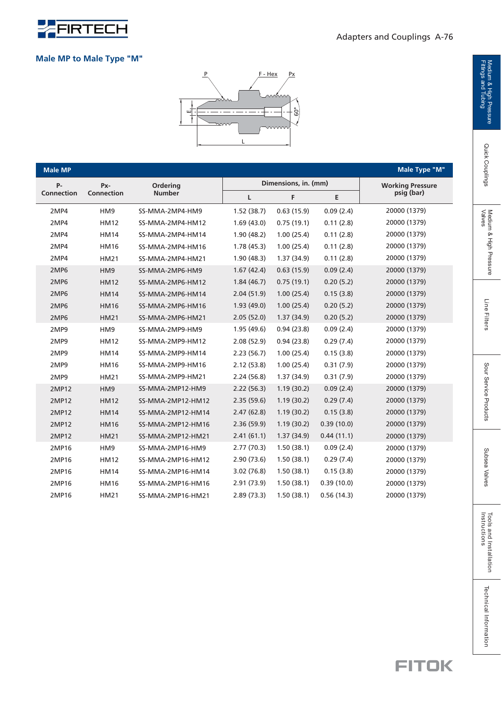

#### **Male MP to Male Type "M"**



| <b>Male MP</b>    |             |                   |            |                      |            | Male Type "M"           |
|-------------------|-------------|-------------------|------------|----------------------|------------|-------------------------|
| <b>P-</b>         | Px-         | Ordering          |            | Dimensions, in. (mm) |            | <b>Working Pressure</b> |
| <b>Connection</b> | Connection  | <b>Number</b>     | Г          | F                    | E          | psig (bar)              |
| 2MP4              | HM9         | SS-MMA-2MP4-HM9   | 1.52(38.7) | 0.63(15.9)           | 0.09(2.4)  | 20000 (1379)            |
| 2MP4              | <b>HM12</b> | SS-MMA-2MP4-HM12  | 1.69(43.0) | 0.75(19.1)           | 0.11(2.8)  | 20000 (1379)            |
| 2MP4              | <b>HM14</b> | SS-MMA-2MP4-HM14  | 1.90(48.2) | 1.00(25.4)           | 0.11(2.8)  | 20000 (1379)            |
| 2MP4              | <b>HM16</b> | SS-MMA-2MP4-HM16  | 1.78(45.3) | 1.00(25.4)           | 0.11(2.8)  | 20000 (1379)            |
| 2MP4              | <b>HM21</b> | SS-MMA-2MP4-HM21  | 1.90(48.3) | 1.37(34.9)           | 0.11(2.8)  | 20000 (1379)            |
| 2MP6              | HM9         | SS-MMA-2MP6-HM9   | 1.67(42.4) | 0.63(15.9)           | 0.09(2.4)  | 20000 (1379)            |
| 2MP6              | <b>HM12</b> | SS-MMA-2MP6-HM12  | 1.84(46.7) | 0.75(19.1)           | 0.20(5.2)  | 20000 (1379)            |
| 2MP6              | <b>HM14</b> | SS-MMA-2MP6-HM14  | 2.04(51.9) | 1.00(25.4)           | 0.15(3.8)  | 20000 (1379)            |
| 2MP6              | <b>HM16</b> | SS-MMA-2MP6-HM16  | 1.93(49.0) | 1.00(25.4)           | 0.20(5.2)  | 20000 (1379)            |
| 2MP6              | <b>HM21</b> | SS-MMA-2MP6-HM21  | 2.05(52.0) | 1.37(34.9)           | 0.20(5.2)  | 20000 (1379)            |
| 2MP9              | HM9         | SS-MMA-2MP9-HM9   | 1.95(49.6) | 0.94(23.8)           | 0.09(2.4)  | 20000 (1379)            |
| 2MP9              | <b>HM12</b> | SS-MMA-2MP9-HM12  | 2.08(52.9) | 0.94(23.8)           | 0.29(7.4)  | 20000 (1379)            |
| 2MP9              | <b>HM14</b> | SS-MMA-2MP9-HM14  | 2.23(56.7) | 1.00(25.4)           | 0.15(3.8)  | 20000 (1379)            |
| 2MP9              | <b>HM16</b> | SS-MMA-2MP9-HM16  | 2.12(53.8) | 1.00(25.4)           | 0.31(7.9)  | 20000 (1379)            |
| 2MP9              | <b>HM21</b> | SS-MMA-2MP9-HM21  | 2.24(56.8) | 1.37(34.9)           | 0.31(7.9)  | 20000 (1379)            |
| 2MP12             | HM9         | SS-MMA-2MP12-HM9  | 2.22(56.3) | 1.19(30.2)           | 0.09(2.4)  | 20000 (1379)            |
| 2MP12             | <b>HM12</b> | SS-MMA-2MP12-HM12 | 2.35(59.6) | 1.19(30.2)           | 0.29(7.4)  | 20000 (1379)            |
| 2MP12             | <b>HM14</b> | SS-MMA-2MP12-HM14 | 2.47(62.8) | 1.19(30.2)           | 0.15(3.8)  | 20000 (1379)            |
| 2MP12             | <b>HM16</b> | SS-MMA-2MP12-HM16 | 2.36(59.9) | 1.19(30.2)           | 0.39(10.0) | 20000 (1379)            |
| 2MP12             | <b>HM21</b> | SS-MMA-2MP12-HM21 | 2.41(61.1) | 1.37(34.9)           | 0.44(11.1) | 20000 (1379)            |
| 2MP16             | HM9         | SS-MMA-2MP16-HM9  | 2.77(70.3) | 1.50(38.1)           | 0.09(2.4)  | 20000 (1379)            |
| 2MP16             | <b>HM12</b> | SS-MMA-2MP16-HM12 | 2.90(73.6) | 1.50(38.1)           | 0.29(7.4)  | 20000 (1379)            |
| 2MP16             | <b>HM14</b> | SS-MMA-2MP16-HM14 | 3.02(76.8) | 1.50(38.1)           | 0.15(3.8)  | 20000 (1379)            |
| 2MP16             | <b>HM16</b> | SS-MMA-2MP16-HM16 | 2.91(73.9) | 1.50(38.1)           | 0.39(10.0) | 20000 (1379)            |
| 2MP16             | <b>HM21</b> | SS-MMA-2MP16-HM21 | 2.89(73.3) | 1.50(38.1)           | 0.56(14.3) | 20000 (1379)            |

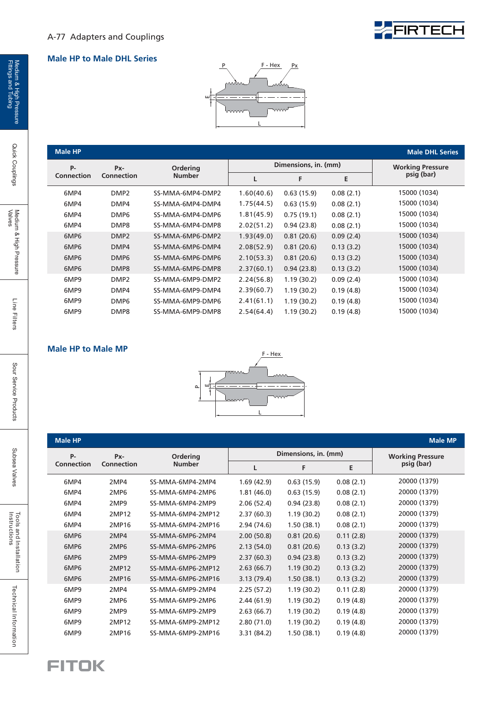## FERTECH

#### **Male HP to Male DHL Series**



| <b>Male HP</b>   |                   |                  |            |                      |                         | <b>Male DHL Series</b> |
|------------------|-------------------|------------------|------------|----------------------|-------------------------|------------------------|
| P-               | Px-               | <b>Ordering</b>  |            | Dimensions, in. (mm) | <b>Working Pressure</b> |                        |
| Connection       | <b>Connection</b> | <b>Number</b>    |            | F                    | E                       | psig (bar)             |
| 6MP4             | DMP <sub>2</sub>  | SS-MMA-6MP4-DMP2 | 1.60(40.6) | 0.63(15.9)           | 0.08(2.1)               | 15000 (1034)           |
| 6MP4             | DMP4              | SS-MMA-6MP4-DMP4 | 1.75(44.5) | 0.63(15.9)           | 0.08(2.1)               | 15000 (1034)           |
| 6MP4             | DMP <sub>6</sub>  | SS-MMA-6MP4-DMP6 | 1.81(45.9) | 0.75(19.1)           | 0.08(2.1)               | 15000 (1034)           |
| 6MP4             | DMP8              | SS-MMA-6MP4-DMP8 | 2.02(51.2) | 0.94(23.8)           | 0.08(2.1)               | 15000 (1034)           |
| 6MP6             | DMP <sub>2</sub>  | SS-MMA-6MP6-DMP2 | 1.93(49.0) | 0.81(20.6)           | 0.09(2.4)               | 15000 (1034)           |
| 6MP <sub>6</sub> | DMP4              | SS-MMA-6MP6-DMP4 | 2.08(52.9) | 0.81(20.6)           | 0.13(3.2)               | 15000 (1034)           |
| 6MP <sub>6</sub> | DMP <sub>6</sub>  | SS-MMA-6MP6-DMP6 | 2.10(53.3) | 0.81(20.6)           | 0.13(3.2)               | 15000 (1034)           |
| 6MP <sub>6</sub> | DMP8              | SS-MMA-6MP6-DMP8 | 2.37(60.1) | 0.94(23.8)           | 0.13(3.2)               | 15000 (1034)           |
| 6MP9             | DMP <sub>2</sub>  | SS-MMA-6MP9-DMP2 | 2.24(56.8) | 1.19(30.2)           | 0.09(2.4)               | 15000 (1034)           |
| 6MP9             | DMP4              | SS-MMA-6MP9-DMP4 | 2.39(60.7) | 1.19(30.2)           | 0.19(4.8)               | 15000 (1034)           |
| 6MP9             | DMP <sub>6</sub>  | SS-MMA-6MP9-DMP6 | 2.41(61.1) | 1.19(30.2)           | 0.19(4.8)               | 15000 (1034)           |
| 6MP9             | DMP8              | SS-MMA-6MP9-DMP8 | 2.54(64.4) | 1.19(30.2)           | 0.19(4.8)               | 15000 (1034)           |
|                  |                   |                  |            |                      |                         |                        |

#### **Male HP to Male MP**



| <b>Male HP</b>    |                   |                   |             |                      |           | <b>Male MP</b>          |
|-------------------|-------------------|-------------------|-------------|----------------------|-----------|-------------------------|
| P-                | Px-               | Ordering          |             | Dimensions, in. (mm) |           | <b>Working Pressure</b> |
| <b>Connection</b> | <b>Connection</b> | <b>Number</b>     | L           | F                    | E         | psig (bar)              |
| 6MP4              | 2MP4              | SS-MMA-6MP4-2MP4  | 1.69(42.9)  | 0.63(15.9)           | 0.08(2.1) | 20000 (1379)            |
| 6MP4              | 2MP <sub>6</sub>  | SS-MMA-6MP4-2MP6  | 1.81(46.0)  | 0.63(15.9)           | 0.08(2.1) | 20000 (1379)            |
| 6MP4              | 2MP9              | SS-MMA-6MP4-2MP9  | 2.06(52.4)  | 0.94(23.8)           | 0.08(2.1) | 20000 (1379)            |
| 6MP4              | 2MP12             | SS-MMA-6MP4-2MP12 | 2.37(60.3)  | 1.19(30.2)           | 0.08(2.1) | 20000 (1379)            |
| 6MP4              | 2MP16             | SS-MMA-6MP4-2MP16 | 2.94 (74.6) | 1.50(38.1)           | 0.08(2.1) | 20000 (1379)            |
| 6MP6              | 2MP4              | SS-MMA-6MP6-2MP4  | 2.00(50.8)  | 0.81(20.6)           | 0.11(2.8) | 20000 (1379)            |
| 6MP6              | 2MP <sub>6</sub>  | SS-MMA-6MP6-2MP6  | 2.13(54.0)  | 0.81(20.6)           | 0.13(3.2) | 20000 (1379)            |
| 6MP6              | 2MP9              | SS-MMA-6MP6-2MP9  | 2.37(60.3)  | 0.94(23.8)           | 0.13(3.2) | 20000 (1379)            |
| 6MP6              | 2MP12             | SS-MMA-6MP6-2MP12 | 2.63(66.7)  | 1.19(30.2)           | 0.13(3.2) | 20000 (1379)            |
| 6MP6              | 2MP16             | SS-MMA-6MP6-2MP16 | 3.13(79.4)  | 1.50(38.1)           | 0.13(3.2) | 20000 (1379)            |
| 6MP9              | 2MP4              | SS-MMA-6MP9-2MP4  | 2.25(57.2)  | 1.19(30.2)           | 0.11(2.8) | 20000 (1379)            |
| 6MP9              | 2MP <sub>6</sub>  | SS-MMA-6MP9-2MP6  | 2.44(61.9)  | 1.19(30.2)           | 0.19(4.8) | 20000 (1379)            |
| 6MP9              | 2MP9              | SS-MMA-6MP9-2MP9  | 2.63(66.7)  | 1.19(30.2)           | 0.19(4.8) | 20000 (1379)            |
| 6MP9              | 2MP12             | SS-MMA-6MP9-2MP12 | 2.80(71.0)  | 1.19(30.2)           | 0.19(4.8) | 20000 (1379)            |
| 6MP9              | 2MP16             | SS-MMA-6MP9-2MP16 | 3.31 (84.2) | 1.50(38.1)           | 0.19(4.8) | 20000 (1379)            |



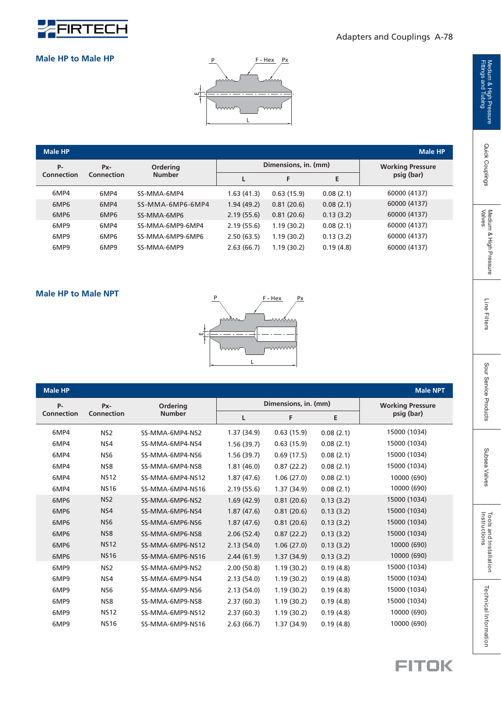

#### Adapters and Couplings A-78

#### **Male HP to Male HP**



| <b>Male HP</b>   |                   |                           |             |                      |                         | <b>Male HP</b> |
|------------------|-------------------|---------------------------|-------------|----------------------|-------------------------|----------------|
| <b>P-</b>        | Px-<br>Connection | Ordering<br><b>Number</b> |             | Dimensions, in. (mm) | <b>Working Pressure</b> |                |
| Connection       |                   |                           |             | F                    | E                       | psig (bar)     |
| 6MP4             | 6MP4              | SS-MMA-6MP4               | 1.63 (41.3) | 0.63(15.9)           | 0.08(2.1)               | 60000 (4137)   |
| 6MP <sub>6</sub> | 6MP4              | SS-MMA-6MP6-6MP4          | 1.94(49.2)  | 0.81(20.6)           | 0.08(2.1)               | 60000 (4137)   |
| 6MP6             | 6MP <sub>6</sub>  | SS-MMA-6MP6               | 2.19(55.6)  | 0.81(20.6)           | 0.13(3.2)               | 60000 (4137)   |
| 6MP9             | 6MP4              | SS-MMA-6MP9-6MP4          | 2.19(55.6)  | 1.19(30.2)           | 0.08(2.1)               | 60000 (4137)   |
| 6MP9             | 6MP6              | SS-MMA-6MP9-6MP6          | 2.50(63.5)  | 1.19(30.2)           | 0.13(3.2)               | 60000 (4137)   |
| 6MP9             | 6MP9              | SS-MMA-6MP9               | 2.63(66.7)  | 1.19(30.2)           | 0.19(4.8)               | 60000 (4137)   |



#### 1.37 (34.9) 0.63 (15.9) 1.56 (39.7)  $1.81(46.0)$  $1.87(47.6)$ 2.19 (55.6)  $1.69(42.9)$  $1.87(47.6)$  $1.87(47.6)$  $2.06(52.4)$  $2.44(61.9)$  $2.00(50.8)$ 2.13 (54.0) 2.13 (54.0)  $2.37(60.3)$  $2.37(60.3)$  $2.63(66.7)$ 2.13 (54.0)  $0.63(15.9)$  $0.69(17.5)$  $0.87(22.2)$  $1.06(27.0)$  $1.37(34.9)$  $0.81(20.6)$  $0.87(22.2)$ 1.06 (27.0) 1.37 (34.9)  $0.81(20.6)$  $0.81(20.6)$  $1.19(30.2)$ 1.37 (34.9)  $1.19(30.2)$  $1.19(30.2)$  $1.19(30.2)$  $1.19(30.2)$ 1.56 (39.7) 6MP4 6MP4 6MP4 6MP4 6MP4 6MP4 6MP6 6MP6 6MP6 6MP6 6MP6 6MP6 6MP9 6MP9 6MP9 6MP9 6MP9 6MP9 SS-MMA-6MP4-NS2 SS-MMA-6MP4-NS6 SS-MMA-6MP4-NS8 SS-MMA-6MP4-NS12 SS-MMA-6MP4-NS16 SS-MMA-6MP6-NS2 SS-MMA-6MP6-NS4 SS-MMA-6MP6-NS6 SS-MMA-6MP6-NS8 SS-MMA-6MP6-NS12 SS-MMA-6MP6-NS16 SS-MMA-6MP9-NS2 SS-MMA-6MP9-NS4 SS-MMA-6MP9-NS6 SS-MMA-6MP9-NS8 SS-MMA-6MP9-NS12 SS-MMA-6MP9-NS16 SS-MMA-6MP4-NS4  $0.08(2.1)$  $0.08(2.1)$  $0.08(2.1)$  $0.08(2.1)$  $0.08(2.1)$  $0.08(2.1)$  $0.13(3.2)$  $0.13(3.2)$  $0.13(3.2)$  $0.13(3.2)$  $0.13(3.2)$  $0.13(3.2)$  $0.19(4.8)$  $0.19(4.8)$  $0.19(4.8)$  $0.19(4.8)$  $0.19(4.8)$  $0.19(4.8)$ 15000 (1034) 15000 (1034) 15000 (1034) 15000 (1034) 15000 (1034) 15000 (1034) 15000 (1034) 15000 (1034) 15000 (1034) 15000 (1034) 15000 (1034) 15000 (1034) 10000 (690) 10000 (690) 10000 (690) 10000 (690) 10000 (690) 10000 (690) **Dimensions, in. (mm) L FE Male HP Male NPT Working Pressure psig (bar) Ordering Number P-Connection Px-Connection** NS2 NS4 NS6 NS8 NS12 NS16 NS2 NS4 NS6 NS8 NS12 NS16 NS2 NS4 NS6 NS8 NS12 NS16

Medium & High Pressure<br>Fittings and Tubing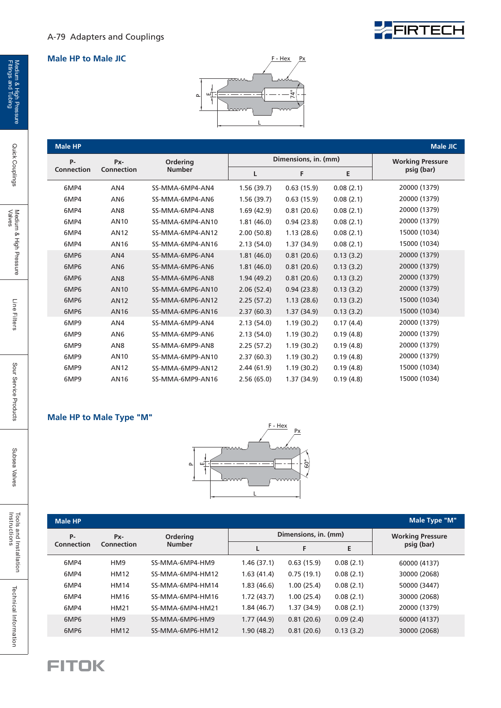

FIRTECH

| <b>Male HP</b>   |                   |                  |            |                      |           | <b>Male JIC</b>         |
|------------------|-------------------|------------------|------------|----------------------|-----------|-------------------------|
| <b>P-</b>        | Px-               | Ordering         |            | Dimensions, in. (mm) |           | <b>Working Pressure</b> |
| Connection       | <b>Connection</b> | <b>Number</b>    | L          | F                    | Е         | psig (bar)              |
| 6MP4             | AN4               | SS-MMA-6MP4-AN4  | 1.56(39.7) | 0.63(15.9)           | 0.08(2.1) | 20000 (1379)            |
| 6MP4             | AN <sub>6</sub>   | SS-MMA-6MP4-AN6  | 1.56(39.7) | 0.63(15.9)           | 0.08(2.1) | 20000 (1379)            |
| 6MP4             | AN <sub>8</sub>   | SS-MMA-6MP4-AN8  | 1.69(42.9) | 0.81(20.6)           | 0.08(2.1) | 20000 (1379)            |
| 6MP4             | AN <sub>10</sub>  | SS-MMA-6MP4-AN10 | 1.81(46.0) | 0.94(23.8)           | 0.08(2.1) | 20000 (1379)            |
| 6MP4             | <b>AN12</b>       | SS-MMA-6MP4-AN12 | 2.00(50.8) | 1.13(28.6)           | 0.08(2.1) | 15000 (1034)            |
| 6MP4             | AN16              | SS-MMA-6MP4-AN16 | 2.13(54.0) | 1.37(34.9)           | 0.08(2.1) | 15000 (1034)            |
| 6MP6             | AN4               | SS-MMA-6MP6-AN4  | 1.81(46.0) | 0.81(20.6)           | 0.13(3.2) | 20000 (1379)            |
| 6MP <sub>6</sub> | AN <sub>6</sub>   | SS-MMA-6MP6-AN6  | 1.81(46.0) | 0.81(20.6)           | 0.13(3.2) | 20000 (1379)            |
| 6MP6             | AN <sub>8</sub>   | SS-MMA-6MP6-AN8  | 1.94(49.2) | 0.81(20.6)           | 0.13(3.2) | 20000 (1379)            |
| 6MP6             | <b>AN10</b>       | SS-MMA-6MP6-AN10 | 2.06(52.4) | 0.94(23.8)           | 0.13(3.2) | 20000 (1379)            |
| 6MP6             | <b>AN12</b>       | SS-MMA-6MP6-AN12 | 2.25(57.2) | 1.13(28.6)           | 0.13(3.2) | 15000 (1034)            |
| 6MP6             | AN16              | SS-MMA-6MP6-AN16 | 2.37(60.3) | 1.37(34.9)           | 0.13(3.2) | 15000 (1034)            |
| 6MP9             | AN4               | SS-MMA-6MP9-AN4  | 2.13(54.0) | 1.19(30.2)           | 0.17(4.4) | 20000 (1379)            |
| 6MP9             | AN <sub>6</sub>   | SS-MMA-6MP9-AN6  | 2.13(54.0) | 1.19(30.2)           | 0.19(4.8) | 20000 (1379)            |
| 6MP9             | AN <sub>8</sub>   | SS-MMA-6MP9-AN8  | 2.25(57.2) | 1.19(30.2)           | 0.19(4.8) | 20000 (1379)            |
| 6MP9             | AN <sub>10</sub>  | SS-MMA-6MP9-AN10 | 2.37(60.3) | 1.19(30.2)           | 0.19(4.8) | 20000 (1379)            |
| 6MP9             | AN12              | SS-MMA-6MP9-AN12 | 2.44(61.9) | 1.19(30.2)           | 0.19(4.8) | 15000 (1034)            |
| 6MP9             | AN16              | SS-MMA-6MP9-AN16 | 2.56(65.0) | 1.37(34.9)           | 0.19(4.8) | 15000 (1034)            |

#### **Male HP to Male Type "M"**



| <b>Male HP</b>   |                           |                  |             |                      |                         | Male Type "M" |
|------------------|---------------------------|------------------|-------------|----------------------|-------------------------|---------------|
| P-               | <b>Ordering</b><br>$Px -$ |                  |             | Dimensions, in. (mm) | <b>Working Pressure</b> |               |
| Connection       | Connection                | <b>Number</b>    | L           | F                    | E                       | psig (bar)    |
| 6MP4             | HM <sub>9</sub>           | SS-MMA-6MP4-HM9  | 1.46(37.1)  | 0.63(15.9)           | 0.08(2.1)               | 60000 (4137)  |
| 6MP4             | <b>HM12</b>               | SS-MMA-6MP4-HM12 | 1.63(41.4)  | 0.75(19.1)           | 0.08(2.1)               | 30000 (2068)  |
| 6MP4             | <b>HM14</b>               | SS-MMA-6MP4-HM14 | 1.83(46.6)  | 1.00(25.4)           | 0.08(2.1)               | 50000 (3447)  |
| 6MP4             | <b>HM16</b>               | SS-MMA-6MP4-HM16 | 1.72(43.7)  | 1.00(25.4)           | 0.08(2.1)               | 30000 (2068)  |
| 6MP4             | <b>HM21</b>               | SS-MMA-6MP4-HM21 | 1.84 (46.7) | 1.37(34.9)           | 0.08(2.1)               | 20000 (1379)  |
| 6MP <sub>6</sub> | HM <sub>9</sub>           | SS-MMA-6MP6-HM9  | 1.77(44.9)  | 0.81(20.6)           | 0.09(2.4)               | 60000 (4137)  |
| 6MP <sub>6</sub> | <b>HM12</b>               | SS-MMA-6MP6-HM12 | 1.90(48.2)  | 0.81(20.6)           | 0.13(3.2)               | 30000 (2068)  |



Quick Couplings

Line Filters

Tools and Installation<br>Instructions

Technical Information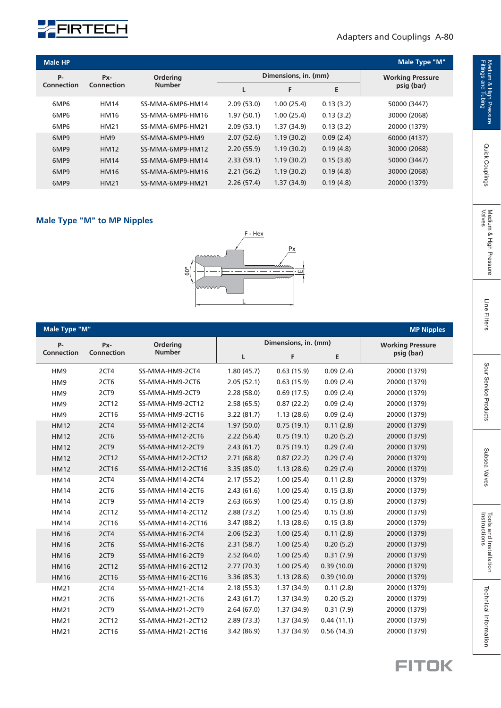

#### Adapters and Couplings A-80

| <b>Male HP</b>           |                 |                  |            |                      |            | <b>Male Type "M"</b>    |
|--------------------------|-----------------|------------------|------------|----------------------|------------|-------------------------|
| <b>P-</b>                | Px-             | <b>Ordering</b>  |            | Dimensions, in. (mm) |            | <b>Working Pressure</b> |
| Connection<br>Connection | <b>Number</b>   |                  | F          | Е                    | psig (bar) |                         |
| 6MP <sub>6</sub>         | <b>HM14</b>     | SS-MMA-6MP6-HM14 | 2.09(53.0) | 1.00(25.4)           | 0.13(3.2)  | 50000 (3447)            |
| 6MP <sub>6</sub>         | <b>HM16</b>     | SS-MMA-6MP6-HM16 | 1.97(50.1) | 1.00(25.4)           | 0.13(3.2)  | 30000 (2068)            |
| 6MP <sub>6</sub>         | <b>HM21</b>     | SS-MMA-6MP6-HM21 | 2.09(53.1) | 1.37(34.9)           | 0.13(3.2)  | 20000 (1379)            |
| 6MP9                     | HM <sub>9</sub> | SS-MMA-6MP9-HM9  | 2.07(52.6) | 1.19(30.2)           | 0.09(2.4)  | 60000 (4137)            |
| 6MP9                     | <b>HM12</b>     | SS-MMA-6MP9-HM12 | 2.20(55.9) | 1.19(30.2)           | 0.19(4.8)  | 30000 (2068)            |
| 6MP9                     | <b>HM14</b>     | SS-MMA-6MP9-HM14 | 2.33(59.1) | 1.19(30.2)           | 0.15(3.8)  | 50000 (3447)            |
| 6MP9                     | <b>HM16</b>     | SS-MMA-6MP9-HM16 | 2.21(56.2) | 1.19(30.2)           | 0.19(4.8)  | 30000 (2068)            |
| 6MP9                     | <b>HM21</b>     | SS-MMA-6MP9-HM21 | 2.26(57.4) | 1.37(34.9)           | 0.19(4.8)  | 20000 (1379)            |

#### **Male Type "M" to MP Nipples**



| Male Type "M"<br><b>MP Nipples</b> |                  |                   |             |                      |            |                         |  |  |
|------------------------------------|------------------|-------------------|-------------|----------------------|------------|-------------------------|--|--|
| <b>P-</b>                          | Px-              | Ordering          |             | Dimensions, in. (mm) |            | <b>Working Pressure</b> |  |  |
| Connection                         | Connection       | <b>Number</b>     | L           | F                    | E          | psig (bar)              |  |  |
| HM9                                | 2CT4             | SS-MMA-HM9-2CT4   | 1.80(45.7)  | 0.63(15.9)           | 0.09(2.4)  | 20000 (1379)            |  |  |
| HM9                                | 2CT6             | SS-MMA-HM9-2CT6   | 2.05(52.1)  | 0.63(15.9)           | 0.09(2.4)  | 20000 (1379)            |  |  |
| HM9                                | 2CT9             | SS-MMA-HM9-2CT9   | 2.28(58.0)  | 0.69(17.5)           | 0.09(2.4)  | 20000 (1379)            |  |  |
| HM <sub>9</sub>                    | 2CT12            | SS-MMA-HM9-2CT12  | 2.58(65.5)  | 0.87(22.2)           | 0.09(2.4)  | 20000 (1379)            |  |  |
| HM9                                | 2CT16            | SS-MMA-HM9-2CT16  | 3.22(81.7)  | 1.13(28.6)           | 0.09(2.4)  | 20000 (1379)            |  |  |
| <b>HM12</b>                        | 2CT4             | SS-MMA-HM12-2CT4  | 1.97(50.0)  | 0.75(19.1)           | 0.11(2.8)  | 20000 (1379)            |  |  |
| <b>HM12</b>                        | 2CT6             | SS-MMA-HM12-2CT6  | 2.22(56.4)  | 0.75(19.1)           | 0.20(5.2)  | 20000 (1379)            |  |  |
| <b>HM12</b>                        | 2CT9             | SS-MMA-HM12-2CT9  | 2.43(61.7)  | 0.75(19.1)           | 0.29(7.4)  | 20000 (1379)            |  |  |
| <b>HM12</b>                        | 2CT12            | SS-MMA-HM12-2CT12 | 2.71(68.8)  | 0.87(22.2)           | 0.29(7.4)  | 20000 (1379)            |  |  |
| <b>HM12</b>                        | 2CT16            | SS-MMA-HM12-2CT16 | 3.35(85.0)  | 1.13(28.6)           | 0.29(7.4)  | 20000 (1379)            |  |  |
| <b>HM14</b>                        | 2CT4             | SS-MMA-HM14-2CT4  | 2.17(55.2)  | 1.00(25.4)           | 0.11(2.8)  | 20000 (1379)            |  |  |
| <b>HM14</b>                        | 2CT6             | SS-MMA-HM14-2CT6  | 2.43(61.6)  | 1.00(25.4)           | 0.15(3.8)  | 20000 (1379)            |  |  |
| <b>HM14</b>                        | 2CT9             | SS-MMA-HM14-2CT9  | 2.63(66.9)  | 1.00(25.4)           | 0.15(3.8)  | 20000 (1379)            |  |  |
| <b>HM14</b>                        | 2CT12            | SS-MMA-HM14-2CT12 | 2.88(73.2)  | 1.00(25.4)           | 0.15(3.8)  | 20000 (1379)            |  |  |
| <b>HM14</b>                        | 2CT16            | SS-MMA-HM14-2CT16 | 3.47(88.2)  | 1.13(28.6)           | 0.15(3.8)  | 20000 (1379)            |  |  |
| <b>HM16</b>                        | 2CT4             | SS-MMA-HM16-2CT4  | 2.06(52.3)  | 1.00(25.4)           | 0.11(2.8)  | 20000 (1379)            |  |  |
| <b>HM16</b>                        | 2CT <sub>6</sub> | SS-MMA-HM16-2CT6  | 2.31(58.7)  | 1.00(25.4)           | 0.20(5.2)  | 20000 (1379)            |  |  |
| <b>HM16</b>                        | 2CT9             | SS-MMA-HM16-2CT9  | 2.52(64.0)  | 1.00(25.4)           | 0.31(7.9)  | 20000 (1379)            |  |  |
| <b>HM16</b>                        | 2CT12            | SS-MMA-HM16-2CT12 | 2.77(70.3)  | 1.00(25.4)           | 0.39(10.0) | 20000 (1379)            |  |  |
| <b>HM16</b>                        | 2CT16            | SS-MMA-HM16-2CT16 | 3.36(85.3)  | 1.13(28.6)           | 0.39(10.0) | 20000 (1379)            |  |  |
| <b>HM21</b>                        | 2CT4             | SS-MMA-HM21-2CT4  | 2.18(55.3)  | 1.37(34.9)           | 0.11(2.8)  | 20000 (1379)            |  |  |
| <b>HM21</b>                        | 2CT6             | SS-MMA-HM21-2CT6  | 2.43(61.7)  | 1.37 (34.9)          | 0.20(5.2)  | 20000 (1379)            |  |  |
| <b>HM21</b>                        | 2CT9             | SS-MMA-HM21-2CT9  | 2.64(67.0)  | 1.37(34.9)           | 0.31(7.9)  | 20000 (1379)            |  |  |
| <b>HM21</b>                        | 2CT12            | SS-MMA-HM21-2CT12 | 2.89(73.3)  | 1.37(34.9)           | 0.44(11.1) | 20000 (1379)            |  |  |
| <b>HM21</b>                        | 2CT16            | SS-MMA-HM21-2CT16 | 3.42 (86.9) | 1.37(34.9)           | 0.56(14.3) | 20000 (1379)            |  |  |

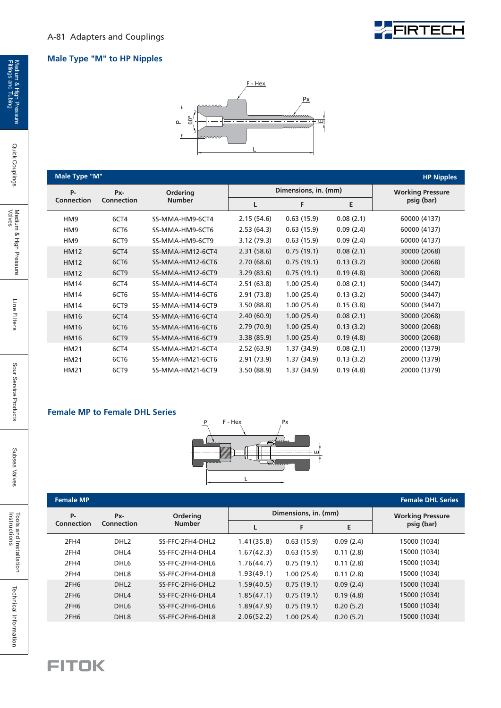## FIRTECH

#### **Male Type "M" to HP Nipples**



| Male Type "M"     |                   |                  |             |                      |                         | <b>HP Nipples</b> |
|-------------------|-------------------|------------------|-------------|----------------------|-------------------------|-------------------|
| <b>P-</b>         | Px-               | Ordering         |             | Dimensions, in. (mm) | <b>Working Pressure</b> |                   |
| <b>Connection</b> | <b>Connection</b> | <b>Number</b>    | L           | F                    | E                       | psig (bar)        |
| HM9               | 6CT4              | SS-MMA-HM9-6CT4  | 2.15(54.6)  | 0.63(15.9)           | 0.08(2.1)               | 60000 (4137)      |
| HM <sub>9</sub>   | 6CT6              | SS-MMA-HM9-6CT6  | 2.53(64.3)  | 0.63(15.9)           | 0.09(2.4)               | 60000 (4137)      |
| HM <sub>9</sub>   | 6CT9              | SS-MMA-HM9-6CT9  | 3.12(79.3)  | 0.63(15.9)           | 0.09(2.4)               | 60000 (4137)      |
| <b>HM12</b>       | 6CT4              | SS-MMA-HM12-6CT4 | 2.31(58.6)  | 0.75(19.1)           | 0.08(2.1)               | 30000 (2068)      |
| <b>HM12</b>       | 6CT6              | SS-MMA-HM12-6CT6 | 2.70(68.6)  | 0.75(19.1)           | 0.13(3.2)               | 30000 (2068)      |
| <b>HM12</b>       | 6CT9              | SS-MMA-HM12-6CT9 | 3.29(83.6)  | 0.75(19.1)           | 0.19(4.8)               | 30000 (2068)      |
| <b>HM14</b>       | 6CT4              | SS-MMA-HM14-6CT4 | 2.51(63.8)  | 1.00(25.4)           | 0.08(2.1)               | 50000 (3447)      |
| <b>HM14</b>       | 6CT6              | SS-MMA-HM14-6CT6 | 2.91(73.8)  | 1.00(25.4)           | 0.13(3.2)               | 50000 (3447)      |
| <b>HM14</b>       | 6CT9              | SS-MMA-HM14-6CT9 | 3.50(88.8)  | 1.00(25.4)           | 0.15(3.8)               | 50000 (3447)      |
| <b>HM16</b>       | 6CT4              | SS-MMA-HM16-6CT4 | 2.40(60.9)  | 1.00(25.4)           | 0.08(2.1)               | 30000 (2068)      |
| <b>HM16</b>       | 6CT6              | SS-MMA-HM16-6CT6 | 2.79(70.9)  | 1.00(25.4)           | 0.13(3.2)               | 30000 (2068)      |
| <b>HM16</b>       | 6CT9              | SS-MMA-HM16-6CT9 | 3.38(85.9)  | 1.00(25.4)           | 0.19(4.8)               | 30000 (2068)      |
| <b>HM21</b>       | 6CT4              | SS-MMA-HM21-6CT4 | 2.52(63.9)  | 1.37(34.9)           | 0.08(2.1)               | 20000 (1379)      |
| <b>HM21</b>       | 6CT6              | SS-MMA-HM21-6CT6 | 2.91 (73.9) | 1.37(34.9)           | 0.13(3.2)               | 20000 (1379)      |
| <b>HM21</b>       | 6CT9              | SS-MMA-HM21-6CT9 | 3.50 (88.9) | 1.37(34.9)           | 0.19(4.8)               | 20000 (1379)      |

#### **Female MP to Female DHL Series**



| <b>Female MP</b> |                   |                  |            |                      |                         | <b>Female DHL Series</b> |
|------------------|-------------------|------------------|------------|----------------------|-------------------------|--------------------------|
| <b>P-</b>        | Px-               | <b>Ordering</b>  |            | Dimensions, in. (mm) | <b>Working Pressure</b> |                          |
| Connection       | <b>Connection</b> | <b>Number</b>    |            | F                    | E                       | psig (bar)               |
| 2FH4             | DHL <sub>2</sub>  | SS-FFC-2FH4-DHL2 | 1.41(35.8) | 0.63(15.9)           | 0.09(2.4)               | 15000 (1034)             |
| 2FH4             | DHL4              | SS-FFC-2FH4-DHL4 | 1.67(42.3) | 0.63(15.9)           | 0.11(2.8)               | 15000 (1034)             |
| 2FH4             | DHL <sub>6</sub>  | SS-FFC-2FH4-DHL6 | 1.76(44.7) | 0.75(19.1)           | 0.11(2.8)               | 15000 (1034)             |
| 2FH4             | DHL <sub>8</sub>  | SS-FFC-2FH4-DHL8 | 1.93(49.1) | 1.00(25.4)           | 0.11(2.8)               | 15000 (1034)             |
| 2FH <sub>6</sub> | DHL <sub>2</sub>  | SS-FFC-2FH6-DHL2 | 1.59(40.5) | 0.75(19.1)           | 0.09(2.4)               | 15000 (1034)             |
| 2FH <sub>6</sub> | DHL4              | SS-FFC-2FH6-DHL4 | 1.85(47.1) | 0.75(19.1)           | 0.19(4.8)               | 15000 (1034)             |
| 2FH <sub>6</sub> | DHL <sub>6</sub>  | SS-FFC-2FH6-DHL6 | 1.89(47.9) | 0.75(19.1)           | 0.20(5.2)               | 15000 (1034)             |
| 2FH <sub>6</sub> | DHL <sub>8</sub>  | SS-FFC-2FH6-DHL8 | 2.06(52.2) | 1.00(25.4)           | 0.20(5.2)               | 15000 (1034)             |

Quick Couplings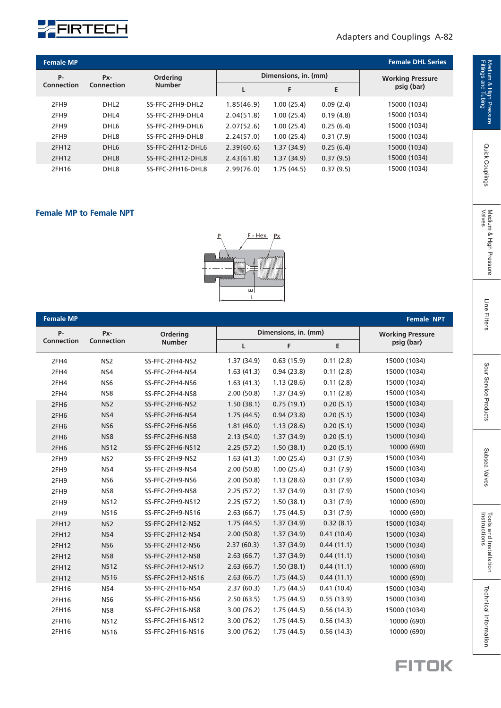

#### Adapters and Couplings A-82

| <b>Female MP</b>                    |                  |                   |                      |                         |           | <b>Female DHL Series</b> |
|-------------------------------------|------------------|-------------------|----------------------|-------------------------|-----------|--------------------------|
| <b>P-</b><br><b>Ordering</b><br>Px- |                  |                   | Dimensions, in. (mm) | <b>Working Pressure</b> |           |                          |
| <b>Connection</b>                   | Connection       | <b>Number</b>     |                      | F                       | Е         | psig (bar)               |
| 2FH <sub>9</sub>                    | DHL <sub>2</sub> | SS-FFC-2FH9-DHL2  | 1.85(46.9)           | 1.00(25.4)              | 0.09(2.4) | 15000 (1034)             |
| 2FH <sub>9</sub>                    | DHL4             | SS-FFC-2FH9-DHL4  | 2.04(51.8)           | 1.00(25.4)              | 0.19(4.8) | 15000 (1034)             |
| 2FH <sub>9</sub>                    | DHL <sub>6</sub> | SS-FFC-2FH9-DHL6  | 2.07(52.6)           | 1.00(25.4)              | 0.25(6.4) | 15000 (1034)             |
| 2FH <sub>9</sub>                    | DHL <sub>8</sub> | SS-FFC-2FH9-DHL8  | 2.24(57.0)           | 1.00(25.4)              | 0.31(7.9) | 15000 (1034)             |
| 2FH12                               | DHL <sub>6</sub> | SS-FFC-2FH12-DHL6 | 2.39(60.6)           | 1.37(34.9)              | 0.25(6.4) | 15000 (1034)             |
| 2FH12                               | DHL <sub>8</sub> | SS-FFC-2FH12-DHL8 | 2.43(61.8)           | 1.37(34.9)              | 0.37(9.5) | 15000 (1034)             |
| 2FH16                               | DHL <sub>8</sub> | SS-FFC-2FH16-DHL8 | 2.99(76.0)           | 1.75(44.5)              | 0.37(9.5) | 15000 (1034)             |

#### **Female MP to Female NPT**



| <b>Female MP</b> |                 |                   |            |                      |                         | <b>Female NPT</b> |
|------------------|-----------------|-------------------|------------|----------------------|-------------------------|-------------------|
| $P -$            | Px-             | Ordering          |            | Dimensions, in. (mm) | <b>Working Pressure</b> |                   |
| Connection       | Connection      | <b>Number</b>     | L          | F                    | E                       | psig (bar)        |
| 2FH4             | NS <sub>2</sub> | SS-FFC-2FH4-NS2   | 1.37(34.9) | 0.63(15.9)           | 0.11(2.8)               | 15000 (1034)      |
| 2FH4             | NS4             | SS-FFC-2FH4-NS4   | 1.63(41.3) | 0.94(23.8)           | 0.11(2.8)               | 15000 (1034)      |
| 2FH4             | NS <sub>6</sub> | SS-FFC-2FH4-NS6   | 1.63(41.3) | 1.13(28.6)           | 0.11(2.8)               | 15000 (1034)      |
| 2FH4             | NS8             | SS-FFC-2FH4-NS8   | 2.00(50.8) | 1.37(34.9)           | 0.11(2.8)               | 15000 (1034)      |
| 2FH <sub>6</sub> | NS <sub>2</sub> | SS-FFC-2FH6-NS2   | 1.50(38.1) | 0.75(19.1)           | 0.20(5.1)               | 15000 (1034)      |
| 2FH <sub>6</sub> | NS4             | SS-FFC-2FH6-NS4   | 1.75(44.5) | 0.94(23.8)           | 0.20(5.1)               | 15000 (1034)      |
| 2FH <sub>6</sub> | NS <sub>6</sub> | SS-FFC-2FH6-NS6   | 1.81(46.0) | 1.13(28.6)           | 0.20(5.1)               | 15000 (1034)      |
| 2FH <sub>6</sub> | NS8             | SS-FFC-2FH6-NS8   | 2.13(54.0) | 1.37(34.9)           | 0.20(5.1)               | 15000 (1034)      |
| 2FH <sub>6</sub> | <b>NS12</b>     | SS-FFC-2FH6-NS12  | 2.25(57.2) | 1.50(38.1)           | 0.20(5.1)               | 10000 (690)       |
| 2FH9             | NS <sub>2</sub> | SS-FFC-2FH9-NS2   | 1.63(41.3) | 1.00(25.4)           | 0.31(7.9)               | 15000 (1034)      |
| 2FH9             | NS4             | SS-FFC-2FH9-NS4   | 2.00(50.8) | 1.00(25.4)           | 0.31(7.9)               | 15000 (1034)      |
| 2FH9             | NS <sub>6</sub> | SS-FFC-2FH9-NS6   | 2.00(50.8) | 1.13(28.6)           | 0.31(7.9)               | 15000 (1034)      |
| 2FH9             | NS8             | SS-FFC-2FH9-NS8   | 2.25(57.2) | 1.37(34.9)           | 0.31(7.9)               | 15000 (1034)      |
| 2FH9             | <b>NS12</b>     | SS-FFC-2FH9-NS12  | 2.25(57.2) | 1.50(38.1)           | 0.31(7.9)               | 10000 (690)       |
| 2FH9             | <b>NS16</b>     | SS-FFC-2FH9-NS16  | 2.63(66.7) | 1.75(44.5)           | 0.31(7.9)               | 10000 (690)       |
| 2FH12            | NS <sub>2</sub> | SS-FFC-2FH12-NS2  | 1.75(44.5) | 1.37(34.9)           | 0.32(8.1)               | 15000 (1034)      |
| 2FH12            | NS4             | SS-FFC-2FH12-NS4  | 2.00(50.8) | 1.37(34.9)           | 0.41(10.4)              | 15000 (1034)      |
| 2FH12            | NS <sub>6</sub> | SS-FFC-2FH12-NS6  | 2.37(60.3) | 1.37(34.9)           | 0.44(11.1)              | 15000 (1034)      |
| 2FH12            | NS8             | SS-FFC-2FH12-NS8  | 2.63(66.7) | 1.37(34.9)           | 0.44(11.1)              | 15000 (1034)      |
| 2FH12            | <b>NS12</b>     | SS-FFC-2FH12-NS12 | 2.63(66.7) | 1.50(38.1)           | 0.44(11.1)              | 10000 (690)       |
| 2FH12            | <b>NS16</b>     | SS-FFC-2FH12-NS16 | 2.63(66.7) | 1.75(44.5)           | 0.44(11.1)              | 10000 (690)       |
| 2FH16            | NS4             | SS-FFC-2FH16-NS4  | 2.37(60.3) | 1.75(44.5)           | 0.41(10.4)              | 15000 (1034)      |
| 2FH16            | NS <sub>6</sub> | SS-FFC-2FH16-NS6  | 2.50(63.5) | 1.75(44.5)           | 0.55(13.9)              | 15000 (1034)      |
| 2FH16            | NS8             | SS-FFC-2FH16-NS8  | 3.00(76.2) | 1.75(44.5)           | 0.56(14.3)              | 15000 (1034)      |
| 2FH16            | <b>NS12</b>     | SS-FFC-2FH16-NS12 | 3.00(76.2) | 1.75(44.5)           | 0.56(14.3)              | 10000 (690)       |
| 2FH16            | <b>NS16</b>     | SS-FFC-2FH16-NS16 | 3.00(76.2) | 1.75(44.5)           | 0.56(14.3)              | 10000 (690)       |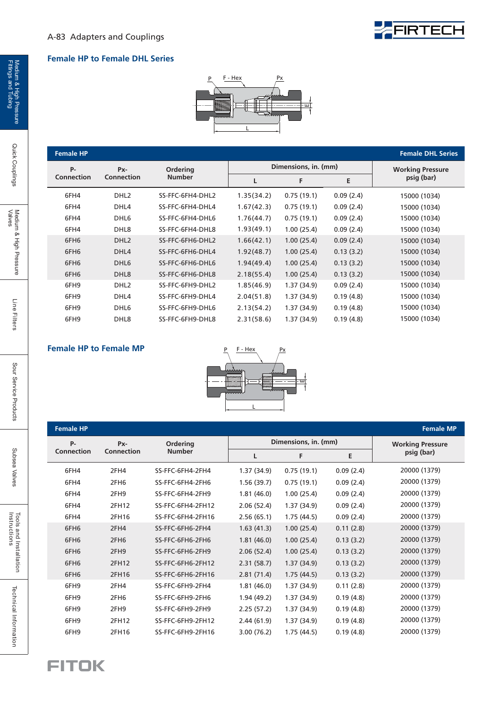#### **Female HP to Female DHL Series**



#### **Female HP Female DHL Series**

| P-                | Px-               | <b>Ordering</b>  | Dimensions, in. (mm) |             |           | <b>Working Pressure</b> |
|-------------------|-------------------|------------------|----------------------|-------------|-----------|-------------------------|
| <b>Connection</b> | <b>Connection</b> | <b>Number</b>    | L                    | F           | E         | psig (bar)              |
| 6FH4              | DHL <sub>2</sub>  | SS-FFC-6FH4-DHL2 | 1.35(34.2)           | 0.75(19.1)  | 0.09(2.4) | 15000 (1034)            |
| 6FH4              | DHL4              | SS-FFC-6FH4-DHL4 | 1.67(42.3)           | 0.75(19.1)  | 0.09(2.4) | 15000 (1034)            |
| 6FH4              | DHL <sub>6</sub>  | SS-FFC-6FH4-DHL6 | 1.76(44.7)           | 0.75(19.1)  | 0.09(2.4) | 15000 (1034)            |
| 6FH4              | DHL <sub>8</sub>  | SS-FFC-6FH4-DHL8 | 1.93(49.1)           | 1.00(25.4)  | 0.09(2.4) | 15000 (1034)            |
| 6FH <sub>6</sub>  | DHL <sub>2</sub>  | SS-FFC-6FH6-DHL2 | 1.66(42.1)           | 1.00(25.4)  | 0.09(2.4) | 15000 (1034)            |
| 6FH <sub>6</sub>  | DHL4              | SS-FFC-6FH6-DHL4 | 1.92(48.7)           | 1.00(25.4)  | 0.13(3.2) | 15000 (1034)            |
| 6FH <sub>6</sub>  | DHL <sub>6</sub>  | SS-FFC-6FH6-DHL6 | 1.94(49.4)           | 1.00(25.4)  | 0.13(3.2) | 15000 (1034)            |
| 6FH <sub>6</sub>  | DHL <sub>8</sub>  | SS-FFC-6FH6-DHL8 | 2.18(55.4)           | 1.00(25.4)  | 0.13(3.2) | 15000 (1034)            |
| 6FH9              | DHL <sub>2</sub>  | SS-FFC-6FH9-DHL2 | 1.85(46.9)           | 1.37(34.9)  | 0.09(2.4) | 15000 (1034)            |
| 6FH9              | DHL4              | SS-FFC-6FH9-DHL4 | 2.04(51.8)           | 1.37(34.9)  | 0.19(4.8) | 15000 (1034)            |
| 6FH9              | DHL <sub>6</sub>  | SS-FFC-6FH9-DHL6 | 2.13(54.2)           | 1.37(34.9)  | 0.19(4.8) | 15000 (1034)            |
| 6FH9              | DHL <sub>8</sub>  | SS-FFC-6FH9-DHL8 | 2.31(58.6)           | 1.37 (34.9) | 0.19(4.8) | 15000 (1034)            |

#### **Female HP to Female MP** P F-Hex



| <b>Female HP</b>  |                   |                   |            |                      |           | <b>Female MP</b>        |
|-------------------|-------------------|-------------------|------------|----------------------|-----------|-------------------------|
| <b>P-</b>         | Px-               | Ordering          |            | Dimensions, in. (mm) |           | <b>Working Pressure</b> |
| <b>Connection</b> | <b>Connection</b> | <b>Number</b>     | L          | F                    | Ε         | psig (bar)              |
| 6FH4              | 2FH4              | SS-FFC-6FH4-2FH4  | 1.37(34.9) | 0.75(19.1)           | 0.09(2.4) | 20000 (1379)            |
| 6FH4              | 2FH <sub>6</sub>  | SS-FFC-6FH4-2FH6  | 1.56(39.7) | 0.75(19.1)           | 0.09(2.4) | 20000 (1379)            |
| 6FH4              | 2FH9              | SS-FFC-6FH4-2FH9  | 1.81(46.0) | 1.00(25.4)           | 0.09(2.4) | 20000 (1379)            |
| 6FH4              | 2FH12             | SS-FFC-6FH4-2FH12 | 2.06(52.4) | 1.37(34.9)           | 0.09(2.4) | 20000 (1379)            |
| 6FH4              | 2FH16             | SS-FFC-6FH4-2FH16 | 2.56(65.1) | 1.75(44.5)           | 0.09(2.4) | 20000 (1379)            |
| 6FH6              | 2FH4              | SS-FFC-6FH6-2FH4  | 1.63(41.3) | 1.00(25.4)           | 0.11(2.8) | 20000 (1379)            |
| 6FH <sub>6</sub>  | 2FH <sub>6</sub>  | SS-FFC-6FH6-2FH6  | 1.81(46.0) | 1.00(25.4)           | 0.13(3.2) | 20000 (1379)            |
| 6FH <sub>6</sub>  | 2FH9              | SS-FFC-6FH6-2FH9  | 2.06(52.4) | 1.00(25.4)           | 0.13(3.2) | 20000 (1379)            |
| 6FH6              | 2FH12             | SS-FFC-6FH6-2FH12 | 2.31(58.7) | 1.37(34.9)           | 0.13(3.2) | 20000 (1379)            |
| 6FH6              | 2FH16             | SS-FFC-6FH6-2FH16 | 2.81(71.4) | 1.75(44.5)           | 0.13(3.2) | 20000 (1379)            |
| 6FH9              | 2FH4              | SS-FFC-6FH9-2FH4  | 1.81(46.0) | 1.37(34.9)           | 0.11(2.8) | 20000 (1379)            |
| 6FH9              | 2FH6              | SS-FFC-6FH9-2FH6  | 1.94(49.2) | 1.37(34.9)           | 0.19(4.8) | 20000 (1379)            |
| 6FH9              | 2FH9              | SS-FFC-6FH9-2FH9  | 2.25(57.2) | 1.37(34.9)           | 0.19(4.8) | 20000 (1379)            |
| 6FH9              | 2FH12             | SS-FFC-6FH9-2FH12 | 2.44(61.9) | 1.37(34.9)           | 0.19(4.8) | 20000 (1379)            |
| 6FH9              | 2FH16             | SS-FFC-6FH9-2FH16 | 3.00(76.2) | 1.75(44.5)           | 0.19(4.8) | 20000 (1379)            |



Quick Couplings

Line Filters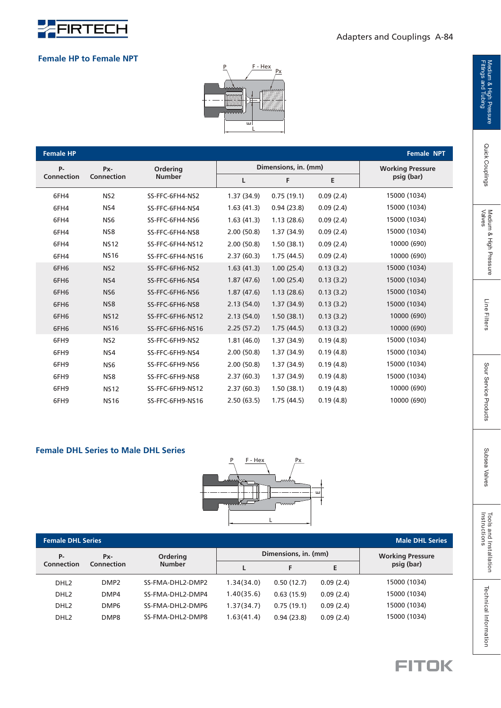

#### **Female HP to Female NPT**



| <b>Female HP</b>  |                   |                  |            |                      |           | Female NPT              |
|-------------------|-------------------|------------------|------------|----------------------|-----------|-------------------------|
| $P -$             | Px-               | Ordering         |            | Dimensions, in. (mm) |           | <b>Working Pressure</b> |
| <b>Connection</b> | <b>Connection</b> | <b>Number</b>    | L          | F                    | E         | psig (bar)              |
| 6FH4              | NS <sub>2</sub>   | SS-FFC-6FH4-NS2  | 1.37(34.9) | 0.75(19.1)           | 0.09(2.4) | 15000 (1034)            |
| 6FH4              | NS4               | SS-FFC-6FH4-NS4  | 1.63(41.3) | 0.94(23.8)           | 0.09(2.4) | 15000 (1034)            |
| 6FH4              | NS <sub>6</sub>   | SS-FFC-6FH4-NS6  | 1.63(41.3) | 1.13(28.6)           | 0.09(2.4) | 15000 (1034)            |
| 6FH4              | NS8               | SS-FFC-6FH4-NS8  | 2.00(50.8) | 1.37(34.9)           | 0.09(2.4) | 15000 (1034)            |
| 6FH4              | <b>NS12</b>       | SS-FFC-6FH4-NS12 | 2.00(50.8) | 1.50(38.1)           | 0.09(2.4) | 10000 (690)             |
| 6FH4              | <b>NS16</b>       | SS-FFC-6FH4-NS16 | 2.37(60.3) | 1.75(44.5)           | 0.09(2.4) | 10000 (690)             |
| 6FH6              | NS <sub>2</sub>   | SS-FFC-6FH6-NS2  | 1.63(41.3) | 1.00(25.4)           | 0.13(3.2) | 15000 (1034)            |
| 6FH6              | NS4               | SS-FFC-6FH6-NS4  | 1.87(47.6) | 1.00(25.4)           | 0.13(3.2) | 15000 (1034)            |
| 6FH6              | NS <sub>6</sub>   | SS-FFC-6FH6-NS6  | 1.87(47.6) | 1.13(28.6)           | 0.13(3.2) | 15000 (1034)            |
| 6FH6              | NS8               | SS-FFC-6FH6-NS8  | 2.13(54.0) | 1.37(34.9)           | 0.13(3.2) | 15000 (1034)            |
| 6FH6              | <b>NS12</b>       | SS-FFC-6FH6-NS12 | 2.13(54.0) | 1.50(38.1)           | 0.13(3.2) | 10000 (690)             |
| 6FH6              | <b>NS16</b>       | SS-FFC-6FH6-NS16 | 2.25(57.2) | 1.75(44.5)           | 0.13(3.2) | 10000 (690)             |
| 6FH9              | NS <sub>2</sub>   | SS-FFC-6FH9-NS2  | 1.81(46.0) | 1.37(34.9)           | 0.19(4.8) | 15000 (1034)            |
| 6FH9              | NS4               | SS-FFC-6FH9-NS4  | 2.00(50.8) | 1.37(34.9)           | 0.19(4.8) | 15000 (1034)            |
| 6FH9              | NS <sub>6</sub>   | SS-FFC-6FH9-NS6  | 2.00(50.8) | 1.37 (34.9)          | 0.19(4.8) | 15000 (1034)            |
| 6FH9              | NS8               | SS-FFC-6FH9-NS8  | 2.37(60.3) | 1.37 (34.9)          | 0.19(4.8) | 15000 (1034)            |
| 6FH9              | <b>NS12</b>       | SS-FFC-6FH9-NS12 | 2.37(60.3) | 1.50(38.1)           | 0.19(4.8) | 10000 (690)             |
| 6FH9              | <b>NS16</b>       | SS-FFC-6FH9-NS16 | 2.50(63.5) | 1.75(44.5)           | 0.19(4.8) | 10000 (690)             |

#### **Female DHL Series to Male DHL Series**



| <b>Female DHL Series</b> | <b>Male DHL Series</b>   |                   |            |                      |                         |              |
|--------------------------|--------------------------|-------------------|------------|----------------------|-------------------------|--------------|
| P-                       | Px-<br><b>Connection</b> | Ordering          |            | Dimensions, in. (mm) | <b>Working Pressure</b> |              |
| <b>Connection</b>        |                          | <b>Number</b>     |            | F                    | E.                      | psig (bar)   |
| DHL <sub>2</sub>         | DMP <sub>2</sub>         | SS-FMA-DHL2-DMP2  | 1.34(34.0) | 0.50(12.7)           | 0.09(2.4)               | 15000 (1034) |
| DHL <sub>2</sub>         | DMP4                     | SS-FMA-DHI 2-DMP4 | 1.40(35.6) | 0.63(15.9)           | 0.09(2.4)               | 15000 (1034) |
| DHL <sub>2</sub>         | DMP <sub>6</sub>         | SS-FMA-DHL2-DMP6  | 1.37(34.7) | 0.75(19.1)           | 0.09(2.4)               | 15000 (1034) |
| DHL <sub>2</sub>         | DMP8                     | SS-FMA-DHL2-DMP8  | 1.63(41.4) | 0.94(23.8)           | 0.09(2.4)               | 15000 (1034) |

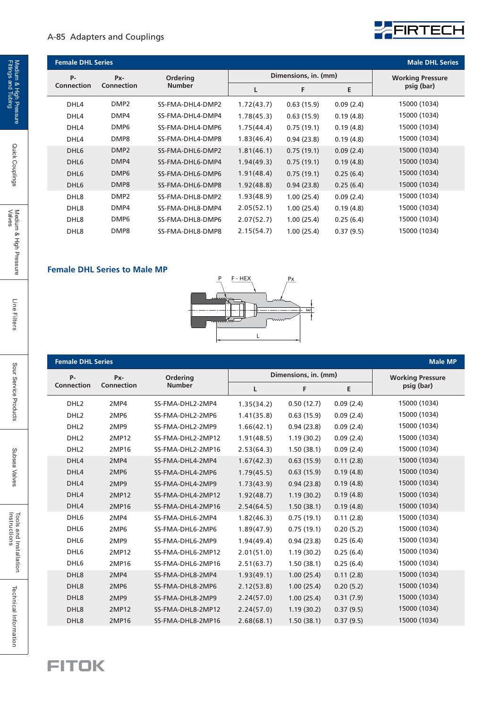#### A-85 Adapters and Couplings



| <b>Female DHL Series</b> |                   |                  |            |                      |           | <b>Male DHL Series</b>  |  |
|--------------------------|-------------------|------------------|------------|----------------------|-----------|-------------------------|--|
| $P -$                    | Px-               | Ordering         |            | Dimensions, in. (mm) |           | <b>Working Pressure</b> |  |
| <b>Connection</b>        | <b>Connection</b> | <b>Number</b>    |            | F                    | Е         | psig (bar)              |  |
| DHL4                     | DMP <sub>2</sub>  | SS-FMA-DHL4-DMP2 | 1.72(43.7) | 0.63(15.9)           | 0.09(2.4) | 15000 (1034)            |  |
| DHL4                     | DMP4              | SS-FMA-DHL4-DMP4 | 1.78(45.3) | 0.63(15.9)           | 0.19(4.8) | 15000 (1034)            |  |
| DHL4                     | DMP <sub>6</sub>  | SS-FMA-DHL4-DMP6 | 1.75(44.4) | 0.75(19.1)           | 0.19(4.8) | 15000 (1034)            |  |
| DHL4                     | DMP8              | SS-FMA-DHL4-DMP8 | 1.83(46.4) | 0.94(23.8)           | 0.19(4.8) | 15000 (1034)            |  |
| DHL <sub>6</sub>         | DMP <sub>2</sub>  | SS-FMA-DHL6-DMP2 | 1.81(46.1) | 0.75(19.1)           | 0.09(2.4) | 15000 (1034)            |  |
| DHL <sub>6</sub>         | DMP4              | SS-FMA-DHL6-DMP4 | 1.94(49.3) | 0.75(19.1)           | 0.19(4.8) | 15000 (1034)            |  |
| DHL <sub>6</sub>         | DMP <sub>6</sub>  | SS-FMA-DHL6-DMP6 | 1.91(48.4) | 0.75(19.1)           | 0.25(6.4) | 15000 (1034)            |  |
| DHL <sub>6</sub>         | DMP8              | SS-FMA-DHL6-DMP8 | 1.92(48.8) | 0.94(23.8)           | 0.25(6.4) | 15000 (1034)            |  |
| DHL8                     | DMP <sub>2</sub>  | SS-FMA-DHL8-DMP2 | 1.93(48.9) | 1.00(25.4)           | 0.09(2.4) | 15000 (1034)            |  |
| DHL <sub>8</sub>         | DMP4              | SS-FMA-DHL8-DMP4 | 2.05(52.1) | 1.00(25.4)           | 0.19(4.8) | 15000 (1034)            |  |
| DHL <sub>8</sub>         | DMP <sub>6</sub>  | SS-FMA-DHL8-DMP6 | 2.07(52.7) | 1.00(25.4)           | 0.25(6.4) | 15000 (1034)            |  |
| DHL <sub>8</sub>         | DMP8              | SS-FMA-DHL8-DMP8 | 2.15(54.7) | 1.00(25.4)           | 0.37(9.5) | 15000 (1034)            |  |

#### **Female DHL Series to Male MP**



| <b>Female DHL Series</b> |                   |                   |            |                      |           | <b>Male MP</b>          |
|--------------------------|-------------------|-------------------|------------|----------------------|-----------|-------------------------|
| <b>P-</b>                | Px-               | Ordering          |            | Dimensions, in. (mm) |           | <b>Working Pressure</b> |
| Connection               | <b>Connection</b> | <b>Number</b>     | L          | F                    | E         | psig (bar)              |
| DHL <sub>2</sub>         | 2MP4              | SS-FMA-DHL2-2MP4  | 1.35(34.2) | 0.50(12.7)           | 0.09(2.4) | 15000 (1034)            |
| DHL <sub>2</sub>         | 2MP6              | SS-FMA-DHL2-2MP6  | 1.41(35.8) | 0.63(15.9)           | 0.09(2.4) | 15000 (1034)            |
| DHL <sub>2</sub>         | 2MP9              | SS-FMA-DHL2-2MP9  | 1.66(42.1) | 0.94(23.8)           | 0.09(2.4) | 15000 (1034)            |
| DHL <sub>2</sub>         | 2MP12             | SS-FMA-DHL2-2MP12 | 1.91(48.5) | 1.19(30.2)           | 0.09(2.4) | 15000 (1034)            |
| DHL <sub>2</sub>         | 2MP16             | SS-FMA-DHL2-2MP16 | 2.53(64.3) | 1.50(38.1)           | 0.09(2.4) | 15000 (1034)            |
| DHL4                     | 2MP4              | SS-FMA-DHL4-2MP4  | 1.67(42.3) | 0.63(15.9)           | 0.11(2.8) | 15000 (1034)            |
| DHL4                     | 2MP6              | SS-FMA-DHL4-2MP6  | 1.79(45.5) | 0.63(15.9)           | 0.19(4.8) | 15000 (1034)            |
| DHL4                     | 2MP9              | SS-FMA-DHL4-2MP9  | 1.73(43.9) | 0.94(23.8)           | 0.19(4.8) | 15000 (1034)            |
| DHL4                     | 2MP12             | SS-FMA-DHL4-2MP12 | 1.92(48.7) | 1.19(30.2)           | 0.19(4.8) | 15000 (1034)            |
| DHL4                     | 2MP16             | SS-FMA-DHL4-2MP16 | 2.54(64.5) | 1.50(38.1)           | 0.19(4.8) | 15000 (1034)            |
| DHL6                     | 2MP4              | SS-FMA-DHL6-2MP4  | 1.82(46.3) | 0.75(19.1)           | 0.11(2.8) | 15000 (1034)            |
| DHL6                     | 2MP6              | SS-FMA-DHL6-2MP6  | 1.89(47.9) | 0.75(19.1)           | 0.20(5.2) | 15000 (1034)            |
| DHL6                     | 2MP9              | SS-FMA-DHL6-2MP9  | 1.94(49.4) | 0.94(23.8)           | 0.25(6.4) | 15000 (1034)            |
| DHL6                     | 2MP12             | SS-FMA-DHL6-2MP12 | 2.01(51.0) | 1.19(30.2)           | 0.25(6.4) | 15000 (1034)            |
| DHL6                     | 2MP16             | SS-FMA-DHL6-2MP16 | 2.51(63.7) | 1.50(38.1)           | 0.25(6.4) | 15000 (1034)            |
| DHL8                     | 2MP4              | SS-FMA-DHL8-2MP4  | 1.93(49.1) | 1.00(25.4)           | 0.11(2.8) | 15000 (1034)            |
| DHL <sub>8</sub>         | 2MP6              | SS-FMA-DHL8-2MP6  | 2.12(53.8) | 1.00(25.4)           | 0.20(5.2) | 15000 (1034)            |
| DHL8                     | 2MP9              | SS-FMA-DHL8-2MP9  | 2.24(57.0) | 1.00(25.4)           | 0.31(7.9) | 15000 (1034)            |
| DHL8                     | 2MP12             | SS-FMA-DHL8-2MP12 | 2.24(57.0) | 1.19(30.2)           | 0.37(9.5) | 15000 (1034)            |
| DHL8                     | 2MP16             | SS-FMA-DHL8-2MP16 | 2.68(68.1) | 1.50(38.1)           | 0.37(9.5) | 15000 (1034)            |

**FITOK** 

Quick Couplings

Technical Information

Subsea Valves

Subsea Valves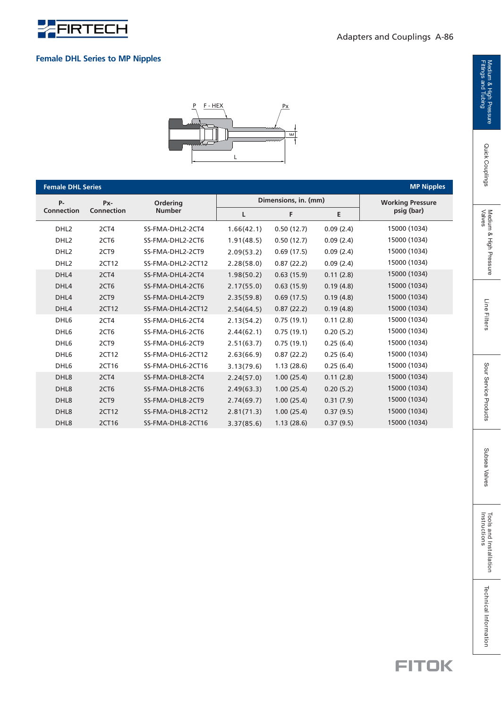

#### **Female DHL Series to MP Nipples**



| <b>Female DHL Series</b> | <b>MP Nipples</b> |                   |            |                      |           |                         |
|--------------------------|-------------------|-------------------|------------|----------------------|-----------|-------------------------|
| <b>P-</b>                | Px-               | Ordering          |            | Dimensions, in. (mm) |           | <b>Working Pressure</b> |
| <b>Connection</b>        | Connection        | <b>Number</b>     | L          | F                    | E         | psig (bar)              |
| DHL <sub>2</sub>         | 2CT4              | SS-FMA-DHL2-2CT4  | 1.66(42.1) | 0.50(12.7)           | 0.09(2.4) | 15000 (1034)            |
| DHL <sub>2</sub>         | 2CT6              | SS-FMA-DHL2-2CT6  | 1.91(48.5) | 0.50(12.7)           | 0.09(2.4) | 15000 (1034)            |
| DHL <sub>2</sub>         | 2CT9              | SS-FMA-DHL2-2CT9  | 2.09(53.2) | 0.69(17.5)           | 0.09(2.4) | 15000 (1034)            |
| DHL <sub>2</sub>         | 2CT12             | SS-FMA-DHL2-2CT12 | 2.28(58.0) | 0.87(22.2)           | 0.09(2.4) | 15000 (1034)            |
| DHL4                     | 2CT4              | SS-FMA-DHL4-2CT4  | 1.98(50.2) | 0.63(15.9)           | 0.11(2.8) | 15000 (1034)            |
| DHL4                     | 2CT6              | SS-FMA-DHL4-2CT6  | 2.17(55.0) | 0.63(15.9)           | 0.19(4.8) | 15000 (1034)            |
| DHL4                     | 2CT9              | SS-FMA-DHL4-2CT9  | 2.35(59.8) | 0.69(17.5)           | 0.19(4.8) | 15000 (1034)            |
| DHL4                     | 2CT12             | SS-FMA-DHL4-2CT12 | 2.54(64.5) | 0.87(22.2)           | 0.19(4.8) | 15000 (1034)            |
| DHL6                     | 2CT4              | SS-FMA-DHL6-2CT4  | 2.13(54.2) | 0.75(19.1)           | 0.11(2.8) | 15000 (1034)            |
| DHL <sub>6</sub>         | 2CT6              | SS-FMA-DHL6-2CT6  | 2.44(62.1) | 0.75(19.1)           | 0.20(5.2) | 15000 (1034)            |
| DHL <sub>6</sub>         | 2CT9              | SS-FMA-DHL6-2CT9  | 2.51(63.7) | 0.75(19.1)           | 0.25(6.4) | 15000 (1034)            |
| DHL <sub>6</sub>         | 2CT12             | SS-FMA-DHL6-2CT12 | 2.63(66.9) | 0.87(22.2)           | 0.25(6.4) | 15000 (1034)            |
| DHL <sub>6</sub>         | 2CT16             | SS-FMA-DHL6-2CT16 | 3.13(79.6) | 1.13(28.6)           | 0.25(6.4) | 15000 (1034)            |
| DHL8                     | 2CT4              | SS-FMA-DHL8-2CT4  | 2.24(57.0) | 1.00(25.4)           | 0.11(2.8) | 15000 (1034)            |
| DHL8                     | 2CT6              | SS-FMA-DHL8-2CT6  | 2.49(63.3) | 1.00(25.4)           | 0.20(5.2) | 15000 (1034)            |
| DHL8                     | 2CT9              | SS-FMA-DHL8-2CT9  | 2.74(69.7) | 1.00(25.4)           | 0.31(7.9) | 15000 (1034)            |
| DHL8                     | 2CT12             | SS-FMA-DHL8-2CT12 | 2.81(71.3) | 1.00(25.4)           | 0.37(9.5) | 15000 (1034)            |
| DHL8                     | 2CT16             | SS-FMA-DHL8-2CT16 | 3.37(85.6) | 1.13(28.6)           | 0.37(9.5) | 15000 (1034)            |

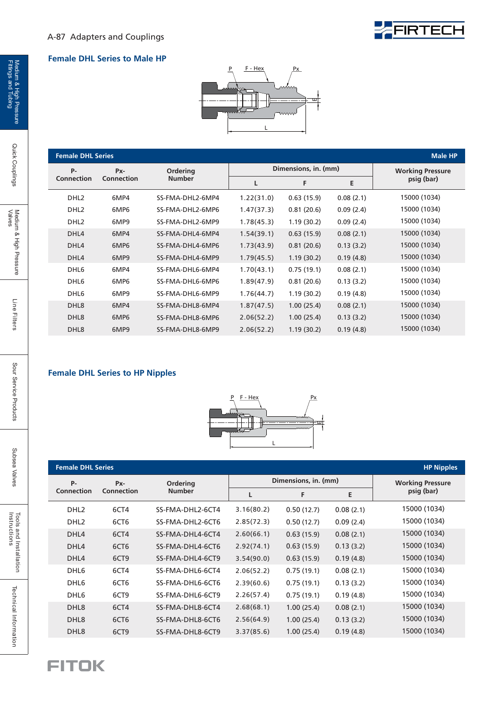

#### **Female DHL Series to Male HP**



| <b>Female DHL Series</b> |                   |                  |            |                      |                         | <b>Male HP</b> |
|--------------------------|-------------------|------------------|------------|----------------------|-------------------------|----------------|
| <b>P-</b>                | Px-               | <b>Ordering</b>  |            | Dimensions, in. (mm) | <b>Working Pressure</b> |                |
| <b>Connection</b>        | <b>Connection</b> | <b>Number</b>    | L          | F                    | Е                       | psig (bar)     |
| DHL <sub>2</sub>         | 6MP4              | SS-FMA-DHL2-6MP4 | 1.22(31.0) | 0.63(15.9)           | 0.08(2.1)               | 15000 (1034)   |
| DHL <sub>2</sub>         | 6MP6              | SS-FMA-DHL2-6MP6 | 1.47(37.3) | 0.81(20.6)           | 0.09(2.4)               | 15000 (1034)   |
| DHL <sub>2</sub>         | 6MP9              | SS-FMA-DHL2-6MP9 | 1.78(45.3) | 1.19(30.2)           | 0.09(2.4)               | 15000 (1034)   |
| DHL4                     | 6MP4              | SS-FMA-DHL4-6MP4 | 1.54(39.1) | 0.63(15.9)           | 0.08(2.1)               | 15000 (1034)   |
| DHL4                     | 6MP <sub>6</sub>  | SS-FMA-DHL4-6MP6 | 1.73(43.9) | 0.81(20.6)           | 0.13(3.2)               | 15000 (1034)   |
| DHL4                     | 6MP9              | SS-FMA-DHL4-6MP9 | 1.79(45.5) | 1.19(30.2)           | 0.19(4.8)               | 15000 (1034)   |
| DHL <sub>6</sub>         | 6MP4              | SS-FMA-DHL6-6MP4 | 1.70(43.1) | 0.75(19.1)           | 0.08(2.1)               | 15000 (1034)   |
| DHL <sub>6</sub>         | 6MP6              | SS-FMA-DHL6-6MP6 | 1.89(47.9) | 0.81(20.6)           | 0.13(3.2)               | 15000 (1034)   |
| DHL <sub>6</sub>         | 6MP9              | SS-FMA-DHL6-6MP9 | 1.76(44.7) | 1.19(30.2)           | 0.19(4.8)               | 15000 (1034)   |
| DHL <sub>8</sub>         | 6MP4              | SS-FMA-DHL8-6MP4 | 1.87(47.5) | 1.00(25.4)           | 0.08(2.1)               | 15000 (1034)   |
| DHL <sub>8</sub>         | 6MP <sub>6</sub>  | SS-FMA-DHL8-6MP6 | 2.06(52.2) | 1.00(25.4)           | 0.13(3.2)               | 15000 (1034)   |
| DHL <sub>8</sub>         | 6MP9              | SS-FMA-DHL8-6MP9 | 2.06(52.2) | 1.19(30.2)           | 0.19(4.8)               | 15000 (1034)   |

#### **Female DHL Series to HP Nipples**



| <b>Female DHL Series</b> |                  |                   |            |                      |           | <b>HP Nipples</b>       |
|--------------------------|------------------|-------------------|------------|----------------------|-----------|-------------------------|
| <b>P-</b>                | $Px -$           | <b>Ordering</b>   |            | Dimensions, in. (mm) |           | <b>Working Pressure</b> |
| Connection               | Connection       | <b>Number</b>     | L          | F                    | E         | psig (bar)              |
| DHL <sub>2</sub>         | 6CT4             | SS-FMA-DHL2-6CT4  | 3.16(80.2) | 0.50(12.7)           | 0.08(2.1) | 15000 (1034)            |
| DHL <sub>2</sub>         | 6CT6             | SS-FMA-DHL2-6CT6  | 2.85(72.3) | 0.50(12.7)           | 0.09(2.4) | 15000 (1034)            |
| DHL4                     | 6CT4             | SS-FMA-DHI 4-6CT4 | 2.60(66.1) | 0.63(15.9)           | 0.08(2.1) | 15000 (1034)            |
| DHL4                     | 6CT <sub>6</sub> | SS-FMA-DHL4-6CT6  | 2.92(74.1) | 0.63(15.9)           | 0.13(3.2) | 15000 (1034)            |
| DHL4                     | 6CT <sub>9</sub> | SS-FMA-DHL4-6CT9  | 3.54(90.0) | 0.63(15.9)           | 0.19(4.8) | 15000 (1034)            |
| DHL <sub>6</sub>         | 6CT4             | SS-FMA-DHL6-6CT4  | 2.06(52.2) | 0.75(19.1)           | 0.08(2.1) | 15000 (1034)            |
| DHL <sub>6</sub>         | 6CT6             | SS-FMA-DHL6-6CT6  | 2.39(60.6) | 0.75(19.1)           | 0.13(3.2) | 15000 (1034)            |
| DHL <sub>6</sub>         | 6CT <sub>9</sub> | SS-FMA-DHL6-6CT9  | 2.26(57.4) | 0.75(19.1)           | 0.19(4.8) | 15000 (1034)            |
| DHL <sub>8</sub>         | 6CT4             | SS-FMA-DHL8-6CT4  | 2.68(68.1) | 1.00(25.4)           | 0.08(2.1) | 15000 (1034)            |
| DHL <sub>8</sub>         | 6CT <sub>6</sub> | SS-FMA-DHL8-6CT6  | 2.56(64.9) | 1.00(25.4)           | 0.13(3.2) | 15000 (1034)            |
| DHL <sub>8</sub>         | 6CT <sub>9</sub> | SS-FMA-DHL8-6CT9  | 3.37(85.6) | 1.00(25.4)           | 0.19(4.8) | 15000 (1034)            |

Quick Couplings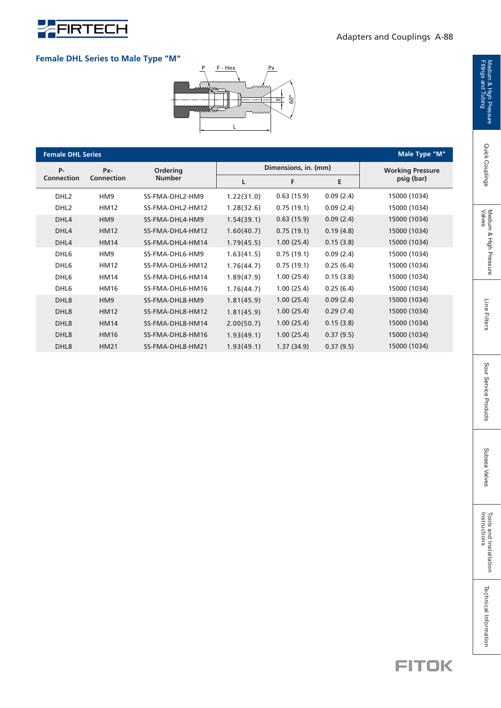

#### **Female DHL Series to Male Type "M"**



| <b>Female DHL Series</b>     |                   |                  |            |                      |                         | Male Type "M" |
|------------------------------|-------------------|------------------|------------|----------------------|-------------------------|---------------|
| <b>P-</b><br>Ordering<br>Px- |                   |                  |            | Dimensions, in. (mm) | <b>Working Pressure</b> |               |
| <b>Connection</b>            | <b>Connection</b> | <b>Number</b>    | L          | F                    | Е                       | psig (bar)    |
| DHL <sub>2</sub>             | HM9               | SS-FMA-DHL2-HM9  | 1.22(31.0) | 0.63(15.9)           | 0.09(2.4)               | 15000 (1034)  |
| DHL <sub>2</sub>             | HM12              | SS-FMA-DHL2-HM12 | 1.28(32.6) | 0.75(19.1)           | 0.09(2.4)               | 15000 (1034)  |
| DHL4                         | HM <sub>9</sub>   | SS-FMA-DHL4-HM9  | 1.54(39.1) | 0.63(15.9)           | 0.09(2.4)               | 15000 (1034)  |
| DHL <sub>4</sub>             | <b>HM12</b>       | SS-FMA-DHL4-HM12 | 1.60(40.7) | 0.75(19.1)           | 0.19(4.8)               | 15000 (1034)  |
| DHL4                         | <b>HM14</b>       | SS-FMA-DHL4-HM14 | 1.79(45.5) | 1.00(25.4)           | 0.15(3.8)               | 15000 (1034)  |
| DHL6                         | HM9               | SS-FMA-DHL6-HM9  | 1.63(41.5) | 0.75(19.1)           | 0.09(2.4)               | 15000 (1034)  |
| DHL <sub>6</sub>             | HM12              | SS-FMA-DHL6-HM12 | 1.76(44.7) | 0.75(19.1)           | 0.25(6.4)               | 15000 (1034)  |
| DHL <sub>6</sub>             | HM14              | SS-FMA-DHL6-HM14 | 1.89(47.9) | 1.00(25.4)           | 0.15(3.8)               | 15000 (1034)  |
| DHL <sub>6</sub>             | <b>HM16</b>       | SS-FMA-DHL6-HM16 | 1.76(44.7) | 1.00(25.4)           | 0.25(6.4)               | 15000 (1034)  |
| DHL8                         | HM <sub>9</sub>   | SS-FMA-DHL8-HM9  | 1.81(45.9) | 1.00(25.4)           | 0.09(2.4)               | 15000 (1034)  |
| DHL <sub>8</sub>             | <b>HM12</b>       | SS-FMA-DHL8-HM12 | 1.81(45.9) | 1.00(25.4)           | 0.29(7.4)               | 15000 (1034)  |
| DHL <sub>8</sub>             | HM14              | SS-FMA-DHL8-HM14 | 2.00(50.7) | 1.00(25.4)           | 0.15(3.8)               | 15000 (1034)  |
| DHL <sub>8</sub>             | <b>HM16</b>       | SS-FMA-DHL8-HM16 | 1.93(49.1) | 1.00(25.4)           | 0.37(9.5)               | 15000 (1034)  |
| DHL <sub>8</sub>             | <b>HM21</b>       | SS-FMA-DHL8-HM21 | 1.93(49.1) | 1.37(34.9)           | 0.37(9.5)               | 15000 (1034)  |

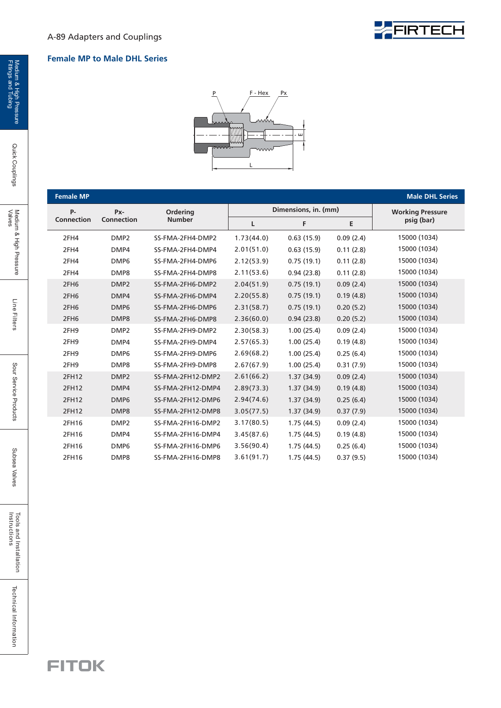

#### **Female MP to Male DHL Series**



| <b>Female MP</b>  |                   |                           |            |                      |           | <b>Male DHL Series</b>  |
|-------------------|-------------------|---------------------------|------------|----------------------|-----------|-------------------------|
| <b>P-</b>         | Px-               | Ordering<br><b>Number</b> |            | Dimensions, in. (mm) |           | <b>Working Pressure</b> |
| <b>Connection</b> | <b>Connection</b> |                           | L          | F                    | E         | psig (bar)              |
| 2FH4              | DMP <sub>2</sub>  | SS-FMA-2FH4-DMP2          | 1.73(44.0) | 0.63(15.9)           | 0.09(2.4) | 15000 (1034)            |
| 2FH4              | DMP4              | SS-FMA-2FH4-DMP4          | 2.01(51.0) | 0.63(15.9)           | 0.11(2.8) | 15000 (1034)            |
| 2FH4              | DMP <sub>6</sub>  | SS-FMA-2FH4-DMP6          | 2.12(53.9) | 0.75(19.1)           | 0.11(2.8) | 15000 (1034)            |
| 2FH4              | DMP8              | SS-FMA-2FH4-DMP8          | 2.11(53.6) | 0.94(23.8)           | 0.11(2.8) | 15000 (1034)            |
| 2FH <sub>6</sub>  | DMP <sub>2</sub>  | SS-FMA-2FH6-DMP2          | 2.04(51.9) | 0.75(19.1)           | 0.09(2.4) | 15000 (1034)            |
| 2FH <sub>6</sub>  | DMP4              | SS-FMA-2FH6-DMP4          | 2.20(55.8) | 0.75(19.1)           | 0.19(4.8) | 15000 (1034)            |
| 2FH <sub>6</sub>  | DMP <sub>6</sub>  | SS-FMA-2FH6-DMP6          | 2.31(58.7) | 0.75(19.1)           | 0.20(5.2) | 15000 (1034)            |
| 2FH <sub>6</sub>  | DMP8              | SS-FMA-2FH6-DMP8          | 2.36(60.0) | 0.94(23.8)           | 0.20(5.2) | 15000 (1034)            |
| 2FH9              | DMP <sub>2</sub>  | SS-FMA-2FH9-DMP2          | 2.30(58.3) | 1.00(25.4)           | 0.09(2.4) | 15000 (1034)            |
| 2FH9              | DMP4              | SS-FMA-2FH9-DMP4          | 2.57(65.3) | 1.00(25.4)           | 0.19(4.8) | 15000 (1034)            |
| 2FH9              | DMP <sub>6</sub>  | SS-FMA-2FH9-DMP6          | 2.69(68.2) | 1.00(25.4)           | 0.25(6.4) | 15000 (1034)            |
| 2FH9              | DMP8              | SS-FMA-2FH9-DMP8          | 2.67(67.9) | 1.00(25.4)           | 0.31(7.9) | 15000 (1034)            |
| 2FH12             | DMP <sub>2</sub>  | SS-FMA-2FH12-DMP2         | 2.61(66.2) | 1.37(34.9)           | 0.09(2.4) | 15000 (1034)            |
| 2FH12             | DMP4              | SS-FMA-2FH12-DMP4         | 2.89(73.3) | 1.37(34.9)           | 0.19(4.8) | 15000 (1034)            |
| 2FH12             | DMP <sub>6</sub>  | SS-FMA-2FH12-DMP6         | 2.94(74.6) | 1.37(34.9)           | 0.25(6.4) | 15000 (1034)            |
| 2FH12             | DMP8              | SS-FMA-2FH12-DMP8         | 3.05(77.5) | 1.37(34.9)           | 0.37(7.9) | 15000 (1034)            |
| 2FH16             | DMP <sub>2</sub>  | SS-FMA-2FH16-DMP2         | 3.17(80.5) | 1.75(44.5)           | 0.09(2.4) | 15000 (1034)            |
| 2FH16             | DMP4              | SS-FMA-2FH16-DMP4         | 3.45(87.6) | 1.75(44.5)           | 0.19(4.8) | 15000 (1034)            |
| 2FH16             | DMP <sub>6</sub>  | SS-FMA-2FH16-DMP6         | 3.56(90.4) | 1.75(44.5)           | 0.25(6.4) | 15000 (1034)            |
| 2FH16             | DMP8              | SS-FMA-2FH16-DMP8         | 3.61(91.7) | 1.75(44.5)           | 0.37(9.5) | 15000 (1034)            |

Technical Information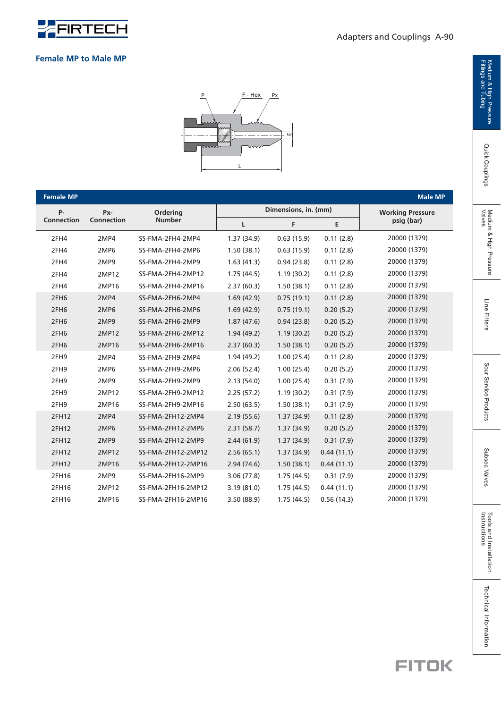

| <b>Female MP to Male MP</b> |  |  |
|-----------------------------|--|--|
|                             |  |  |



| <b>Female MP</b>  |            |                    |            |                      |            | <b>Male MP</b>          |
|-------------------|------------|--------------------|------------|----------------------|------------|-------------------------|
| <b>P-</b>         | Px-        | Ordering           |            | Dimensions, in. (mm) |            | <b>Working Pressure</b> |
| <b>Connection</b> | Connection | <b>Number</b>      | Г          | F                    | Е          | psig (bar)              |
| 2FH4              | 2MP4       | SS-FMA-2FH4-2MP4   | 1.37(34.9) | 0.63(15.9)           | 0.11(2.8)  | 20000 (1379)            |
| 2FH4              | 2MP6       | SS-FMA-2FH4-2MP6   | 1.50(38.1) | 0.63(15.9)           | 0.11(2.8)  | 20000 (1379)            |
| 2FH4              | 2MP9       | SS-FMA-2FH4-2MP9   | 1.63(41.3) | 0.94(23.8)           | 0.11(2.8)  | 20000 (1379)            |
| 2FH4              | 2MP12      | SS-FMA-2FH4-2MP12  | 1.75(44.5) | 1.19(30.2)           | 0.11(2.8)  | 20000 (1379)            |
| 2FH4              | 2MP16      | SS-FMA-2FH4-2MP16  | 2.37(60.3) | 1.50(38.1)           | 0.11(2.8)  | 20000 (1379)            |
| 2FH6              | 2MP4       | SS-FMA-2FH6-2MP4   | 1.69(42.9) | 0.75(19.1)           | 0.11(2.8)  | 20000 (1379)            |
| 2FH <sub>6</sub>  | 2MP6       | SS-FMA-2FH6-2MP6   | 1.69(42.9) | 0.75(19.1)           | 0.20(5.2)  | 20000 (1379)            |
| 2FH <sub>6</sub>  | 2MP9       | SS-FMA-2FH6-2MP9   | 1.87(47.6) | 0.94(23.8)           | 0.20(5.2)  | 20000 (1379)            |
| 2FH <sub>6</sub>  | 2MP12      | SS-FMA-2FH6-2MP12  | 1.94(49.2) | 1.19(30.2)           | 0.20(5.2)  | 20000 (1379)            |
| 2FH <sub>6</sub>  | 2MP16      | SS-FMA-2FH6-2MP16  | 2.37(60.3) | 1.50(38.1)           | 0.20(5.2)  | 20000 (1379)            |
| 2FH9              | 2MP4       | SS-FMA-2FH9-2MP4   | 1.94(49.2) | 1.00(25.4)           | 0.11(2.8)  | 20000 (1379)            |
| 2FH9              | 2MP6       | SS-FMA-2FH9-2MP6   | 2.06(52.4) | 1.00(25.4)           | 0.20(5.2)  | 20000 (1379)            |
| 2FH9              | 2MP9       | SS-FMA-2FH9-2MP9   | 2.13(54.0) | 1.00(25.4)           | 0.31(7.9)  | 20000 (1379)            |
| 2FH9              | 2MP12      | SS-FMA-2FH9-2MP12  | 2.25(57.2) | 1.19(30.2)           | 0.31(7.9)  | 20000 (1379)            |
| 2FH9              | 2MP16      | SS-FMA-2FH9-2MP16  | 2.50(63.5) | 1.50(38.1)           | 0.31(7.9)  | 20000 (1379)            |
| 2FH12             | 2MP4       | SS-FMA-2FH12-2MP4  | 2.19(55.6) | 1.37(34.9)           | 0.11(2.8)  | 20000 (1379)            |
| 2FH12             | 2MP6       | SS-FMA-2FH12-2MP6  | 2.31(58.7) | 1.37(34.9)           | 0.20(5.2)  | 20000 (1379)            |
| 2FH12             | 2MP9       | SS-FMA-2FH12-2MP9  | 2.44(61.9) | 1.37(34.9)           | 0.31(7.9)  | 20000 (1379)            |
| 2FH12             | 2MP12      | SS-FMA-2FH12-2MP12 | 2.56(65.1) | 1.37(34.9)           | 0.44(11.1) | 20000 (1379)            |
| 2FH12             | 2MP16      | SS-FMA-2FH12-2MP16 | 2.94(74.6) | 1.50(38.1)           | 0.44(11.1) | 20000 (1379)            |
| 2FH16             | 2MP9       | SS-FMA-2FH16-2MP9  | 3.06(77.8) | 1.75(44.5)           | 0.31(7.9)  | 20000 (1379)            |
| 2FH16             | 2MP12      | SS-FMA-2FH16-2MP12 | 3.19(81.0) | 1.75(44.5)           | 0.44(11.1) | 20000 (1379)            |
| 2FH16             | 2MP16      | SS-FMA-2FH16-2MP16 | 3.50(88.9) | 1.75(44.5)           | 0.56(14.3) | 20000 (1379)            |

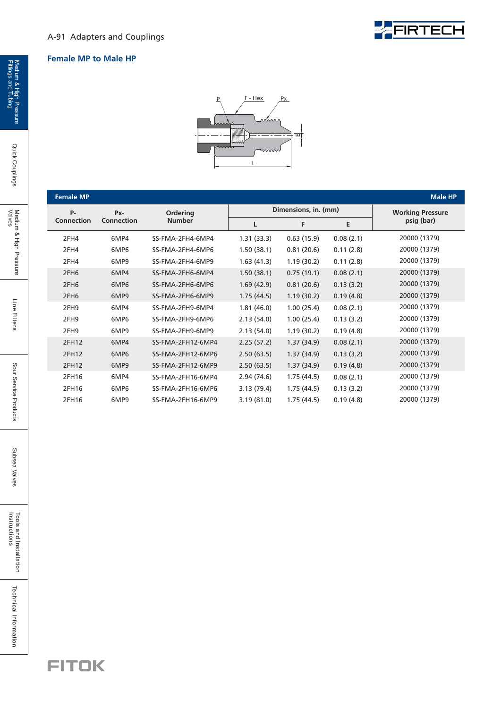#### **Female MP to Male HP**



**EFIRTECH** 

| <b>Female MP</b>                |               |                   |             |                      |            | <b>Male HP</b>          |
|---------------------------------|---------------|-------------------|-------------|----------------------|------------|-------------------------|
| $P -$                           | Px-           | <b>Ordering</b>   |             | Dimensions, in. (mm) |            | <b>Working Pressure</b> |
| <b>Connection</b><br>Connection | <b>Number</b> | L                 | F           | E                    | psig (bar) |                         |
| 2FH4                            | 6MP4          | SS-FMA-2FH4-6MP4  | 1.31(33.3)  | 0.63(15.9)           | 0.08(2.1)  | 20000 (1379)            |
| 2FH4                            | 6MP6          | SS-FMA-2FH4-6MP6  | 1.50(38.1)  | 0.81(20.6)           | 0.11(2.8)  | 20000 (1379)            |
| 2FH4                            | 6MP9          | SS-FMA-2FH4-6MP9  | 1.63(41.3)  | 1.19(30.2)           | 0.11(2.8)  | 20000 (1379)            |
| 2FH <sub>6</sub>                | 6MP4          | SS-FMA-2FH6-6MP4  | 1.50(38.1)  | 0.75(19.1)           | 0.08(2.1)  | 20000 (1379)            |
| 2FH <sub>6</sub>                | 6MP6          | SS-FMA-2FH6-6MP6  | 1.69(42.9)  | 0.81(20.6)           | 0.13(3.2)  | 20000 (1379)            |
| 2FH <sub>6</sub>                | 6MP9          | SS-FMA-2FH6-6MP9  | 1.75(44.5)  | 1.19(30.2)           | 0.19(4.8)  | 20000 (1379)            |
| 2FH9                            | 6MP4          | SS-FMA-2FH9-6MP4  | 1.81(46.0)  | 1.00(25.4)           | 0.08(2.1)  | 20000 (1379)            |
| 2FH9                            | 6MP6          | SS-FMA-2FH9-6MP6  | 2.13(54.0)  | 1.00(25.4)           | 0.13(3.2)  | 20000 (1379)            |
| 2FH <sub>9</sub>                | 6MP9          | SS-FMA-2FH9-6MP9  | 2.13(54.0)  | 1.19(30.2)           | 0.19(4.8)  | 20000 (1379)            |
| 2FH12                           | 6MP4          | SS-FMA-2FH12-6MP4 | 2.25(57.2)  | 1.37(34.9)           | 0.08(2.1)  | 20000 (1379)            |
| 2FH12                           | 6MP6          | SS-FMA-2FH12-6MP6 | 2.50(63.5)  | 1.37(34.9)           | 0.13(3.2)  | 20000 (1379)            |
| 2FH12                           | 6MP9          | SS-FMA-2FH12-6MP9 | 2.50(63.5)  | 1.37(34.9)           | 0.19(4.8)  | 20000 (1379)            |
| 2FH16                           | 6MP4          | SS-FMA-2FH16-6MP4 | 2.94 (74.6) | 1.75(44.5)           | 0.08(2.1)  | 20000 (1379)            |
| 2FH16                           | 6MP6          | SS-FMA-2FH16-6MP6 | 3.13(79.4)  | 1.75(44.5)           | 0.13(3.2)  | 20000 (1379)            |
| 2FH16                           | 6MP9          | SS-FMA-2FH16-6MP9 | 3.19(81.0)  | 1.75(44.5)           | 0.19(4.8)  | 20000 (1379)            |

Quick Couplings

Line Filters

Tools and Installation<br>Instructions

Technical Information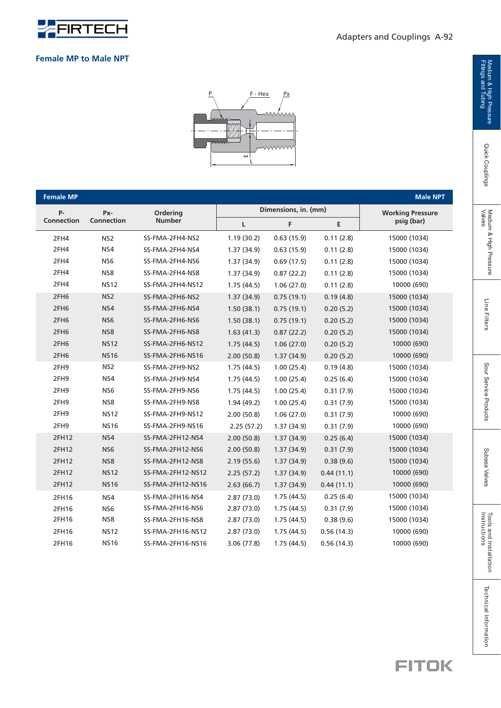

#### **Female MP to Male NPT**



| <b>Female MP</b><br><b>Male NPT</b> |                 |                   |            |                      |            |                         |  |
|-------------------------------------|-----------------|-------------------|------------|----------------------|------------|-------------------------|--|
| <b>P-</b>                           | Px-             | Ordering          |            | Dimensions, in. (mm) |            | <b>Working Pressure</b> |  |
| <b>Connection</b>                   | Connection      | <b>Number</b>     | L          | F                    | E          | psig (bar)              |  |
| 2FH4                                | NS <sub>2</sub> | SS-FMA-2FH4-NS2   | 1.19(30.2) | 0.63(15.9)           | 0.11(2.8)  | 15000 (1034)            |  |
| 2FH4                                | NS4             | SS-FMA-2FH4-NS4   | 1.37(34.9) | 0.63(15.9)           | 0.11(2.8)  | 15000 (1034)            |  |
| 2FH4                                | NS <sub>6</sub> | SS-FMA-2FH4-NS6   | 1.37(34.9) | 0.69(17.5)           | 0.11(2.8)  | 15000 (1034)            |  |
| 2FH4                                | NS8             | SS-FMA-2FH4-NS8   | 1.37(34.9) | 0.87(22.2)           | 0.11(2.8)  | 15000 (1034)            |  |
| 2FH4                                | <b>NS12</b>     | SS-FMA-2FH4-NS12  | 1.75(44.5) | 1.06(27.0)           | 0.11(2.8)  | 10000 (690)             |  |
| 2FH6                                | NS <sub>2</sub> | SS-FMA-2FH6-NS2   | 1.37(34.9) | 0.75(19.1)           | 0.19(4.8)  | 15000 (1034)            |  |
| 2FH6                                | NS4             | SS-FMA-2FH6-NS4   | 1.50(38.1) | 0.75(19.1)           | 0.20(5.2)  | 15000 (1034)            |  |
| 2FH6                                | NS <sub>6</sub> | SS-FMA-2FH6-NS6   | 1.50(38.1) | 0.75(19.1)           | 0.20(5.2)  | 15000 (1034)            |  |
| 2FH6                                | NS8             | SS-FMA-2FH6-NS8   | 1.63(41.3) | 0.87(22.2)           | 0.20(5.2)  | 15000 (1034)            |  |
| 2FH <sub>6</sub>                    | <b>NS12</b>     | SS-FMA-2FH6-NS12  | 1.75(44.5) | 1.06(27.0)           | 0.20(5.2)  | 10000 (690)             |  |
| 2FH <sub>6</sub>                    | <b>NS16</b>     | SS-FMA-2FH6-NS16  | 2.00(50.8) | 1.37(34.9)           | 0.20(5.2)  | 10000 (690)             |  |
| 2FH9                                | NS <sub>2</sub> | SS-FMA-2FH9-NS2   | 1.75(44.5) | 1.00(25.4)           | 0.19(4.8)  | 15000 (1034)            |  |
| 2FH9                                | NS4             | SS-FMA-2FH9-NS4   | 1.75(44.5) | 1.00(25.4)           | 0.25(6.4)  | 15000 (1034)            |  |
| 2FH9                                | NS <sub>6</sub> | SS-FMA-2FH9-NS6   | 1.75(44.5) | 1.00(25.4)           | 0.31(7.9)  | 15000 (1034)            |  |
| 2FH9                                | NS8             | SS-FMA-2FH9-NS8   | 1.94(49.2) | 1.00(25.4)           | 0.31(7.9)  | 15000 (1034)            |  |
| 2FH9                                | <b>NS12</b>     | SS-FMA-2FH9-NS12  | 2.00(50.8) | 1.06(27.0)           | 0.31(7.9)  | 10000 (690)             |  |
| 2FH9                                | <b>NS16</b>     | SS-FMA-2FH9-NS16  | 2.25(57.2) | 1.37(34.9)           | 0.31(7.9)  | 10000 (690)             |  |
| 2FH12                               | NS4             | SS-FMA-2FH12-NS4  | 2.00(50.8) | 1.37(34.9)           | 0.25(6.4)  | 15000 (1034)            |  |
| 2FH12                               | NS <sub>6</sub> | SS-FMA-2FH12-NS6  | 2.00(50.8) | 1.37(34.9)           | 0.31(7.9)  | 15000 (1034)            |  |
| 2FH12                               | NS8             | SS-FMA-2FH12-NS8  | 2.19(55.6) | 1.37(34.9)           | 0.38(9.6)  | 15000 (1034)            |  |
| 2FH12                               | <b>NS12</b>     | SS-FMA-2FH12-NS12 | 2.25(57.2) | 1.37(34.9)           | 0.44(11.1) | 10000 (690)             |  |
| 2FH12                               | <b>NS16</b>     | SS-FMA-2FH12-NS16 | 2.63(66.7) | 1.37(34.9)           | 0.44(11.1) | 10000 (690)             |  |
| 2FH16                               | NS4             | SS-FMA-2FH16-NS4  | 2.87(73.0) | 1.75(44.5)           | 0.25(6.4)  | 15000 (1034)            |  |
| 2FH16                               | NS <sub>6</sub> | SS-FMA-2FH16-NS6  | 2.87(73.0) | 1.75(44.5)           | 0.31(7.9)  | 15000 (1034)            |  |
| 2FH16                               | NS8             | SS-FMA-2FH16-NS8  | 2.87(73.0) | 1.75(44.5)           | 0.38(9.6)  | 15000 (1034)            |  |
| 2FH16                               | <b>NS12</b>     | SS-FMA-2FH16-NS12 | 2.87(73.0) | 1.75(44.5)           | 0.56(14.3) | 10000 (690)             |  |
| 2FH16                               | <b>NS16</b>     | SS-FMA-2FH16-NS16 | 3.06(77.8) | 1.75(44.5)           | 0.56(14.3) | 10000 (690)             |  |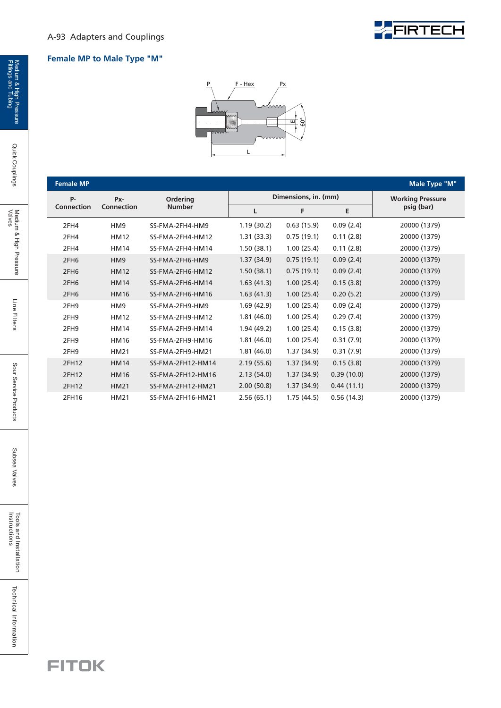

#### **Female MP to Male Type "M"**



| <b>Female MP</b>  |                 |                   |            |                      |            | Male Type "M"           |
|-------------------|-----------------|-------------------|------------|----------------------|------------|-------------------------|
| <b>P-</b>         | Px-             | Ordering          |            | Dimensions, in. (mm) |            | <b>Working Pressure</b> |
| <b>Connection</b> | Connection      | <b>Number</b>     | L          | F                    | E          | psig (bar)              |
| 2FH4              | HM <sub>9</sub> | SS-FMA-2FH4-HM9   | 1.19(30.2) | 0.63(15.9)           | 0.09(2.4)  | 20000 (1379)            |
| 2FH4              | <b>HM12</b>     | SS-FMA-2FH4-HM12  | 1.31(33.3) | 0.75(19.1)           | 0.11(2.8)  | 20000 (1379)            |
| 2FH4              | <b>HM14</b>     | SS-FMA-2FH4-HM14  | 1.50(38.1) | 1.00(25.4)           | 0.11(2.8)  | 20000 (1379)            |
| 2FH <sub>6</sub>  | HM <sub>9</sub> | SS-FMA-2FH6-HM9   | 1.37(34.9) | 0.75(19.1)           | 0.09(2.4)  | 20000 (1379)            |
| 2FH <sub>6</sub>  | <b>HM12</b>     | SS-FMA-2FH6-HM12  | 1.50(38.1) | 0.75(19.1)           | 0.09(2.4)  | 20000 (1379)            |
| 2FH <sub>6</sub>  | <b>HM14</b>     | SS-FMA-2FH6-HM14  | 1.63(41.3) | 1.00(25.4)           | 0.15(3.8)  | 20000 (1379)            |
| 2FH <sub>6</sub>  | <b>HM16</b>     | SS-FMA-2FH6-HM16  | 1.63(41.3) | 1.00(25.4)           | 0.20(5.2)  | 20000 (1379)            |
| 2FH9              | HM <sub>9</sub> | SS-FMA-2FH9-HM9   | 1.69(42.9) | 1.00(25.4)           | 0.09(2.4)  | 20000 (1379)            |
| 2FH9              | <b>HM12</b>     | SS-FMA-2FH9-HM12  | 1.81(46.0) | 1.00(25.4)           | 0.29(7.4)  | 20000 (1379)            |
| 2FH9              | <b>HM14</b>     | SS-FMA-2FH9-HM14  | 1.94(49.2) | 1.00(25.4)           | 0.15(3.8)  | 20000 (1379)            |
| 2FH9              | <b>HM16</b>     | SS-FMA-2FH9-HM16  | 1.81(46.0) | 1.00(25.4)           | 0.31(7.9)  | 20000 (1379)            |
| 2FH9              | <b>HM21</b>     | SS-FMA-2FH9-HM21  | 1.81(46.0) | 1.37(34.9)           | 0.31(7.9)  | 20000 (1379)            |
| 2FH12             | <b>HM14</b>     | SS-FMA-2FH12-HM14 | 2.19(55.6) | 1.37(34.9)           | 0.15(3.8)  | 20000 (1379)            |
| 2FH12             | <b>HM16</b>     | SS-FMA-2FH12-HM16 | 2.13(54.0) | 1.37(34.9)           | 0.39(10.0) | 20000 (1379)            |
| 2FH12             | <b>HM21</b>     | SS-FMA-2FH12-HM21 | 2.00(50.8) | 1.37(34.9)           | 0.44(11.1) | 20000 (1379)            |
| 2FH16             | HM21            | SS-FMA-2FH16-HM21 | 2.56(65.1) | 1.75(44.5)           | 0.56(14.3) | 20000 (1379)            |

Quick Couplings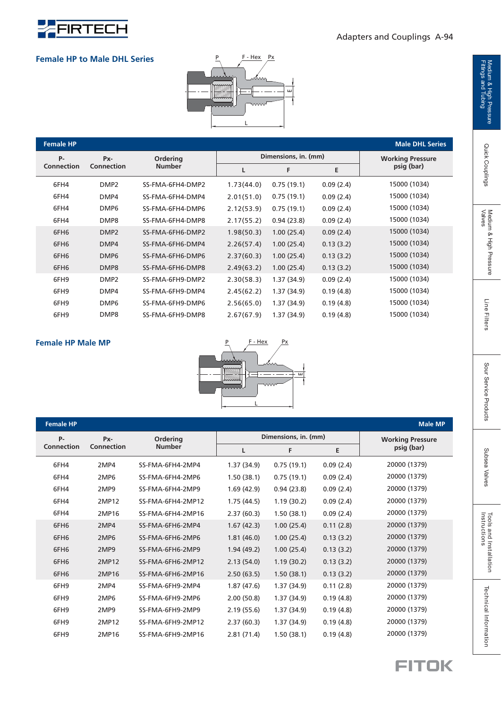

#### Adapters and Couplings A-94

#### **Female HP to Male DHL Series**



| <b>Female HP</b>  |                  |                                  |            |                      |                         | <b>Male DHL Series</b> |
|-------------------|------------------|----------------------------------|------------|----------------------|-------------------------|------------------------|
| <b>P-</b>         | Px-              | <b>Ordering</b><br><b>Number</b> |            | Dimensions, in. (mm) | <b>Working Pressure</b> |                        |
| <b>Connection</b> | Connection       |                                  | L          | F                    | E                       | psig (bar)             |
| 6FH4              | DMP <sub>2</sub> | SS-FMA-6FH4-DMP2                 | 1.73(44.0) | 0.75(19.1)           | 0.09(2.4)               | 15000 (1034)           |
| 6FH4              | DMP4             | SS-FMA-6FH4-DMP4                 | 2.01(51.0) | 0.75(19.1)           | 0.09(2.4)               | 15000 (1034)           |
| 6FH4              | DMP <sub>6</sub> | SS-FMA-6FH4-DMP6                 | 2.12(53.9) | 0.75(19.1)           | 0.09(2.4)               | 15000 (1034)           |
| 6FH4              | DMP8             | SS-FMA-6FH4-DMP8                 | 2.17(55.2) | 0.94(23.8)           | 0.09(2.4)               | 15000 (1034)           |
| 6FH <sub>6</sub>  | DMP <sub>2</sub> | SS-FMA-6FH6-DMP2                 | 1.98(50.3) | 1.00(25.4)           | 0.09(2.4)               | 15000 (1034)           |
| 6FH <sub>6</sub>  | DMP4             | SS-FMA-6FH6-DMP4                 | 2.26(57.4) | 1.00(25.4)           | 0.13(3.2)               | 15000 (1034)           |
| 6FH <sub>6</sub>  | DMP <sub>6</sub> | SS-FMA-6FH6-DMP6                 | 2.37(60.3) | 1.00(25.4)           | 0.13(3.2)               | 15000 (1034)           |
| 6FH <sub>6</sub>  | DMP8             | SS-FMA-6FH6-DMP8                 | 2.49(63.2) | 1.00(25.4)           | 0.13(3.2)               | 15000 (1034)           |
| 6FH9              | DMP <sub>2</sub> | SS-FMA-6FH9-DMP2                 | 2.30(58.3) | 1.37 (34.9)          | 0.09(2.4)               | 15000 (1034)           |
| 6FH9              | DMP4             | SS-FMA-6FH9-DMP4                 | 2.45(62.2) | 1.37 (34.9)          | 0.19(4.8)               | 15000 (1034)           |
| 6FH9              | DMP <sub>6</sub> | SS-FMA-6FH9-DMP6                 | 2.56(65.0) | 1.37 (34.9)          | 0.19(4.8)               | 15000 (1034)           |
| 6FH9              | DMP8             | SS-FMA-6FH9-DMP8                 | 2.67(67.9) | 1.37 (34.9)          | 0.19(4.8)               | 15000 (1034)           |

#### **Female HP Male MP**



| <b>Female HP</b>  |                  |                                  |            |                      |                         | <b>Male MP</b> |
|-------------------|------------------|----------------------------------|------------|----------------------|-------------------------|----------------|
| P-                | Px-              | <b>Ordering</b><br><b>Number</b> |            | Dimensions, in. (mm) | <b>Working Pressure</b> |                |
| <b>Connection</b> | Connection       |                                  |            | F                    | E                       | psig (bar)     |
| 6FH4              | 2MP4             | SS-FMA-6FH4-2MP4                 | 1.37(34.9) | 0.75(19.1)           | 0.09(2.4)               | 20000 (1379)   |
| 6FH4              | 2MP <sub>6</sub> | SS-FMA-6FH4-2MP6                 | 1.50(38.1) | 0.75(19.1)           | 0.09(2.4)               | 20000 (1379)   |
| 6FH4              | 2MP9             | SS-FMA-6FH4-2MP9                 | 1.69(42.9) | 0.94(23.8)           | 0.09(2.4)               | 20000 (1379)   |
| 6FH4              | 2MP12            | SS-FMA-6FH4-2MP12                | 1.75(44.5) | 1.19(30.2)           | 0.09(2.4)               | 20000 (1379)   |
| 6FH4              | 2MP16            | SS-FMA-6FH4-2MP16                | 2.37(60.3) | 1.50(38.1)           | 0.09(2.4)               | 20000 (1379)   |
| 6FH <sub>6</sub>  | 2MP4             | SS-FMA-6FH6-2MP4                 | 1.67(42.3) | 1.00(25.4)           | 0.11(2.8)               | 20000 (1379)   |
| 6FH6              | 2MP6             | SS-FMA-6FH6-2MP6                 | 1.81(46.0) | 1.00(25.4)           | 0.13(3.2)               | 20000 (1379)   |
| 6FH6              | 2MP9             | SS-FMA-6FH6-2MP9                 | 1.94(49.2) | 1.00(25.4)           | 0.13(3.2)               | 20000 (1379)   |
| 6FH6              | 2MP12            | SS-FMA-6FH6-2MP12                | 2.13(54.0) | 1.19(30.2)           | 0.13(3.2)               | 20000 (1379)   |
| 6FH6              | 2MP16            | SS-FMA-6FH6-2MP16                | 2.50(63.5) | 1.50(38.1)           | 0.13(3.2)               | 20000 (1379)   |
| 6FH9              | 2MP4             | SS-FMA-6FH9-2MP4                 | 1.87(47.6) | 1.37(34.9)           | 0.11(2.8)               | 20000 (1379)   |
| 6FH9              | 2MP6             | SS-FMA-6FH9-2MP6                 | 2.00(50.8) | 1.37(34.9)           | 0.19(4.8)               | 20000 (1379)   |
| 6FH9              | 2MP9             | SS-FMA-6FH9-2MP9                 | 2.19(55.6) | 1.37(34.9)           | 0.19(4.8)               | 20000 (1379)   |
| 6FH9              | 2MP12            | SS-FMA-6FH9-2MP12                | 2.37(60.3) | 1.37(34.9)           | 0.19(4.8)               | 20000 (1379)   |
| 6FH9              | 2MP16            | SS-FMA-6FH9-2MP16                | 2.81(71.4) | 1.50(38.1)           | 0.19(4.8)               | 20000 (1379)   |



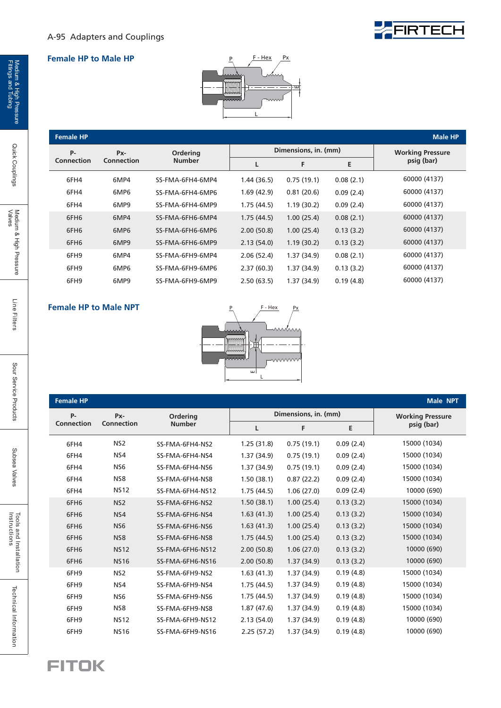## **EFIRTECH**

#### **Female HP to Male HP**



#### **Female HP**

| <b>Female HP</b> | <b>Male HP</b> |                                  |            |                      |           |                         |
|------------------|----------------|----------------------------------|------------|----------------------|-----------|-------------------------|
| <b>P-</b>        | Px-            | <b>Ordering</b><br><b>Number</b> |            | Dimensions, in. (mm) |           | <b>Working Pressure</b> |
| Connection       | Connection     |                                  |            | F                    | E         | psig (bar)              |
| 6FH4             | 6MP4           | SS-FMA-6FH4-6MP4                 | 1.44(36.5) | 0.75(19.1)           | 0.08(2.1) | 60000 (4137)            |
| 6FH4             | 6MP6           | SS-FMA-6FH4-6MP6                 | 1.69(42.9) | 0.81(20.6)           | 0.09(2.4) | 60000 (4137)            |
| 6FH4             | 6MP9           | SS-FMA-6FH4-6MP9                 | 1.75(44.5) | 1.19(30.2)           | 0.09(2.4) | 60000 (4137)            |
| 6FH <sub>6</sub> | 6MP4           | SS-FMA-6FH6-6MP4                 | 1.75(44.5) | 1.00(25.4)           | 0.08(2.1) | 60000 (4137)            |
| 6FH <sub>6</sub> | 6MP6           | SS-FMA-6FH6-6MP6                 | 2.00(50.8) | 1.00(25.4)           | 0.13(3.2) | 60000 (4137)            |
| 6FH <sub>6</sub> | 6MP9           | SS-FMA-6FH6-6MP9                 | 2.13(54.0) | 1.19(30.2)           | 0.13(3.2) | 60000 (4137)            |
| 6FH9             | 6MP4           | SS-FMA-6FH9-6MP4                 | 2.06(52.4) | 1.37(34.9)           | 0.08(2.1) | 60000 (4137)            |
| 6FH9             | 6MP6           | SS-FMA-6FH9-6MP6                 | 2.37(60.3) | 1.37(34.9)           | 0.13(3.2) | 60000 (4137)            |
| 6FH9             | 6MP9           | SS-FMA-6FH9-6MP9                 | 2.50(63.5) | 1.37(34.9)           | 0.19(4.8) | 60000 (4137)            |

#### **Female HP to Male NPT**



| <b>Female HP</b> |                   |                           |            |                      |           | Male NPT                |  |
|------------------|-------------------|---------------------------|------------|----------------------|-----------|-------------------------|--|
| P-               | Px-               | Ordering<br><b>Number</b> |            | Dimensions, in. (mm) |           | <b>Working Pressure</b> |  |
| Connection       | <b>Connection</b> |                           | L          | F                    | E         | psig (bar)              |  |
| 6FH4             | NS <sub>2</sub>   | SS-FMA-6FH4-NS2           | 1.25(31.8) | 0.75(19.1)           | 0.09(2.4) | 15000 (1034)            |  |
| 6FH4             | NS4               | SS-FMA-6FH4-NS4           | 1.37(34.9) | 0.75(19.1)           | 0.09(2.4) | 15000 (1034)            |  |
| 6FH4             | NS <sub>6</sub>   | SS-FMA-6FH4-NS6           | 1.37(34.9) | 0.75(19.1)           | 0.09(2.4) | 15000 (1034)            |  |
| 6FH4             | NS8               | SS-FMA-6FH4-NS8           | 1.50(38.1) | 0.87(22.2)           | 0.09(2.4) | 15000 (1034)            |  |
| 6FH4             | <b>NS12</b>       | SS-FMA-6FH4-NS12          | 1.75(44.5) | 1.06(27.0)           | 0.09(2.4) | 10000 (690)             |  |
| 6FH <sub>6</sub> | NS <sub>2</sub>   | SS-FMA-6FH6-NS2           | 1.50(38.1) | 1.00(25.4)           | 0.13(3.2) | 15000 (1034)            |  |
| 6FH <sub>6</sub> | NS4               | SS-FMA-6FH6-NS4           | 1.63(41.3) | 1.00(25.4)           | 0.13(3.2) | 15000 (1034)            |  |
| 6FH <sub>6</sub> | NS <sub>6</sub>   | SS-FMA-6FH6-NS6           | 1.63(41.3) | 1.00(25.4)           | 0.13(3.2) | 15000 (1034)            |  |
| 6FH <sub>6</sub> | NS8               | SS-FMA-6FH6-NS8           | 1.75(44.5) | 1.00(25.4)           | 0.13(3.2) | 15000 (1034)            |  |
| 6FH <sub>6</sub> | <b>NS12</b>       | SS-FMA-6FH6-NS12          | 2.00(50.8) | 1.06(27.0)           | 0.13(3.2) | 10000 (690)             |  |
| 6FH6             | <b>NS16</b>       | SS-FMA-6FH6-NS16          | 2.00(50.8) | 1.37(34.9)           | 0.13(3.2) | 10000 (690)             |  |
| 6FH9             | NS <sub>2</sub>   | SS-FMA-6FH9-NS2           | 1.63(41.3) | 1.37(34.9)           | 0.19(4.8) | 15000 (1034)            |  |
| 6FH9             | NS4               | SS-FMA-6FH9-NS4           | 1.75(44.5) | 1.37(34.9)           | 0.19(4.8) | 15000 (1034)            |  |
| 6FH9             | NS <sub>6</sub>   | SS-FMA-6FH9-NS6           | 1.75(44.5) | 1.37(34.9)           | 0.19(4.8) | 15000 (1034)            |  |
| 6FH9             | NS8               | SS-FMA-6FH9-NS8           | 1.87(47.6) | 1.37(34.9)           | 0.19(4.8) | 15000 (1034)            |  |
| 6FH9             | <b>NS12</b>       | SS-FMA-6FH9-NS12          | 2.13(54.0) | 1.37 (34.9)          | 0.19(4.8) | 10000 (690)             |  |
| 6FH9             | <b>NS16</b>       | SS-FMA-6FH9-NS16          | 2.25(57.2) | 1.37(34.9)           | 0.19(4.8) | 10000 (690)             |  |

### **FITOK**

Quick Couplings

Technical Information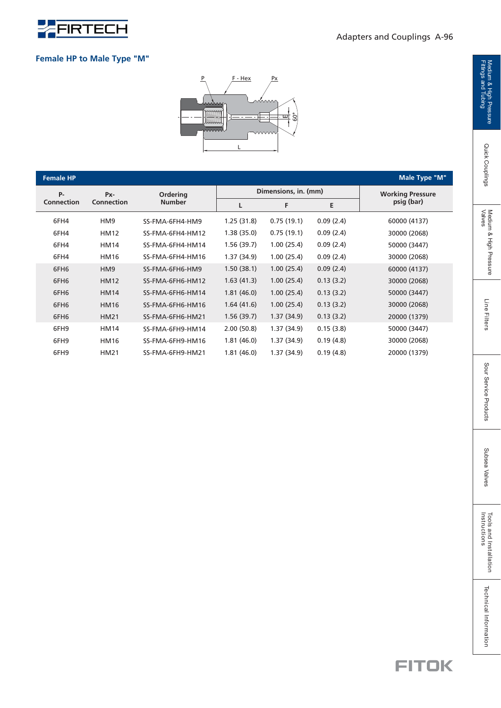

#### **Female HP to Male Type "M"**



| <b>Female HP</b> |                   |                           |            |                      |                         | <b>Male Type "M"</b> |
|------------------|-------------------|---------------------------|------------|----------------------|-------------------------|----------------------|
| $P -$            | Px-               | Ordering<br><b>Number</b> |            | Dimensions, in. (mm) | <b>Working Pressure</b> |                      |
| Connection       | <b>Connection</b> |                           | L          | F                    | E                       | psig (bar)           |
| 6FH4             | HM <sub>9</sub>   | SS-FMA-6FH4-HM9           | 1.25(31.8) | 0.75(19.1)           | 0.09(2.4)               | 60000 (4137)         |
| 6FH4             | <b>HM12</b>       | SS-FMA-6FH4-HM12          | 1.38(35.0) | 0.75(19.1)           | 0.09(2.4)               | 30000 (2068)         |
| 6FH4             | <b>HM14</b>       | SS-FMA-6FH4-HM14          | 1.56(39.7) | 1.00(25.4)           | 0.09(2.4)               | 50000 (3447)         |
| 6FH4             | <b>HM16</b>       | SS-FMA-6FH4-HM16          | 1.37(34.9) | 1.00(25.4)           | 0.09(2.4)               | 30000 (2068)         |
| 6FH <sub>6</sub> | HM <sub>9</sub>   | SS-FMA-6FH6-HM9           | 1.50(38.1) | 1.00(25.4)           | 0.09(2.4)               | 60000 (4137)         |
| 6FH <sub>6</sub> | <b>HM12</b>       | SS-FMA-6FH6-HM12          | 1.63(41.3) | 1.00(25.4)           | 0.13(3.2)               | 30000 (2068)         |
| 6FH <sub>6</sub> | <b>HM14</b>       | SS-FMA-6FH6-HM14          | 1.81(46.0) | 1.00(25.4)           | 0.13(3.2)               | 50000 (3447)         |
| 6FH <sub>6</sub> | <b>HM16</b>       | SS-FMA-6FH6-HM16          | 1.64(41.6) | 1.00(25.4)           | 0.13(3.2)               | 30000 (2068)         |
| 6FH <sub>6</sub> | <b>HM21</b>       | SS-FMA-6FH6-HM21          | 1.56(39.7) | 1.37(34.9)           | 0.13(3.2)               | 20000 (1379)         |
| 6FH9             | <b>HM14</b>       | SS-FMA-6FH9-HM14          | 2.00(50.8) | 1.37(34.9)           | 0.15(3.8)               | 50000 (3447)         |
| 6FH9             | <b>HM16</b>       | SS-FMA-6FH9-HM16          | 1.81(46.0) | 1.37(34.9)           | 0.19(4.8)               | 30000 (2068)         |
| 6FH9             | <b>HM21</b>       | SS-FMA-6FH9-HM21          | 1.81(46.0) | 1.37(34.9)           | 0.19(4.8)               | 20000 (1379)         |

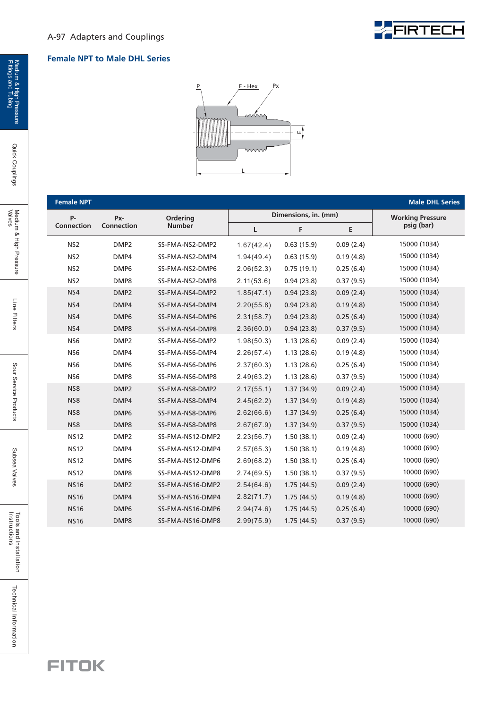#### A-97 Adapters and Couplings

#### **Female NPT to Male DHL Series**



| <b>Female NPT</b> |                  |                  |            |                      |           | <b>Male DHL Series</b>  |
|-------------------|------------------|------------------|------------|----------------------|-----------|-------------------------|
| <b>P-</b>         | Px-              | Ordering         |            | Dimensions, in. (mm) |           | <b>Working Pressure</b> |
| <b>Connection</b> | Connection       | <b>Number</b>    | L          | F                    | E         | psig (bar)              |
| NS <sub>2</sub>   | DMP <sub>2</sub> | SS-FMA-NS2-DMP2  | 1.67(42.4) | 0.63(15.9)           | 0.09(2.4) | 15000 (1034)            |
| NS <sub>2</sub>   | DMP4             | SS-FMA-NS2-DMP4  | 1.94(49.4) | 0.63(15.9)           | 0.19(4.8) | 15000 (1034)            |
| NS <sub>2</sub>   | DMP6             | SS-FMA-NS2-DMP6  | 2.06(52.3) | 0.75(19.1)           | 0.25(6.4) | 15000 (1034)            |
| NS <sub>2</sub>   | DMP8             | SS-FMA-NS2-DMP8  | 2.11(53.6) | 0.94(23.8)           | 0.37(9.5) | 15000 (1034)            |
| NS4               | DMP <sub>2</sub> | SS-FMA-NS4-DMP2  | 1.85(47.1) | 0.94(23.8)           | 0.09(2.4) | 15000 (1034)            |
| NS4               | DMP4             | SS-FMA-NS4-DMP4  | 2.20(55.8) | 0.94(23.8)           | 0.19(4.8) | 15000 (1034)            |
| NS4               | DMP <sub>6</sub> | SS-FMA-NS4-DMP6  | 2.31(58.7) | 0.94(23.8)           | 0.25(6.4) | 15000 (1034)            |
| NS4               | DMP8             | SS-FMA-NS4-DMP8  | 2.36(60.0) | 0.94(23.8)           | 0.37(9.5) | 15000 (1034)            |
| NS <sub>6</sub>   | DMP <sub>2</sub> | SS-FMA-NS6-DMP2  | 1.98(50.3) | 1.13(28.6)           | 0.09(2.4) | 15000 (1034)            |
| NS <sub>6</sub>   | DMP4             | SS-FMA-NS6-DMP4  | 2.26(57.4) | 1.13(28.6)           | 0.19(4.8) | 15000 (1034)            |
| NS <sub>6</sub>   | DMP <sub>6</sub> | SS-FMA-NS6-DMP6  | 2.37(60.3) | 1.13(28.6)           | 0.25(6.4) | 15000 (1034)            |
| NS <sub>6</sub>   | DMP8             | SS-FMA-NS6-DMP8  | 2.49(63.2) | 1.13(28.6)           | 0.37(9.5) | 15000 (1034)            |
| NS8               | DMP <sub>2</sub> | SS-FMA-NS8-DMP2  | 2.17(55.1) | 1.37(34.9)           | 0.09(2.4) | 15000 (1034)            |
| NS8               | DMP4             | SS-FMA-NS8-DMP4  | 2.45(62.2) | 1.37(34.9)           | 0.19(4.8) | 15000 (1034)            |
| NS8               | DMP <sub>6</sub> | SS-FMA-NS8-DMP6  | 2.62(66.6) | 1.37(34.9)           | 0.25(6.4) | 15000 (1034)            |
| NS8               | DMP8             | SS-FMA-NS8-DMP8  | 2.67(67.9) | 1.37(34.9)           | 0.37(9.5) | 15000 (1034)            |
| <b>NS12</b>       | DMP <sub>2</sub> | SS-FMA-NS12-DMP2 | 2.23(56.7) | 1.50(38.1)           | 0.09(2.4) | 10000 (690)             |
| <b>NS12</b>       | DMP4             | SS-FMA-NS12-DMP4 | 2.57(65.3) | 1.50(38.1)           | 0.19(4.8) | 10000 (690)             |
| <b>NS12</b>       | DMP <sub>6</sub> | SS-FMA-NS12-DMP6 | 2.69(68.2) | 1.50(38.1)           | 0.25(6.4) | 10000 (690)             |
| <b>NS12</b>       | DMP8             | SS-FMA-NS12-DMP8 | 2.74(69.5) | 1.50(38.1)           | 0.37(9.5) | 10000 (690)             |
| <b>NS16</b>       | DMP <sub>2</sub> | SS-FMA-NS16-DMP2 | 2.54(64.6) | 1.75(44.5)           | 0.09(2.4) | 10000 (690)             |
| <b>NS16</b>       | DMP4             | SS-FMA-NS16-DMP4 | 2.82(71.7) | 1.75(44.5)           | 0.19(4.8) | 10000 (690)             |
| <b>NS16</b>       | DMP <sub>6</sub> | SS-FMA-NS16-DMP6 | 2.94(74.6) | 1.75(44.5)           | 0.25(6.4) | 10000 (690)             |
| <b>NS16</b>       | DMP8             | SS-FMA-NS16-DMP8 | 2.99(75.9) | 1.75(44.5)           | 0.37(9.5) | 10000 (690)             |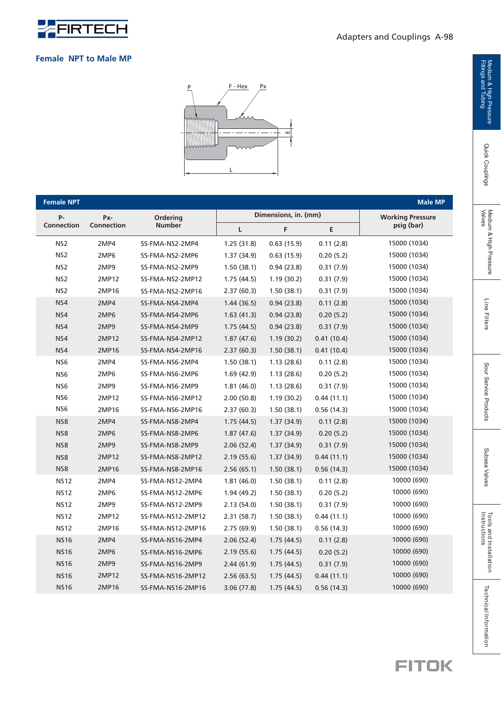

| <b>Female NPT</b> |                   |                   |             |                      |            | <b>Male MP</b>          |
|-------------------|-------------------|-------------------|-------------|----------------------|------------|-------------------------|
| <b>P-</b>         | Px-               | Ordering          |             | Dimensions, in. (mm) |            | <b>Working Pressure</b> |
| <b>Connection</b> | <b>Connection</b> | <b>Number</b>     | L           | F                    | E          | psig (bar)              |
| NS <sub>2</sub>   | 2MP4              | SS-FMA-NS2-2MP4   | 1.25(31.8)  | 0.63(15.9)           | 0.11(2.8)  | 15000 (1034)            |
| NS <sub>2</sub>   | 2MP6              | SS-FMA-NS2-2MP6   | 1.37(34.9)  | 0.63(15.9)           | 0.20(5.2)  | 15000 (1034)            |
| NS <sub>2</sub>   | 2MP9              | SS-FMA-NS2-2MP9   | 1.50(38.1)  | 0.94(23.8)           | 0.31(7.9)  | 15000 (1034)            |
| NS <sub>2</sub>   | 2MP12             | SS-FMA-NS2-2MP12  | 1.75(44.5)  | 1.19(30.2)           | 0.31(7.9)  | 15000 (1034)            |
| NS <sub>2</sub>   | 2MP16             | SS-FMA-NS2-2MP16  | 2.37(60.3)  | 1.50(38.1)           | 0.31(7.9)  | 15000 (1034)            |
| NS4               | 2MP4              | SS-FMA-NS4-2MP4   | 1.44(36.5)  | 0.94(23.8)           | 0.11(2.8)  | 15000 (1034)            |
| NS4               | 2MP6              | SS-FMA-NS4-2MP6   | 1.63(41.3)  | 0.94(23.8)           | 0.20(5.2)  | 15000 (1034)            |
| NS4               | 2MP9              | SS-FMA-NS4-2MP9   | 1.75(44.5)  | 0.94(23.8)           | 0.31(7.9)  | 15000 (1034)            |
| NS4               | 2MP12             | SS-FMA-NS4-2MP12  | 1.87(47.6)  | 1.19(30.2)           | 0.41(10.4) | 15000 (1034)            |
| NS4               | 2MP16             | SS-FMA-NS4-2MP16  | 2.37(60.3)  | 1.50(38.1)           | 0.41(10.4) | 15000 (1034)            |
| NS6               | 2MP4              | SS-FMA-NS6-2MP4   | 1.50(38.1)  | 1.13(28.6)           | 0.11(2.8)  | 15000 (1034)            |
| NS6               | 2MP6              | SS-FMA-NS6-2MP6   | 1.69(42.9)  | 1.13(28.6)           | 0.20(5.2)  | 15000 (1034)            |
| NS6               | 2MP9              | SS-FMA-NS6-2MP9   | 1.81(46.0)  | 1.13(28.6)           | 0.31(7.9)  | 15000 (1034)            |
| NS <sub>6</sub>   | 2MP12             | SS-FMA-NS6-2MP12  | 2.00(50.8)  | 1.19(30.2)           | 0.44(11.1) | 15000 (1034)            |
| NS <sub>6</sub>   | 2MP16             | SS-FMA-NS6-2MP16  | 2.37(60.3)  | 1.50(38.1)           | 0.56(14.3) | 15000 (1034)            |
| NS8               | 2MP4              | SS-FMA-NS8-2MP4   | 1.75(44.5)  | 1.37(34.9)           | 0.11(2.8)  | 15000 (1034)            |
| NS8               | 2MP6              | SS-FMA-NS8-2MP6   | 1.87(47.6)  | 1.37(34.9)           | 0.20(5.2)  | 15000 (1034)            |
| NS8               | 2MP9              | SS-FMA-NS8-2MP9   | 2.06(52.4)  | 1.37(34.9)           | 0.31(7.9)  | 15000 (1034)            |
| NS8               | 2MP12             | SS-FMA-NS8-2MP12  | 2.19(55.6)  | 1.37(34.9)           | 0.44(11.1) | 15000 (1034)            |
| NS8               | 2MP16             | SS-FMA-NS8-2MP16  | 2.56(65.1)  | 1.50(38.1)           | 0.56(14.3) | 15000 (1034)            |
| <b>NS12</b>       | 2MP4              | SS-FMA-NS12-2MP4  | 1.81(46.0)  | 1.50(38.1)           | 0.11(2.8)  | 10000 (690)             |
| <b>NS12</b>       | 2MP6              | SS-FMA-NS12-2MP6  | 1.94 (49.2) | 1.50(38.1)           | 0.20(5.2)  | 10000 (690)             |
| <b>NS12</b>       | 2MP9              | SS-FMA-NS12-2MP9  | 2.13(54.0)  | 1.50(38.1)           | 0.31(7.9)  | 10000 (690)             |
| <b>NS12</b>       | 2MP12             | SS-FMA-NS12-2MP12 | 2.31(58.7)  | 1.50(38.1)           | 0.44(11.1) | 10000 (690)             |
| <b>NS12</b>       | 2MP16             | SS-FMA-NS12-2MP16 | 2.75(69.9)  | 1.50(38.1)           | 0.56(14.3) | 10000 (690)             |
| <b>NS16</b>       | 2MP4              | SS-FMA-NS16-2MP4  | 2.06(52.4)  | 1.75(44.5)           | 0.11(2.8)  | 10000 (690)             |
| <b>NS16</b>       | 2MP6              | SS-FMA-NS16-2MP6  | 2.19(55.6)  | 1.75(44.5)           | 0.20(5.2)  | 10000 (690)             |
| <b>NS16</b>       | 2MP9              | SS-FMA-NS16-2MP9  | 2.44(61.9)  | 1.75(44.5)           | 0.31(7.9)  | 10000 (690)             |
| <b>NS16</b>       | 2MP12             | SS-FMA-NS16-2MP12 | 2.56(63.5)  | 1.75(44.5)           | 0.44(11.1) | 10000 (690)             |
| <b>NS16</b>       | 2MP16             | SS-FMA-NS16-2MP16 | 3.06(77.8)  | 1.75(44.5)           | 0.56(14.3) | 10000 (690)             |

3.06 (77.8)

 $1.75(44.5)$ 

 $0.56(14.3)$ 

2MP16

NS16

SS-FMA-NS16-2MP16



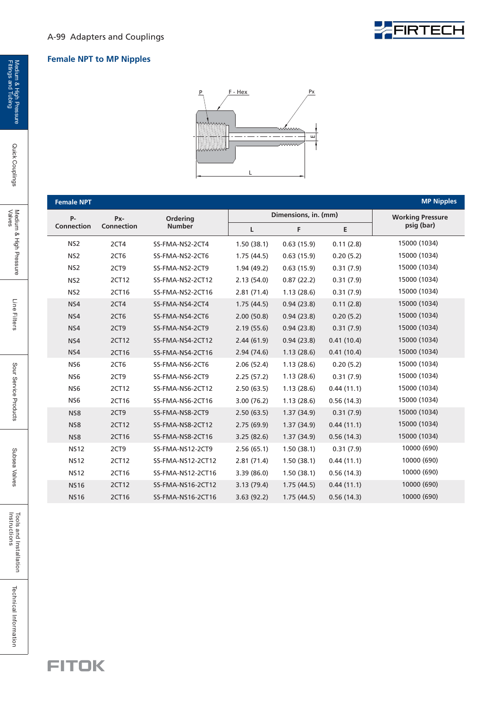

#### A-99 Adapters and Couplings

#### **Female NPT to MP Nipples**



| <b>Female NPT</b> |            |                   |              |                      |            | <b>MP Nipples</b>       |
|-------------------|------------|-------------------|--------------|----------------------|------------|-------------------------|
| $P -$             | Px-        | Ordering          |              | Dimensions, in. (mm) |            | <b>Working Pressure</b> |
| Connection        | Connection | <b>Number</b>     | $\mathsf{L}$ | F                    | E          | psig (bar)              |
| NS <sub>2</sub>   | 2CT4       | SS-FMA-NS2-2CT4   | 1.50(38.1)   | 0.63(15.9)           | 0.11(2.8)  | 15000 (1034)            |
| NS <sub>2</sub>   | 2CT6       | SS-FMA-NS2-2CT6   | 1.75(44.5)   | 0.63(15.9)           | 0.20(5.2)  | 15000 (1034)            |
| NS <sub>2</sub>   | 2CT9       | SS-FMA-NS2-2CT9   | 1.94(49.2)   | 0.63(15.9)           | 0.31(7.9)  | 15000 (1034)            |
| NS <sub>2</sub>   | 2CT12      | SS-FMA-NS2-2CT12  | 2.13(54.0)   | 0.87(22.2)           | 0.31(7.9)  | 15000 (1034)            |
| NS <sub>2</sub>   | 2CT16      | SS-FMA-NS2-2CT16  | 2.81(71.4)   | 1.13(28.6)           | 0.31(7.9)  | 15000 (1034)            |
| NS4               | 2CT4       | SS-FMA-NS4-2CT4   | 1.75(44.5)   | 0.94(23.8)           | 0.11(2.8)  | 15000 (1034)            |
| NS4               | 2CT6       | SS-FMA-NS4-2CT6   | 2.00(50.8)   | 0.94(23.8)           | 0.20(5.2)  | 15000 (1034)            |
| NS4               | 2CT9       | SS-FMA-NS4-2CT9   | 2.19(55.6)   | 0.94(23.8)           | 0.31(7.9)  | 15000 (1034)            |
| NS4               | 2CT12      | SS-FMA-NS4-2CT12  | 2.44(61.9)   | 0.94(23.8)           | 0.41(10.4) | 15000 (1034)            |
| NS4               | 2CT16      | SS-FMA-NS4-2CT16  | 2.94(74.6)   | 1.13(28.6)           | 0.41(10.4) | 15000 (1034)            |
| NS <sub>6</sub>   | 2CT6       | SS-FMA-NS6-2CT6   | 2.06(52.4)   | 1.13(28.6)           | 0.20(5.2)  | 15000 (1034)            |
| NS <sub>6</sub>   | 2CT9       | SS-FMA-NS6-2CT9   | 2.25(57.2)   | 1.13(28.6)           | 0.31(7.9)  | 15000 (1034)            |
| NS <sub>6</sub>   | 2CT12      | SS-FMA-NS6-2CT12  | 2.50(63.5)   | 1.13(28.6)           | 0.44(11.1) | 15000 (1034)            |
| NS <sub>6</sub>   | 2CT16      | SS-FMA-NS6-2CT16  | 3.00(76.2)   | 1.13(28.6)           | 0.56(14.3) | 15000 (1034)            |
| NS8               | 2CT9       | SS-FMA-NS8-2CT9   | 2.50(63.5)   | 1.37(34.9)           | 0.31(7.9)  | 15000 (1034)            |
| NS8               | 2CT12      | SS-FMA-NS8-2CT12  | 2.75(69.9)   | 1.37(34.9)           | 0.44(11.1) | 15000 (1034)            |
| NS8               | 2CT16      | SS-FMA-NS8-2CT16  | 3.25(82.6)   | 1.37(34.9)           | 0.56(14.3) | 15000 (1034)            |
| <b>NS12</b>       | 2CT9       | SS-FMA-NS12-2CT9  | 2.56(65.1)   | 1.50(38.1)           | 0.31(7.9)  | 10000 (690)             |
| <b>NS12</b>       | 2CT12      | SS-FMA-NS12-2CT12 | 2.81(71.4)   | 1.50(38.1)           | 0.44(11.1) | 10000 (690)             |
| <b>NS12</b>       | 2CT16      | SS-FMA-NS12-2CT16 | 3.39(86.0)   | 1.50(38.1)           | 0.56(14.3) | 10000 (690)             |
| <b>NS16</b>       | 2CT12      | SS-FMA-NS16-2CT12 | 3.13(79.4)   | 1.75(44.5)           | 0.44(11.1) | 10000 (690)             |
| <b>NS16</b>       | 2CT16      | SS-FMA-NS16-2CT16 | 3.63(92.2)   | 1.75(44.5)           | 0.56(14.3) | 10000 (690)             |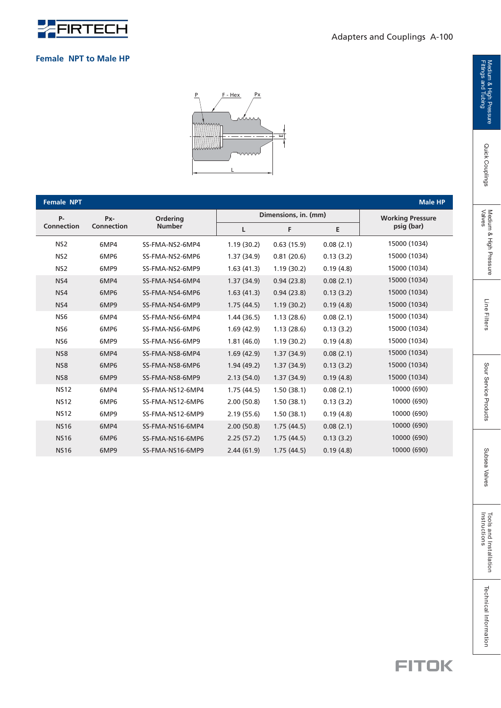

|  | <b>Female NPT to Male HP</b> |  |  |  |  |
|--|------------------------------|--|--|--|--|
|--|------------------------------|--|--|--|--|



| <b>Female NPT</b> |                   |                  |             |                      |           | <b>Male HP</b>          |
|-------------------|-------------------|------------------|-------------|----------------------|-----------|-------------------------|
| <b>P-</b>         | Px-               | Ordering         |             | Dimensions, in. (mm) |           | <b>Working Pressure</b> |
| <b>Connection</b> | <b>Connection</b> | <b>Number</b>    | Г           | F                    | E         | psig (bar)              |
| NS <sub>2</sub>   | 6MP4              | SS-FMA-NS2-6MP4  | 1.19(30.2)  | 0.63(15.9)           | 0.08(2.1) | 15000 (1034)            |
| NS <sub>2</sub>   | 6MP6              | SS-FMA-NS2-6MP6  | 1.37(34.9)  | 0.81(20.6)           | 0.13(3.2) | 15000 (1034)            |
| NS <sub>2</sub>   | 6MP9              | SS-FMA-NS2-6MP9  | 1.63(41.3)  | 1.19(30.2)           | 0.19(4.8) | 15000 (1034)            |
| NS4               | 6MP4              | SS-FMA-NS4-6MP4  | 1.37(34.9)  | 0.94(23.8)           | 0.08(2.1) | 15000 (1034)            |
| NS4               | 6MP6              | SS-FMA-NS4-6MP6  | 1.63(41.3)  | 0.94(23.8)           | 0.13(3.2) | 15000 (1034)            |
| NS4               | 6MP9              | SS-FMA-NS4-6MP9  | 1.75(44.5)  | 1.19(30.2)           | 0.19(4.8) | 15000 (1034)            |
| NS <sub>6</sub>   | 6MP4              | SS-FMA-NS6-6MP4  | 1.44(36.5)  | 1.13(28.6)           | 0.08(2.1) | 15000 (1034)            |
| NS <sub>6</sub>   | 6MP6              | SS-FMA-NS6-6MP6  | 1.69 (42.9) | 1.13(28.6)           | 0.13(3.2) | 15000 (1034)            |
| NS <sub>6</sub>   | 6MP9              | SS-FMA-NS6-6MP9  | 1.81(46.0)  | 1.19(30.2)           | 0.19(4.8) | 15000 (1034)            |
| NS <sub>8</sub>   | 6MP4              | SS-FMA-NS8-6MP4  | 1.69(42.9)  | 1.37(34.9)           | 0.08(2.1) | 15000 (1034)            |
| NS8               | 6MP6              | SS-FMA-NS8-6MP6  | 1.94(49.2)  | 1.37(34.9)           | 0.13(3.2) | 15000 (1034)            |
| NS8               | 6MP9              | SS-FMA-NS8-6MP9  | 2.13(54.0)  | 1.37(34.9)           | 0.19(4.8) | 15000 (1034)            |
| <b>NS12</b>       | 6MP4              | SS-FMA-NS12-6MP4 | 1.75(44.5)  | 1.50(38.1)           | 0.08(2.1) | 10000 (690)             |
| <b>NS12</b>       | 6MP6              | SS-FMA-NS12-6MP6 | 2.00(50.8)  | 1.50(38.1)           | 0.13(3.2) | 10000 (690)             |
| <b>NS12</b>       | 6MP9              | SS-FMA-NS12-6MP9 | 2.19(55.6)  | 1.50(38.1)           | 0.19(4.8) | 10000 (690)             |
| <b>NS16</b>       | 6MP4              | SS-FMA-NS16-6MP4 | 2.00(50.8)  | 1.75(44.5)           | 0.08(2.1) | 10000 (690)             |
| <b>NS16</b>       | 6MP6              | SS-FMA-NS16-6MP6 | 2.25(57.2)  | 1.75(44.5)           | 0.13(3.2) | 10000 (690)             |
| <b>NS16</b>       | 6MP9              | SS-FMA-NS16-6MP9 | 2.44(61.9)  | 1.75(44.5)           | 0.19(4.8) | 10000 (690)             |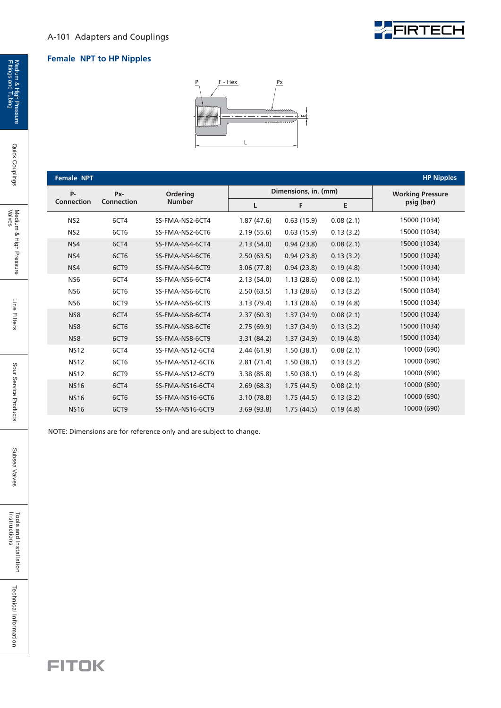

#### **Female NPT to HP Nipples**



| <b>Female NPT</b> |                   |                  |            |                      |           | <b>HP Nipples</b>       |
|-------------------|-------------------|------------------|------------|----------------------|-----------|-------------------------|
| <b>P-</b>         | Px-               | Ordering         |            | Dimensions, in. (mm) |           | <b>Working Pressure</b> |
| <b>Connection</b> | <b>Connection</b> | <b>Number</b>    | L          | F                    | E         | psig (bar)              |
| NS <sub>2</sub>   | 6CT4              | SS-FMA-NS2-6CT4  | 1.87(47.6) | 0.63(15.9)           | 0.08(2.1) | 15000 (1034)            |
| NS <sub>2</sub>   | 6CT6              | SS-FMA-NS2-6CT6  | 2.19(55.6) | 0.63(15.9)           | 0.13(3.2) | 15000 (1034)            |
| NS4               | 6CT4              | SS-FMA-NS4-6CT4  | 2.13(54.0) | 0.94(23.8)           | 0.08(2.1) | 15000 (1034)            |
| N <sub>S</sub> 4  | 6CT6              | SS-FMA-NS4-6CT6  | 2.50(63.5) | 0.94(23.8)           | 0.13(3.2) | 15000 (1034)            |
| NS4               | 6CT9              | SS-FMA-NS4-6CT9  | 3.06(77.8) | 0.94(23.8)           | 0.19(4.8) | 15000 (1034)            |
| NS <sub>6</sub>   | 6CT4              | SS-FMA-NS6-6CT4  | 2.13(54.0) | 1.13(28.6)           | 0.08(2.1) | 15000 (1034)            |
| NS <sub>6</sub>   | 6CT6              | SS-FMA-NS6-6CT6  | 2.50(63.5) | 1.13(28.6)           | 0.13(3.2) | 15000 (1034)            |
| NS <sub>6</sub>   | 6CT9              | SS-FMA-NS6-6CT9  | 3.13(79.4) | 1.13(28.6)           | 0.19(4.8) | 15000 (1034)            |
| N <sub>S</sub> 8  | 6CT4              | SS-FMA-NS8-6CT4  | 2.37(60.3) | 1.37(34.9)           | 0.08(2.1) | 15000 (1034)            |
| NS8               | 6CT6              | SS-FMA-NS8-6CT6  | 2.75(69.9) | 1.37(34.9)           | 0.13(3.2) | 15000 (1034)            |
| NS8               | 6CT9              | SS-FMA-NS8-6CT9  | 3.31(84.2) | 1.37(34.9)           | 0.19(4.8) | 15000 (1034)            |
| <b>NS12</b>       | 6CT4              | SS-FMA-NS12-6CT4 | 2.44(61.9) | 1.50(38.1)           | 0.08(2.1) | 10000 (690)             |
| <b>NS12</b>       | 6CT6              | SS-FMA-NS12-6CT6 | 2.81(71.4) | 1.50(38.1)           | 0.13(3.2) | 10000 (690)             |
| <b>NS12</b>       | 6CT9              | SS-FMA-NS12-6CT9 | 3.38(85.8) | 1.50(38.1)           | 0.19(4.8) | 10000 (690)             |
| <b>NS16</b>       | 6CT4              | SS-FMA-NS16-6CT4 | 2.69(68.3) | 1.75(44.5)           | 0.08(2.1) | 10000 (690)             |
| <b>NS16</b>       | 6CT6              | SS-FMA-NS16-6CT6 | 3.10(78.8) | 1.75(44.5)           | 0.13(3.2) | 10000 (690)             |
| <b>NS16</b>       | 6CT9              | SS-FMA-NS16-6CT9 | 3.69(93.8) | 1.75(44.5)           | 0.19(4.8) | 10000 (690)             |

NOTE: Dimensions are for reference only and are subject to change.

Quick Couplings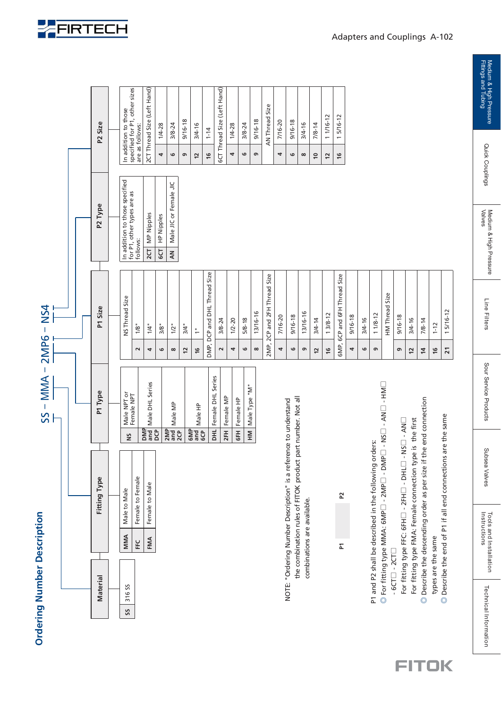| <b>Ordering Number Description</b> |            |                                                                                                            |                        | $SS - MMA - ZMPS - NS4$ |                         |                               |                                                              |                                                   |                                                  |
|------------------------------------|------------|------------------------------------------------------------------------------------------------------------|------------------------|-------------------------|-------------------------|-------------------------------|--------------------------------------------------------------|---------------------------------------------------|--------------------------------------------------|
|                                    |            |                                                                                                            |                        |                         |                         |                               |                                                              |                                                   |                                                  |
|                                    |            |                                                                                                            |                        |                         |                         |                               |                                                              |                                                   |                                                  |
| <b>Material</b>                    |            | Fitting Type                                                                                               |                        | P1 Type                 |                         | P1 Size                       | P <sub>2</sub> Type                                          |                                                   | P <sub>2</sub> Size                              |
|                                    |            |                                                                                                            |                        |                         |                         |                               |                                                              |                                                   |                                                  |
| 316 <sub>SS</sub><br>SS            | MMA        | Male to Male                                                                                               | ŠN                     | Male NPT or             |                         | <b>NS Thread Size</b>         | In addition to those specified<br>for P1, other types are as |                                                   | In addition to those                             |
|                                    | FEC        | Female to Female                                                                                           |                        | Female NPT              | $\overline{\mathbf{c}}$ | 1/8"                          | follows                                                      |                                                   | specified for P1, other sizes<br>are as follows: |
|                                    | <b>FMA</b> | Female to Male                                                                                             | DMP<br>and             | Male DHL Series         | 4                       | 1/4"                          | MP Nipples<br>$rac{1}{2}$                                    |                                                   | 2CT Thread Size (Left Hand)                      |
|                                    |            |                                                                                                            | <b>DC</b>              |                         | $\mathbf \omega$        | 3/8"                          | HP Nipples<br><b>GCT</b>                                     | 4                                                 | $1/4 - 28$                                       |
|                                    |            |                                                                                                            | $\frac{2MP}{2CP}$      | Male MP                 | $\infty$                | $1/2$ "                       | Male JIC or Female JIC<br>$\leq$                             | 6                                                 | $3/8 - 24$                                       |
|                                    |            |                                                                                                            |                        |                         | 12                      | 3/4"                          |                                                              | G                                                 | $9/16 - 18$                                      |
|                                    |            |                                                                                                            | GMP<br>and<br>GCP      | Male HP                 | $\frac{6}{2}$           | $\overset{\circ}{\leftarrow}$ |                                                              | $\overline{c}$                                    | $3/4 - 16$                                       |
|                                    |            |                                                                                                            | DHL                    | Female DHL Series       | DMP,                    | DCP and DHL Thread Size       |                                                              | $\frac{6}{2}$                                     | $1 - 14$                                         |
|                                    |            |                                                                                                            | 2FH                    |                         | $\sim$                  | $3/8 - 24$                    |                                                              |                                                   | 6CT Thread Size (Left Hand)                      |
|                                    |            |                                                                                                            | GFH                    | Female MP<br>Female HP  | 4                       | $1/2 - 20$                    |                                                              | 4                                                 | $1/4 - 28$                                       |
|                                    |            |                                                                                                            |                        |                         | $\mathbf \omega$        | $5/8 - 18$                    |                                                              | ڡ                                                 | $3/8 - 24$                                       |
|                                    |            |                                                                                                            | $\overline{\Xi}$       | Male Type "M"           | $\infty$                | 13/16-16                      |                                                              | G                                                 | $9/16 - 18$                                      |
|                                    |            |                                                                                                            |                        |                         | 2MP,                    | 2CP and 2FH Thread Size       |                                                              |                                                   | Size<br>AN Thread                                |
|                                    |            |                                                                                                            |                        |                         | 4                       | 7/16-20                       |                                                              | 4                                                 | 7/16-20                                          |
|                                    |            | NOTE: "Ordering Number Description" is a reference to understand<br>the combination rules of FITOK product | part number. Not all   |                         | $\mathbf  \circ$        | $9/16 - 18$                   |                                                              | $\mathbf  \, \mathbf  \, \mathbf  \, \mathbf  \,$ | $9/16 - 18$                                      |
|                                    |            | combinations are available.                                                                                |                        |                         | G                       | 13/16-16                      |                                                              | $\infty$                                          | $3/4 - 16$                                       |
|                                    |            |                                                                                                            |                        |                         | 57                      | $3/4 - 14$                    |                                                              | $\mathrel{\mathop{\mathsf{e}}\nolimits}$          | $7/8 - 14$                                       |
|                                    |            |                                                                                                            |                        |                         | $\frac{6}{2}$           | 13/8-12                       |                                                              | $\overline{c}$                                    | 11/16-12                                         |
|                                    | Σ          | 52                                                                                                         |                        |                         | GMP,                    | 6CP and 6FH Thread Size       |                                                              | $\frac{6}{2}$                                     | $5/16 - 12$<br>$\overline{\phantom{0}}$          |
|                                    |            |                                                                                                            |                        |                         | 4                       | $9/16 - 18$                   |                                                              |                                                   |                                                  |
|                                    |            |                                                                                                            |                        |                         | $\circ$                 | $3/4 - 16$                    |                                                              |                                                   |                                                  |
|                                    |            | P1 and P2 shall be described in the following orders:                                                      |                        |                         | G                       | $11/8 - 12$                   |                                                              |                                                   |                                                  |
|                                    |            | $\circledcirc$ For fitting type MMA: 6MP $\Box$ - DMP $\Box$ - NS $\Box$ - AN $\Box$ - HM $\Box$           |                        |                         |                         | HM Thread Size                |                                                              |                                                   |                                                  |
| $-6CT$ $-2CT$                      |            | For fitting type FFC: 6FH□ - 2FH□ - DHL□                                                                   | $-$ NS $-$ - AN $\Box$ |                         | G                       | $9/16 - 18$                   |                                                              |                                                   |                                                  |
|                                    |            | For fitting type FMA: Female connection type is the first                                                  |                        |                         | $\overline{c}$          | $3/4 - 16$                    |                                                              |                                                   |                                                  |
|                                    |            | © Describe the descending order as per size if                                                             | the end connection     |                         | $\overline{4}$          | $7/8 - 14$                    |                                                              |                                                   |                                                  |
| types are the same                 |            |                                                                                                            |                        |                         | $\frac{6}{2}$           | $1 - 12$                      |                                                              |                                                   |                                                  |
| $\circledcirc$                     |            | Describe the end of P1 if all end connections are the same                                                 |                        |                         | $\overline{21}$         | 15/16-12                      |                                                              |                                                   |                                                  |
|                                    |            |                                                                                                            |                        |                         |                         |                               |                                                              |                                                   |                                                  |

**FITOK** 

Medium & High Pressure<br>Fittings and Tubing

Quick Couplings

Medium & High Pressure<br>Valves

Line Filters